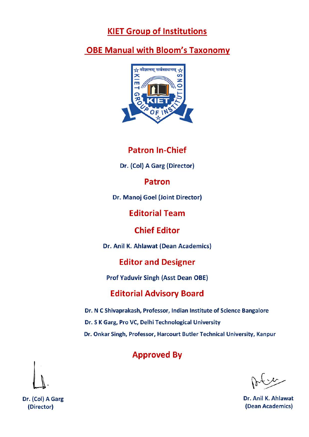# **KIET Group of Institutions**

# **OBE Manual with Bloom's Taxonomy**



# **Patron In-Chief**

Dr. (Col) A Garg (Director)

**Patron** 

Dr. Manoj Goel (Joint Director)

**Editorial Team** 

**Chief Editor** 

Dr. Anil K. Ahlawat (Dean Academics)

# **Editor and Designer**

**Prof Yaduvir Singh (Asst Dean OBE)** 

# **Editorial Advisory Board**

Dr. N C Shivaprakash, Professor, Indian Institute of Science Bangalore Dr. S K Garg, Pro VC, Delhi Technological University Dr. Onkar Singh, Professor, Harcourt Butler Technical University, Kanpur

# **Approved By**

Dr. Anil K. Ahlawat (Dean Academics)



Dr. (Col) A Garg (Director)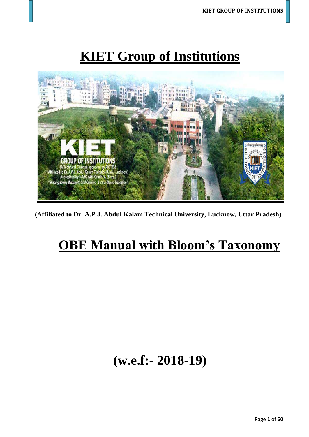# **KIET Group of Institutions**



**(Affiliated to Dr. A.P.J. Abdul Kalam Technical University, Lucknow, Uttar Pradesh)**

# **OBE Manual with Bloom's Taxonomy**

# **(w.e.f:- 2018-19)**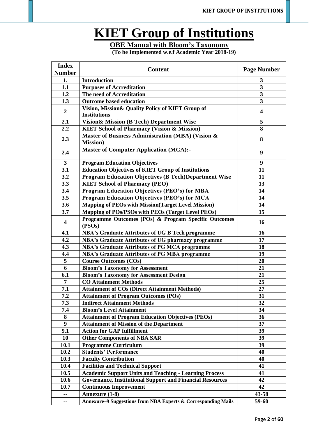# **KIET Group of Institutions**

# **OBE Manual with Bloom's Taxonomy**

**(To be Implemented w.e.f Academic Year 2018-19)**

| <b>Content</b><br><b>Page Number</b><br><b>Number</b><br><b>Introduction</b><br>1.<br>3                                |  |
|------------------------------------------------------------------------------------------------------------------------|--|
|                                                                                                                        |  |
|                                                                                                                        |  |
| $\overline{\mathbf{3}}$<br>1.1<br><b>Purposes of Accreditation</b>                                                     |  |
| $\mathbf{3}$<br>1.2<br>The need of Accreditation                                                                       |  |
| $\overline{\mathbf{3}}$<br><b>Outcome based education</b><br>1.3                                                       |  |
| Vision, Mission& Quality Policy of KIET Group of<br>$\boldsymbol{2}$<br>$\overline{\mathbf{4}}$<br><b>Institutions</b> |  |
| 5<br>2.1<br>Vision & Mission (B Tech) Department Wise                                                                  |  |
| 8<br>2.2<br><b>KIET School of Pharmacy (Vision &amp; Mission)</b>                                                      |  |
| Master of Business Administration (MBA) (Vision &<br>2.3<br>8<br><b>Mission</b> )                                      |  |
| <b>Master of Computer Application (MCA):-</b><br>2.4<br>9                                                              |  |
| <b>Program Education Objectives</b><br>3<br>9                                                                          |  |
| <b>Education Objectives of KIET Group of Institutions</b><br>3.1<br>11                                                 |  |
| 3.2<br><b>Program Education Objectives (B Tech)Department Wise</b><br>11                                               |  |
| 3.3<br><b>KIET School of Pharmacy (PEO)</b><br>13                                                                      |  |
| 3.4<br><b>Program Education Objectives (PEO's) for MBA</b><br>14                                                       |  |
| <b>Program Education Objectives (PEO's) for MCA</b><br>14<br>3.5                                                       |  |
| <b>Mapping of PEOs with Mission (Target Level Mission)</b><br>14<br>3.6                                                |  |
| Mapping of POs/PSOs with PEOs (Target Level PEOs)<br>3.7<br>15                                                         |  |
| Programme Outcomes (POs) & Program Specific Outcomes<br>$\overline{\mathbf{4}}$<br>16<br>(PSOs)                        |  |
| 4.1<br><b>NBA's Graduate Attributes of UG B Tech programme</b><br>16                                                   |  |
| 4.2<br><b>NBA's Graduate Attributes of UG pharmacy programme</b><br>17                                                 |  |
| 4.3<br><b>NBA's Graduate Attributes of PG MCA programme</b><br>18                                                      |  |
| <b>NBA's Graduate Attributes of PG MBA programme</b><br>19<br>4.4                                                      |  |
| 5<br><b>Course Outcomes (COs)</b><br>20                                                                                |  |
| 6<br><b>Bloom's Taxonomy for Assessment</b><br>21                                                                      |  |
| 6.1<br><b>Bloom's Taxonomy for Assessment Design</b><br>21                                                             |  |
| 25<br><b>CO Attainment Methods</b><br>7                                                                                |  |
| 7.1<br><b>Attainment of COs (Direct Attainment Methods)</b><br>27                                                      |  |
| 7.2<br>31<br><b>Attainment of Program Outcomes (POs)</b>                                                               |  |
| 7.3<br><b>Indirect Attainment Methods</b><br>32                                                                        |  |
| 7.4<br><b>Bloom's Level Attainment</b><br>34                                                                           |  |
| <b>Attainment of Program Education Objectives (PEOs)</b><br>8<br>36                                                    |  |
| <b>Attainment of Mission of the Department</b><br>37<br>9                                                              |  |
| 9.1<br><b>Action for GAP fulfillment</b><br>39                                                                         |  |
| <b>Other Components of NBA SAR</b><br>39<br>10                                                                         |  |
| <b>Programme Curriculum</b><br>10.1<br>39                                                                              |  |
| <b>Students' Performance</b><br>10.2<br>40                                                                             |  |
| 10.3<br><b>Faculty Contribution</b><br>40                                                                              |  |
| <b>Facilities and Technical Support</b><br>10.4<br>41                                                                  |  |
| <b>Academic Support Units and Teaching - Learning Process</b><br>10.5<br>41                                            |  |
| <b>Governance, Institutional Support and Financial Resources</b><br>42<br>10.6                                         |  |
| 42<br><b>Continuous Improvement</b><br>10.7                                                                            |  |
| Annexure (1-8)<br>43-58<br>--                                                                                          |  |
| 59-60<br>Annexure-9 Suggestions from NBA Experts & Corresponding Mails<br>۰.                                           |  |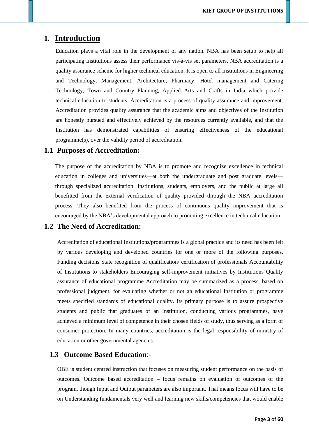# **1. Introduction**

Education plays a vital role in the development of any nation. NBA has been setup to help all participating Institutions assess their performance vis-à-vis set parameters. NBA accreditation is a quality assurance scheme for higher technical education. It is open to all Institutions in Engineering and Technology, Management, Architecture, Pharmacy, Hotel management and Catering Technology, Town and Country Planning, Applied Arts and Crafts in India which provide technical education to students. Accreditation is a process of quality assurance and improvement. Accreditation provides quality assurance that the academic aims and objectives of the Institution are honestly pursued and effectively achieved by the resources currently available, and that the Institution has demonstrated capabilities of ensuring effectiveness of the educational programme(s), over the validity period of accreditation.

### **1.1 Purposes of Accreditation: -**

The purpose of the accreditation by NBA is to promote and recognize excellence in technical education in colleges and universities—at both the undergraduate and post graduate levels through specialized accreditation. Institutions, students, employers, and the public at large all benefitted from the external verification of quality provided through the NBA accreditation process. They also benefited from the process of continuous quality improvement that is encouraged by the NBA's developmental approach to promoting excellence in technical education.

### **1.2 The Need of Accreditation: -**

Accreditation of educational Institutions/programmes is a global practice and its need has been felt by various developing and developed countries for one or more of the following purposes. Funding decisions State recognition of qualification/ certification of professionals Accountability of Institutions to stakeholders Encouraging self-improvement initiatives by Institutions Quality assurance of educational programme Accreditation may be summarized as a process, based on professional judgment, for evaluating whether or not an educational Institution or programme meets specified standards of educational quality. Its primary purpose is to assure prospective students and public that graduates of an Institution, conducting various programmes, have achieved a minimum level of competence in their chosen fields of study, thus serving as a form of consumer protection. In many countries, accreditation is the legal responsibility of ministry of education or other governmental agencies.

### **1.3 Outcome Based Education**:-

OBE is student centred instruction that focuses on measuring student performance on the basis of outcomes. Outcome based accreditation – focus remains on evaluation of outcomes of the program, though Input and Output parameters are also important. That means focus will have to be on Understanding fundamentals very well and learning new skills/competencies that would enable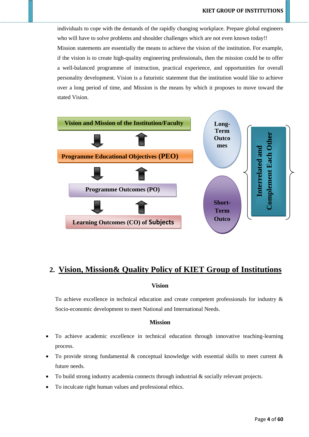individuals to cope with the demands of the rapidly changing workplace. Prepare global engineers who will have to solve problems and shoulder challenges which are not even known today!! Mission statements are essentially the means to achieve the vision of the institution. For example, if the vision is to create high-quality engineering professionals, then the mission could be to offer a well-balanced programme of instruction, practical experience, and opportunities for overall personality development. Vision is a futuristic statement that the institution would like to achieve over a long period of time, and Mission is the means by which it proposes to move toward the stated Vision.



# **2. Vision, Mission& Quality Policy of KIET Group of Institutions**

#### **Vision**

To achieve excellence in technical education and create competent professionals for industry & Socio-economic development to meet National and International Needs.

### **Mission**

- To achieve academic excellence in technical education through innovative teaching-learning process.
- To provide strong fundamental  $\&$  conceptual knowledge with essential skills to meet current  $\&$ future needs.
- To build strong industry academia connects through industrial  $\&$  socially relevant projects.
- To inculcate right human values and professional ethics.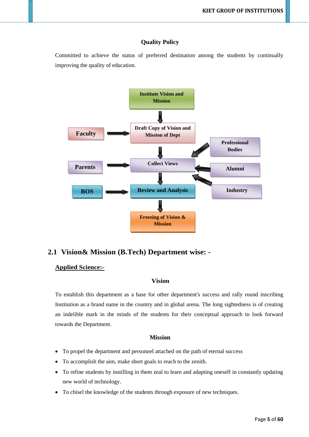### **Quality Policy**

Committed to achieve the status of preferred destination among the students by continually improving the quality of education.



### **2.1 Vision& Mission (B.Tech) Department wise: -**

### **Applied Science:-**

### **Vision**

To establish this department as a base for other department's success and rally round inscribing Institution as a brand name in the country and in global arena. The long sightedness is of creating an indelible mark in the minds of the students for their conceptual approach to look forward towards the Department.

### **Mission**

- To propel the department and personnel attached on the path of eternal success
- To accomplish the aim, make short goals to reach to the zenith.
- To refine students by instilling in them zeal to learn and adapting oneself in constantly updating new world of technology.
- To chisel the knowledge of the students through exposure of new techniques.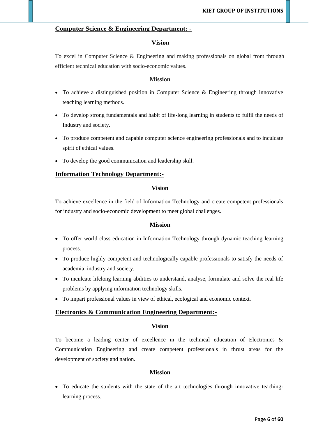### **Computer Science & Engineering Department: -**

### **Vision**

To excel in Computer Science & Engineering and making professionals on global front through efficient technical education with socio-economic values.

#### **Mission**

- To achieve a distinguished position in Computer Science & Engineering through innovative teaching learning methods.
- To develop strong fundamentals and habit of life-long learning in students to fulfil the needs of Industry and society.
- To produce competent and capable computer science engineering professionals and to inculcate spirit of ethical values.
- To develop the good communication and leadership skill.

### **Information Technology Department:-**

#### **Vision**

To achieve excellence in the field of Information Technology and create competent professionals for industry and socio-economic development to meet global challenges.

### **Mission**

- To offer world class education in Information Technology through dynamic teaching learning process.
- To produce highly competent and technologically capable professionals to satisfy the needs of academia, industry and society.
- To inculcate lifelong learning abilities to understand, analyse, formulate and solve the real life problems by applying information technology skills.
- To impart professional values in view of ethical, ecological and economic context.

### **Electronics & Communication Engineering Department:-**

### **Vision**

To become a leading center of excellence in the technical education of Electronics & Communication Engineering and create competent professionals in thrust areas for the development of society and nation.

#### **Mission**

• To educate the students with the state of the art technologies through innovative teachinglearning process.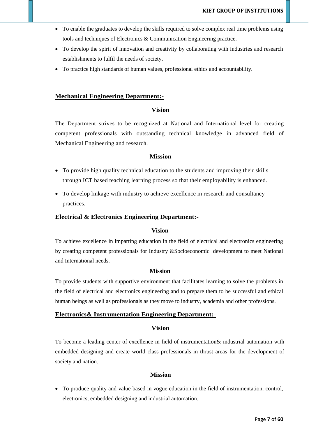- To enable the graduates to develop the skills required to solve complex real time problems using tools and techniques of Electronics & Communication Engineering practice.
- To develop the spirit of innovation and creativity by collaborating with industries and research establishments to fulfil the needs of society.
- To practice high standards of human values, professional ethics and accountability.

#### **Mechanical Engineering Department:-**

#### **Vision**

The Department strives to be recognized at National and International level for creating competent professionals with outstanding technical knowledge in advanced field of Mechanical Engineering and research.

### **Mission**

- To provide high quality technical education to the students and improving their skills through ICT based teaching learning process so that their employability is enhanced.
- To develop linkage with industry to achieve excellence in research and consultancy practices.

#### **Electrical & Electronics Engineering Department:-**

### **Vision**

To achieve excellence in imparting education in the field of electrical and electronics engineering by creating competent professionals for Industry &Socioeconomic development to meet National and International needs.

#### **Mission**

To provide students with supportive environment that facilitates learning to solve the problems in the field of electrical and electronics engineering and to prepare them to be successful and ethical human beings as well as professionals as they move to industry, academia and other professions.

#### **Electronics& Instrumentation Engineering Department:-**

### **Vision**

To become a leading center of excellence in field of instrumentation& industrial automation with embedded designing and create world class professionals in thrust areas for the development of society and nation.

#### **Mission**

• To produce quality and value based in vogue education in the field of instrumentation, control, electronics, embedded designing and industrial automation.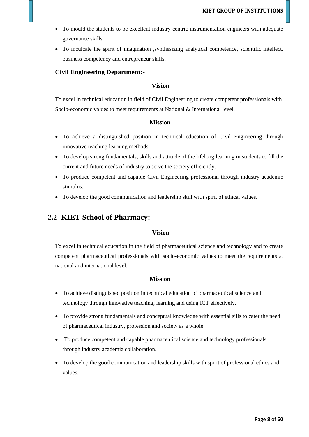- To mould the students to be excellent industry centric instrumentation engineers with adequate governance skills.
- To inculcate the spirit of imagination , synthesizing analytical competence, scientific intellect, business competency and entrepreneur skills.

### **Civil Engineering Department:-**

### **Vision**

To excel in technical education in field of Civil Engineering to create competent professionals with Socio-economic values to meet requirements at National & International level.

### **Mission**

- To achieve a distinguished position in technical education of Civil Engineering through innovative teaching learning methods.
- To develop strong fundamentals, skills and attitude of the lifelong learning in students to fill the current and future needs of industry to serve the society efficiently.
- To produce competent and capable Civil Engineering professional through industry academic stimulus.
- To develop the good communication and leadership skill with spirit of ethical values.

### **2.2 KIET School of Pharmacy:-**

### **Vision**

To excel in technical education in the field of pharmaceutical science and technology and to create competent pharmaceutical professionals with socio-economic values to meet the requirements at national and international level.

### **Mission**

- To achieve distinguished position in technical education of pharmaceutical science and technology through innovative teaching, learning and using ICT effectively.
- To provide strong fundamentals and conceptual knowledge with essential sills to cater the need of pharmaceutical industry, profession and society as a whole.
- To produce competent and capable pharmaceutical science and technology professionals through industry academia collaboration.
- To develop the good communication and leadership skills with spirit of professional ethics and values.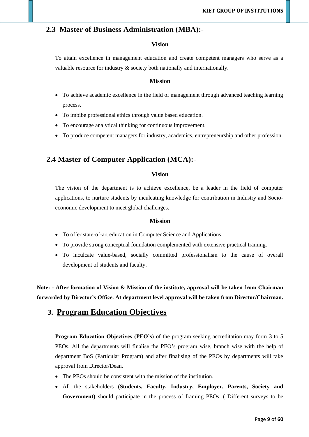### **2.3 Master of Business Administration (MBA):-**

### **Vision**

To attain excellence in management education and create competent managers who serve as a valuable resource for industry & society both nationally and internationally.

### **Mission**

- To achieve academic excellence in the field of management through advanced teaching learning process.
- To imbibe professional ethics through value based education.
- To encourage analytical thinking for continuous improvement.
- To produce competent managers for industry, academics, entrepreneurship and other profession.

### **2.4 Master of Computer Application (MCA):-**

### **Vision**

The vision of the department is to achieve excellence, be a leader in the field of computer applications, to nurture students by inculcating knowledge for contribution in Industry and Socioeconomic development to meet global challenges.

### **Mission**

- To offer state-of-art education in Computer Science and Applications.
- To provide strong conceptual foundation complemented with extensive practical training.
- To inculcate value-based, socially committed professionalism to the cause of overall development of students and faculty.

**Note: - After formation of Vision & Mission of the institute, approval will be taken from Chairman forwarded by Director's Office. At department level approval will be taken from Director/Chairman.**

# **3. Program Education Objectives**

**Program Education Objectives (PEO's)** of the program seeking accreditation may form 3 to 5 PEOs. All the departments will finalise the PEO's program wise, branch wise with the help of department BoS (Particular Program) and after finalising of the PEOs by departments will take approval from Director/Dean.

- The PEOs should be consistent with the mission of the institution.
- All the stakeholders **(Students, Faculty, Industry, Employer, Parents, Society and Government)** should participate in the process of framing PEOs. ( Different surveys to be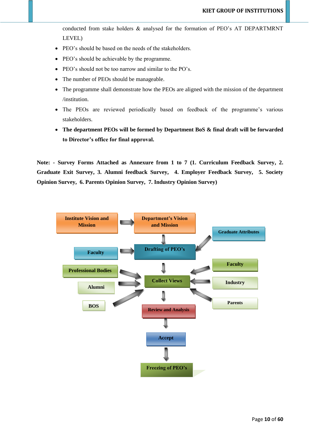conducted from stake holders & analysed for the formation of PEO's AT DEPARTMRNT LEVEL)

- PEO's should be based on the needs of the stakeholders.
- PEO's should be achievable by the programme.
- PEO's should not be too narrow and similar to the PO's.
- The number of PEOs should be manageable.
- The programme shall demonstrate how the PEOs are aligned with the mission of the department /institution.
- The PEOs are reviewed periodically based on feedback of the programme's various stakeholders.
- **The department PEOs will be formed by Department BoS & final draft will be forwarded to Director's office for final approval.**

**Note: - Survey Forms Attached as Annexure from 1 to 7 (1. Curriculum Feedback Survey, 2. Graduate Exit Survey, 3. Alumni feedback Survey, 4. Employer Feedback Survey, 5. Society Opinion Survey, 6. Parents Opinion Survey, 7. Industry Opinion Survey)**

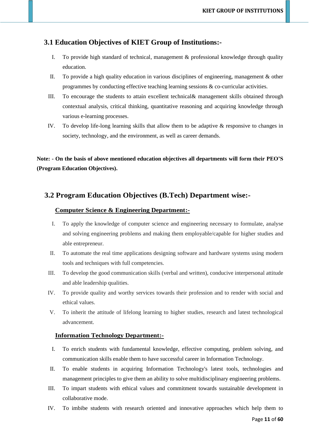### **3.1 Education Objectives of KIET Group of Institutions:-**

- I. To provide high standard of technical, management & professional knowledge through quality education.
- II. To provide a high quality education in various disciplines of engineering, management & other programmes by conducting effective teaching learning sessions  $\&$  co-curricular activities.
- III. To encourage the students to attain excellent technical& management skills obtained through contextual analysis, critical thinking, quantitative reasoning and acquiring knowledge through various e-learning processes.
- IV. To develop life-long learning skills that allow them to be adaptive & responsive to changes in society, technology, and the environment, as well as career demands.

**Note: - On the basis of above mentioned education objectives all departments will form their PEO'S (Program Education Objectives).**

### **3.2 Program Education Objectives (B.Tech) Department wise:-**

### **Computer Science & Engineering Department:-**

- I. To apply the knowledge of computer science and engineering necessary to formulate, analyse and solving engineering problems and making them employable/capable for higher studies and able entrepreneur.
- II. To automate the real time applications designing software and hardware systems using modern tools and techniques with full competencies.
- III. To develop the good communication skills (verbal and written), conducive interpersonal attitude and able leadership qualities.
- IV. To provide quality and worthy services towards their profession and to render with social and ethical values.
- V. To inherit the attitude of lifelong learning to higher studies, research and latest technological advancement.

### **Information Technology Department:-**

- I. To enrich students with fundamental knowledge, effective computing, problem solving, and communication skills enable them to have successful career in Information Technology.
- II. To enable students in acquiring Information Technology's latest tools, technologies and management principles to give them an ability to solve multidisciplinary engineering problems.
- III. To impart students with ethical values and commitment towards sustainable development in collaborative mode.
- IV. To imbibe students with research oriented and innovative approaches which help them to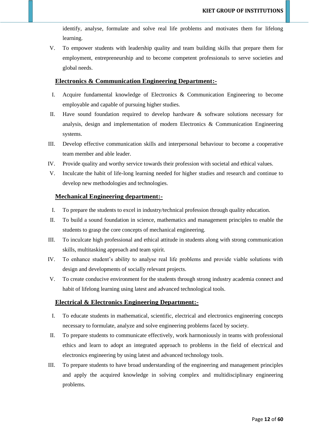identify, analyse, formulate and solve real life problems and motivates them for lifelong learning.

V. To empower students with leadership quality and team building skills that prepare them for employment, entrepreneurship and to become competent professionals to serve societies and global needs.

#### **Electronics & Communication Engineering Department:-**

- I. Acquire fundamental knowledge of Electronics & Communication Engineering to become employable and capable of pursuing higher studies.
- II. Have sound foundation required to develop hardware & software solutions necessary for analysis, design and implementation of modern Electronics & Communication Engineering systems.
- III. Develop effective communication skills and interpersonal behaviour to become a cooperative team member and able leader.
- IV. Provide quality and worthy service towards their profession with societal and ethical values.
- V. Inculcate the habit of life-long learning needed for higher studies and research and continue to develop new methodologies and technologies.

### **Mechanical Engineering department:-**

- I. To prepare the students to excel in industry/technical profession through quality education.
- II. To build a sound foundation in science, mathematics and management principles to enable the students to grasp the core concepts of mechanical engineering.
- III. To inculcate high professional and ethical attitude in students along with strong communication skills, multitasking approach and team spirit.
- IV. To enhance student's ability to analyse real life problems and provide viable solutions with design and developments of socially relevant projects.
- V. To create conducive environment for the students through strong industry academia connect and habit of lifelong learning using latest and advanced technological tools.

### **Electrical & Electronics Engineering Department:-**

- I. To educate students in mathematical, scientific, electrical and electronics engineering concepts necessary to formulate, analyze and solve engineering problems faced by society.
- II. To prepare students to communicate effectively, work harmoniously in teams with professional ethics and learn to adopt an integrated approach to problems in the field of electrical and electronics engineering by using latest and advanced technology tools.
- III. To prepare students to have broad understanding of the engineering and management principles and apply the acquired knowledge in solving complex and multidisciplinary engineering problems.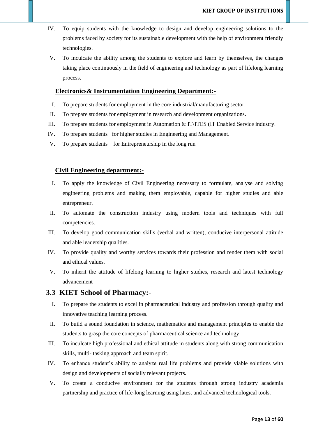- IV. To equip students with the knowledge to design and develop engineering solutions to the problems faced by society for its sustainable development with the help of environment friendly technologies.
- V. To inculcate the ability among the students to explore and learn by themselves, the changes taking place continuously in the field of engineering and technology as part of lifelong learning process.

### **Electronics& Instrumentation Engineering Department:-**

- I. To prepare students for employment in the core industrial/manufacturing sector.
- II. To prepare students for employment in research and development organizations.
- III. To prepare students for employment in Automation & IT/ITES (IT Enabled Service industry.
- IV. To prepare students for higher studies in Engineering and Management.
- V. To prepare students for Entrepreneurship in the long run

### **Civil Engineering department:-**

- I. To apply the knowledge of Civil Engineering necessary to formulate, analyse and solving engineering problems and making them employable, capable for higher studies and able entrepreneur.
- II. To automate the construction industry using modern tools and techniques with full competencies.
- III. To develop good communication skills (verbal and written), conducive interpersonal attitude and able leadership qualities.
- IV. To provide quality and worthy services towards their profession and render them with social and ethical values.
- V. To inherit the attitude of lifelong learning to higher studies, research and latest technology advancement

### **3.3 KIET School of Pharmacy:-**

- I. To prepare the students to excel in pharmaceutical industry and profession through quality and innovative teaching learning process.
- II. To build a sound foundation in science, mathematics and management principles to enable the students to grasp the core concepts of pharmaceutical science and technology.
- III. To inculcate high professional and ethical attitude in students along with strong communication skills, multi- tasking approach and team spirit.
- IV. To enhance student's ability to analyze real life problems and provide viable solutions with design and developments of socially relevant projects.
- V. To create a conducive environment for the students through strong industry academia partnership and practice of life-long learning using latest and advanced technological tools.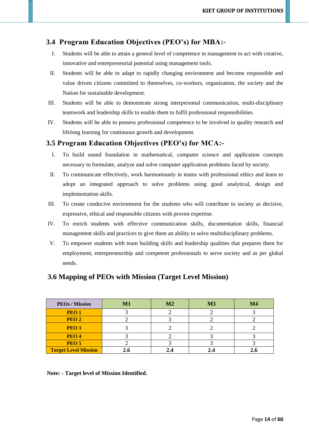### **3.4 Program Education Objectives (PEO's) for MBA:-**

- I. Students will be able to attain a general level of competence in management to act with creative, innovative and entrepreneurial potential using management tools.
- II. Students will be able to adapt to rapidly changing environment and become responsible and value driven citizens committed to themselves, co-workers, organization, the society and the Nation for sustainable development.
- III. Students will be able to demonstrate strong interpersonal communication, multi-disciplinary teamwork and leadership skills to enable them to fulfil professional responsibilities.
- IV. Students will be able to possess professional competence to be involved in quality research and lifelong learning for continuous growth and development.

### **3.5 Program Education Objectives (PEO's) for MCA:-**

- I. To build sound foundation in mathematical, computer science and application concepts necessary to formulate, analyze and solve computer application problems faced by society.
- II. To communicate effectively, work harmoniously in teams with professional ethics and learn to adopt an integrated approach to solve problems using good analytical, design and implementation skills.
- III. To create conducive environment for the students who will contribute to society as decisive, expressive, ethical and responsible citizens with proven expertise.
- IV. To enrich students with effective communication skills, documentation skills, financial management skills and practices to give them an ability to solve multidisciplinary problems.
- V. To empower students with team building skills and leadership qualities that prepares them for employment, entrepreneurship and competent professionals to serve society and as per global needs.

### **3.6 Mapping of PEOs with Mission (Target Level Mission)**

| <b>PEOs / Mission</b>       | M1 | M2 | M3 | M4 |
|-----------------------------|----|----|----|----|
| PEO <sub>1</sub>            |    |    |    |    |
| PEO <sub>2</sub>            |    |    |    |    |
| PEO <sub>3</sub>            |    |    |    |    |
| PEO <sub>4</sub>            |    |    |    |    |
| PEO <sub>5</sub>            |    |    |    |    |
| <b>Target Level Mission</b> |    |    |    |    |

 **Note: - Target level of Mission Identified.**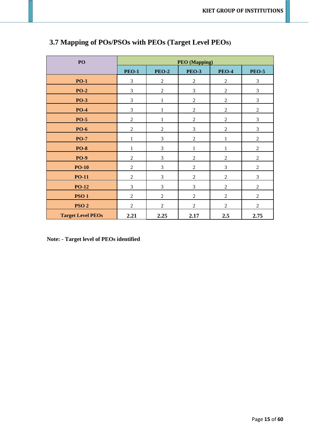| PO                       |                |                | <b>PEO</b> (Mapping) |                                  |                |  |
|--------------------------|----------------|----------------|----------------------|----------------------------------|----------------|--|
|                          | <b>PEO-1</b>   | <b>PEO-2</b>   | <b>PEO-3</b>         | <b>PEO-4</b>                     | <b>PEO-5</b>   |  |
| <b>PO-1</b>              | 3              | $\overline{2}$ |                      | $\overline{2}$<br>$\overline{2}$ |                |  |
| <b>PO-2</b>              | 3              | $\sqrt{2}$     | $\mathfrak{Z}$       | $\overline{2}$                   | 3              |  |
| <b>PO-3</b>              | 3              | $\mathbf{1}$   | $\overline{2}$       | $\overline{2}$                   | 3              |  |
| <b>PO-4</b>              | 3              | 1              | $\overline{2}$       | $\overline{2}$                   | $\overline{2}$ |  |
| <b>PO-5</b>              | $\sqrt{2}$     | $\mathbf{1}$   | $\sqrt{2}$           | $\overline{2}$                   | 3              |  |
| <b>PO-6</b>              | $\overline{c}$ | $\overline{2}$ | $\mathfrak{Z}$       | $\overline{2}$                   | 3              |  |
| <b>PO-7</b>              | $\mathbf{1}$   | 3              | $\overline{2}$       | $\mathbf{1}$                     | $\overline{2}$ |  |
| <b>PO-8</b>              | 1              | 3              | 1                    | $\mathbf{1}$                     | $\overline{2}$ |  |
| <b>PO-9</b>              | $\overline{2}$ | $\mathfrak{Z}$ | $\overline{2}$       | $\overline{2}$                   | $\overline{2}$ |  |
| $PO-10$                  | $\overline{2}$ | 3              | $\overline{2}$       | 3                                | $\overline{2}$ |  |
| <b>PO-11</b>             | $\overline{2}$ | 3              | $\overline{2}$       | $\overline{2}$                   | 3              |  |
| <b>PO-12</b>             | 3              | 3              | 3                    | $\overline{2}$                   | $\overline{2}$ |  |
| <b>PSO1</b>              | $\overline{2}$ | $\overline{2}$ | $\overline{2}$       | $\overline{2}$                   | $\overline{2}$ |  |
| PSO <sub>2</sub>         | $\overline{2}$ | $\overline{2}$ | $\overline{2}$       | $\overline{2}$                   | $\overline{2}$ |  |
| <b>Target Level PEOs</b> | 2.21           | 2.25           | 2.17                 | 2.5                              | 2.75           |  |

# **3.7 Mapping of POs/PSOs with PEOs (Target Level PEOs)**

 **Note: - Target level of PEOs identified**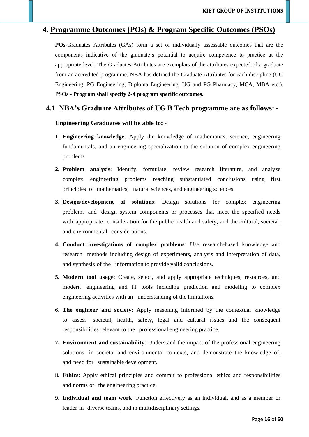### **4. Programme Outcomes (POs) & Program Specific Outcomes (PSOs)**

**POs-**Graduates Attributes (GAs) form a set of individually assessable outcomes that are the components indicative of the graduate's potential to acquire competence to practice at the appropriate level. The Graduates Attributes are exemplars of the attributes expected of a graduate from an accredited programme. NBA has defined the Graduate Attributes for each discipline (UG Engineering, PG Engineering, Diploma Engineering, UG and PG Pharmacy, MCA, MBA etc.). **PSOs - Program shall specify 2-4 program specific outcomes.**

### **4.1 NBA's Graduate Attributes of UG B Tech programme are as follows: -**

### **Engineering Graduates will be able to:** -

- **1. Engineering knowledge**: Apply the knowledge of mathematics, science, engineering fundamentals, and an engineering specialization to the solution of complex engineering problems.
- **2. Problem analysis**: Identify, formulate, review research literature, and analyze complex engineering problems reaching substantiated conclusions using first principles of mathematics, natural sciences, and engineering sciences.
- **3. Design/development of solutions**: Design solutions for complex engineering problems and design system components or processes that meet the specified needs with appropriate consideration for the public health and safety, and the cultural, societal, and environmental considerations.
- **4. Conduct investigations of complex problems**: Use research-based knowledge and research methods including design of experiments, analysis and interpretation of data, and synthesis of the information to provide valid conclusions**.**
- **5. Modern tool usage**: Create, select, and apply appropriate techniques, resources, and modern engineering and IT tools including prediction and modeling to complex engineering activities with an understanding of the limitations.
- **6. The engineer and society**: Apply reasoning informed by the contextual knowledge to assess societal, health, safety, legal and cultural issues and the consequent responsibilities relevant to the professional engineering practice.
- **7. Environment and sustainability**: Understand the impact of the professional engineering solutions in societal and environmental contexts, and demonstrate the knowledge of, and need for sustainable development.
- **8. Ethics**: Apply ethical principles and commit to professional ethics and responsibilities and norms of the engineering practice.
- **9. Individual and team work**: Function effectively as an individual, and as a member or leader in diverse teams, and in multidisciplinary settings.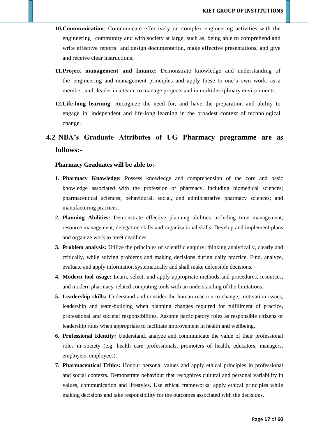- **10.Communication**: Communicate effectively on complex engineering activities with the engineering community and with society at large, such as, being able to comprehend and write effective reports and design documentation, make effective presentations, and give and receive clear instructions.
- **11.Project management and finance**: Demonstrate knowledge and understanding of the engineering and management principles and apply these to one's own work, as a member and leader in a team, to manage projects and in multidisciplinary environments.
- **12.Life-long learning**: Recognize the need for, and have the preparation and ability to engage in independent and life-long learning in the broadest context of technological change.
- **4.2 NBA's Graduate Attributes of UG Pharmacy programme are as follows:-**

#### **Pharmacy Graduates will be able to:**-

- **1. Pharmacy Knowledge:** Possess knowledge and comprehension of the core and basic knowledge associated with the profession of pharmacy, including biomedical sciences; pharmaceutical sciences; behavioural, social, and administrative pharmacy sciences; and manufacturing practices.
- **2. Planning Abilities:** Demonstrate effective planning abilities including time management, resource management, delegation skills and organizational skills. Develop and implement plans and organize work to meet deadlines.
- **3. Problem analysis:** Utilize the principles of scientific enquiry, thinking analytically, clearly and critically, while solving problems and making decisions during daily practice. Find, analyze, evaluate and apply information systematically and shall make defensible decisions.
- **4. Modern tool usage:** Learn, select, and apply appropriate methods and procedures, resources, and modern pharmacy-related computing tools with an understanding of the limitations.
- **5. Leadership skills:** Understand and consider the human reaction to change, motivation issues, leadership and team-building when planning changes required for fulfillment of practice, professional and societal responsibilities. Assume participatory roles as responsible citizens or leadership roles when appropriate to facilitate improvement in health and wellbeing.
- **6. Professional Identity:** Understand, analyze and communicate the value of their professional roles in society (e.g. health care professionals, promoters of health, educators, managers, employers, employees).
- **7. Pharmaceutical Ethics:** Honour personal values and apply ethical principles in professional and social contexts. Demonstrate behaviour that recognizes cultural and personal variability in values, communication and lifestyles. Use ethical frameworks; apply ethical principles while making decisions and take responsibility for the outcomes associated with the decisions.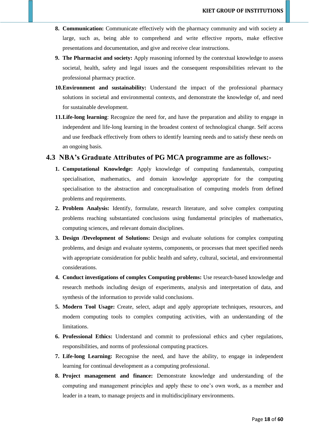- **8. Communication:** Communicate effectively with the pharmacy community and with society at large, such as, being able to comprehend and write effective reports, make effective presentations and documentation, and give and receive clear instructions.
- **9. The Pharmacist and society:** Apply reasoning informed by the contextual knowledge to assess societal, health, safety and legal issues and the consequent responsibilities relevant to the professional pharmacy practice.
- **10.Environment and sustainability:** Understand the impact of the professional pharmacy solutions in societal and environmental contexts, and demonstrate the knowledge of, and need for sustainable development.
- **11.Life-long learning**: Recognize the need for, and have the preparation and ability to engage in independent and life-long learning in the broadest context of technological change. Self access and use feedback effectively from others to identify learning needs and to satisfy these needs on an ongoing basis.

### **4.3 NBA's Graduate Attributes of PG MCA programme are as follows:-**

- **1. Computational Knowledge:** Apply knowledge of computing fundamentals, computing specialisation, mathematics, and domain knowledge appropriate for the computing specialisation to the abstraction and conceptualisation of computing models from defined problems and requirements.
- **2. Problem Analysis:** Identify, formulate, research literature, and solve complex computing problems reaching substantiated conclusions using fundamental principles of mathematics, computing sciences, and relevant domain disciplines.
- **3. Design /Development of Solutions:** Design and evaluate solutions for complex computing problems, and design and evaluate systems, components, or processes that meet specified needs with appropriate consideration for public health and safety, cultural, societal, and environmental considerations.
- **4. Conduct investigations of complex Computing problems:** Use research-based knowledge and research methods including design of experiments, analysis and interpretation of data, and synthesis of the information to provide valid conclusions.
- **5. Modern Tool Usage:** Create, select, adapt and apply appropriate techniques, resources, and modern computing tools to complex computing activities, with an understanding of the limitations.
- **6. Professional Ethics:** Understand and commit to professional ethics and cyber regulations, responsibilities, and norms of professional computing practices.
- **7. Life-long Learning:** Recognise the need, and have the ability, to engage in independent learning for continual development as a computing professional.
- **8. Project management and finance:** Demonstrate knowledge and understanding of the computing and management principles and apply these to one's own work, as a member and leader in a team, to manage projects and in multidisciplinary environments.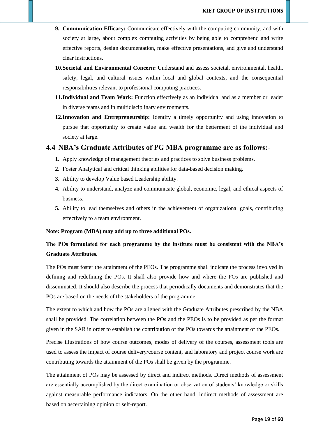- **9. Communication Efficacy:** Communicate effectively with the computing community, and with society at large, about complex computing activities by being able to comprehend and write effective reports, design documentation, make effective presentations, and give and understand clear instructions.
- **10.Societal and Environmental Concern:** Understand and assess societal, environmental, health, safety, legal, and cultural issues within local and global contexts, and the consequential responsibilities relevant to professional computing practices.
- **11.Individual and Team Work:** Function effectively as an individual and as a member or leader in diverse teams and in multidisciplinary environments.
- **12.Innovation and Entrepreneurship:** Identify a timely opportunity and using innovation to pursue that opportunity to create value and wealth for the betterment of the individual and society at large.

### **4.4 NBA's Graduate Attributes of PG MBA programme are as follows:-**

- **1.** Apply knowledge of management theories and practices to solve business problems.
- **2.** Foster Analytical and critical thinking abilities for data-based decision making.
- **3.** Ability to develop Value based Leadership ability.
- **4.** Ability to understand, analyze and communicate global, economic, legal, and ethical aspects of business.
- **5.** Ability to lead themselves and others in the achievement of organizational goals, contributing effectively to a team environment.

#### **Note: Program (MBA) may add up to three additional POs.**

### **The POs formulated for each programme by the institute must be consistent with the NBA's Graduate Attributes.**

The POs must foster the attainment of the PEOs. The programme shall indicate the process involved in defining and redefining the POs. It shall also provide how and where the POs are published and disseminated. It should also describe the process that periodically documents and demonstrates that the POs are based on the needs of the stakeholders of the programme.

The extent to which and how the POs are aligned with the Graduate Attributes prescribed by the NBA shall be provided. The correlation between the POs and the PEOs is to be provided as per the format given in the SAR in order to establish the contribution of the POs towards the attainment of the PEOs.

Precise illustrations of how course outcomes, modes of delivery of the courses, assessment tools are used to assess the impact of course delivery/course content, and laboratory and project course work are contributing towards the attainment of the POs shall be given by the programme.

The attainment of POs may be assessed by direct and indirect methods. Direct methods of assessment are essentially accomplished by the direct examination or observation of students' knowledge or skills against measurable performance indicators. On the other hand, indirect methods of assessment are based on ascertaining opinion or self-report.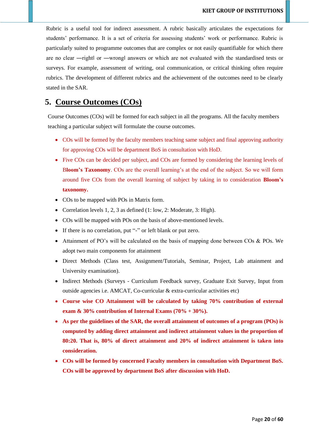Rubric is a useful tool for indirect assessment. A rubric basically articulates the expectations for students' performance. It is a set of criteria for assessing students' work or performance. Rubric is particularly suited to programme outcomes that are complex or not easily quantifiable for which there are no clear ―right‖ or ―wrong‖ answers or which are not evaluated with the standardised tests or surveys. For example, assessment of writing, oral communication, or critical thinking often require rubrics. The development of different rubrics and the achievement of the outcomes need to be clearly stated in the SAR.

# **5. Course Outcomes (COs)**

Course Outcomes (COs) will be formed for each subject in all the programs. All the faculty members teaching a particular subject will formulate the course outcomes.

- COs will be formed by the faculty members teaching same subject and final approving authority for approving COs will be department BoS in consultation with HoD.
- Five COs can be decided per subject, and COs are formed by considering the learning levels of B**loom's Taxonomy**. COs are the overall learning's at the end of the subject. So we will form around five COs from the overall learning of subject by taking in to consideration **Bloom's taxonomy.**
- COs to be mapped with POs in Matrix form.
- Correlation levels 1, 2, 3 as defined (1: low, 2: Moderate, 3: High).
- COs will be mapped with POs on the basis of above-mentioned levels.
- If there is no correlation, put "-" or left blank or put zero.
- Attainment of PO's will be calculated on the basis of mapping done between COs & POs. We adopt two main components for attainment
- Direct Methods (Class test, Assignment/Tutorials, Seminar, Project, Lab attainment and University examination).
- Indirect Methods (Surveys Curriculum Feedback survey, Graduate Exit Survey, Input from outside agencies i.e. AMCAT, Co-curricular & extra-curricular activities etc)
- **Course wise CO Attainment will be calculated by taking 70% contribution of external exam & 30% contribution of Internal Exams (70% + 30%).**
- **As per the guidelines of the SAR, the overall attainment of outcomes of a program (POs) is computed by adding direct attainment and indirect attainment values in the proportion of 80:20. That is, 80% of direct attainment and 20% of indirect attainment is taken into consideration.**
- **COs will be formed by concerned Faculty members in consultation with Department BoS. COs will be approved by department BoS after discussion with HoD.**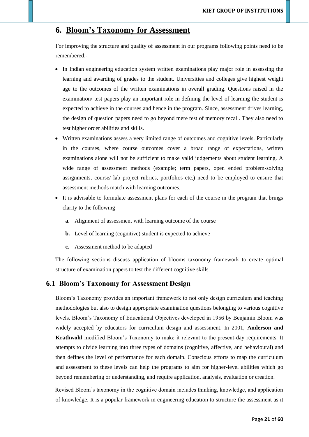# **6. Bloom's Taxonomy for Assessment**

For improving the structure and quality of assessment in our programs following points need to be remembered:-

- In Indian engineering education system written examinations play major role in assessing the learning and awarding of grades to the student. Universities and colleges give highest weight age to the outcomes of the written examinations in overall grading. Questions raised in the examination/ test papers play an important role in defining the level of learning the student is expected to achieve in the courses and hence in the program. Since, assessment drives learning, the design of question papers need to go beyond mere test of memory recall. They also need to test higher order abilities and skills.
- Written examinations assess a very limited range of outcomes and cognitive levels. Particularly in the courses, where course outcomes cover a broad range of expectations, written examinations alone will not be sufficient to make valid judgements about student learning. A wide range of assessment methods (example; term papers, open ended problem-solving assignments, course/ lab project rubrics, portfolios etc.) need to be employed to ensure that assessment methods match with learning outcomes.
- It is advisable to formulate assessment plans for each of the course in the program that brings clarity to the following
	- **a.** Alignment of assessment with learning outcome of the course
	- **b.** Level of learning (cognitive) student is expected to achieve
	- **c.** Assessment method to be adapted

The following sections discuss application of blooms taxonomy framework to create optimal structure of examination papers to test the different cognitive skills.

### **6.1 Bloom's Taxonomy for Assessment Design**

Bloom's Taxonomy provides an important framework to not only design curriculum and teaching methodologies but also to design appropriate examination questions belonging to various cognitive levels. Bloom's Taxonomy of Educational Objectives developed in 1956 by Benjamin Bloom was widely accepted by educators for curriculum design and assessment. In 2001, **Anderson and Krathwohl** modified Bloom's Taxonomy to make it relevant to the present-day requirements. It attempts to divide learning into three types of domains (cognitive, affective, and behavioural) and then defines the level of performance for each domain. Conscious efforts to map the curriculum and assessment to these levels can help the programs to aim for higher-level abilities which go beyond remembering or understanding, and require application, analysis, evaluation or creation.

Revised Bloom's taxonomy in the cognitive domain includes thinking, knowledge, and application of knowledge. It is a popular framework in engineering education to structure the assessment as it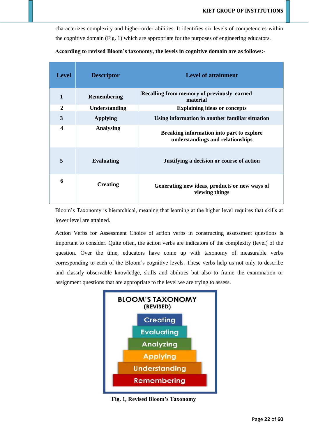characterizes complexity and higher-order abilities. It identifies six levels of competencies within the cognitive domain (Fig. 1) which are appropriate for the purposes of engineering educators.

| <b>Level</b>     | <b>Descriptor</b>    | <b>Level of attainment</b>                                                    |
|------------------|----------------------|-------------------------------------------------------------------------------|
| $\mathbf{1}$     | <b>Remembering</b>   | Recalling from memory of previously earned<br>material                        |
| $\boldsymbol{2}$ | <b>Understanding</b> | <b>Explaining ideas or concepts</b>                                           |
| 3                | <b>Applying</b>      | Using information in another familiar situation                               |
| 4                | <b>Analysing</b>     | Breaking information into part to explore<br>understandings and relationships |
| 5                | <b>Evaluating</b>    | Justifying a decision or course of action                                     |
| 6                | <b>Creating</b>      | Generating new ideas, products or new ways of<br>viewing things               |

|  |  | According to revised Bloom's taxonomy, the levels in cognitive domain are as follows:- |
|--|--|----------------------------------------------------------------------------------------|
|--|--|----------------------------------------------------------------------------------------|

Bloom's Taxonomy is hierarchical, meaning that learning at the higher level requires that skills at lower level are attained.

Action Verbs for Assessment Choice of action verbs in constructing assessment questions is important to consider. Quite often, the action verbs are indicators of the complexity (level) of the question. Over the time, educators have come up with taxonomy of measurable verbs corresponding to each of the Bloom's cognitive levels. These verbs help us not only to describe and classify observable knowledge, skills and abilities but also to frame the examination or assignment questions that are appropriate to the level we are trying to assess.



**Fig. 1, Revised Bloom's Taxonomy**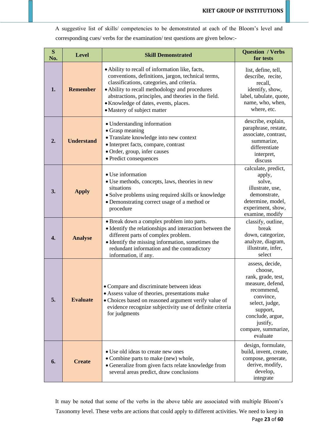A suggestive list of skills/ competencies to be demonstrated at each of the Bloom's level and corresponding cues/ verbs for the examination/ test questions are given below:-

| S<br>No.         | <b>Level</b>      | <b>Skill Demonstrated</b>                                                                                                                                                                                                                                                                                                             | <b>Question / Verbs</b><br>for tests                                                                                                                                                             |
|------------------|-------------------|---------------------------------------------------------------------------------------------------------------------------------------------------------------------------------------------------------------------------------------------------------------------------------------------------------------------------------------|--------------------------------------------------------------------------------------------------------------------------------------------------------------------------------------------------|
| 1.               | <b>Remember</b>   | • Ability to recall of information like, facts,<br>conventions, definitions, jargon, technical terms,<br>classifications, categories, and criteria.<br>• Ability to recall methodology and procedures<br>abstractions, principles, and theories in the field.<br>• Knowledge of dates, events, places.<br>• Mastery of subject matter | list, define, tell,<br>describe, recite,<br>recall,<br>identify, show,<br>label, tabulate, quote,<br>name, who, when,<br>where, etc.                                                             |
| 2.               | <b>Understand</b> | • Understanding information<br>• Grasp meaning<br>· Translate knowledge into new context<br>• Interpret facts, compare, contrast<br>· Order, group, infer causes<br>· Predict consequences                                                                                                                                            | describe, explain,<br>paraphrase, restate,<br>associate, contrast,<br>summarize,<br>differentiate<br>interpret,<br>discuss                                                                       |
| 3.               | <b>Apply</b>      | • Use information<br>• Use methods, concepts, laws, theories in new<br>situations<br>• Solve problems using required skills or knowledge<br>• Demonstrating correct usage of a method or<br>procedure                                                                                                                                 | calculate, predict,<br>apply,<br>solve,<br>illustrate, use,<br>demonstrate,<br>determine, model,<br>experiment, show,<br>examine, modify                                                         |
| $\overline{4}$ . | <b>Analyse</b>    | • Break down a complex problem into parts.<br>• Identify the relationships and interaction between the<br>different parts of complex problem.<br>• Identify the missing information, sometimes the<br>redundant information and the contradictory<br>information, if any.                                                             | classify, outline,<br>break<br>down, categorize,<br>analyze, diagram,<br>illustrate, infer,<br>select                                                                                            |
| 5.               | <b>Evaluate</b>   | • Compare and discriminate between ideas<br>• Assess value of theories, presentations make<br>• Choices based on reasoned argument verify value of<br>evidence recognize subjectivity use of definite criteria<br>for judgments                                                                                                       | assess, decide,<br>choose.<br>rank, grade, test,<br>measure, defend,<br>recommend,<br>convince,<br>select, judge,<br>support,<br>conclude, argue,<br>justify,<br>compare, summarize,<br>evaluate |
| 6.               | <b>Create</b>     | • Use old ideas to create new ones<br>• Combine parts to make (new) whole,<br>• Generalize from given facts relate knowledge from<br>several areas predict, draw conclusions                                                                                                                                                          | design, formulate,<br>build, invent, create,<br>compose, generate,<br>derive, modify,<br>develop,<br>integrate                                                                                   |

Page **23** of **60** It may be noted that some of the verbs in the above table are associated with multiple Bloom's Taxonomy level. These verbs are actions that could apply to different activities. We need to keep in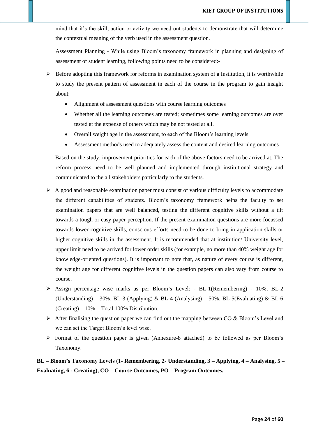mind that it's the skill, action or activity we need out students to demonstrate that will determine the contextual meaning of the verb used in the assessment question.

Assessment Planning - While using Bloom's taxonomy framework in planning and designing of assessment of student learning, following points need to be considered:-

- $\triangleright$  Before adopting this framework for reforms in examination system of a Institution, it is worthwhile to study the present pattern of assessment in each of the course in the program to gain insight about:
	- Alignment of assessment questions with course learning outcomes
	- Whether all the learning outcomes are tested; sometimes some learning outcomes are over tested at the expense of others which may be not tested at all.
	- Overall weight age in the assessment, to each of the Bloom's learning levels
	- Assessment methods used to adequately assess the content and desired learning outcomes

Based on the study, improvement priorities for each of the above factors need to be arrived at. The reform process need to be well planned and implemented through institutional strategy and communicated to the all stakeholders particularly to the students.

- $\triangleright$  A good and reasonable examination paper must consist of various difficulty levels to accommodate the different capabilities of students. Bloom's taxonomy framework helps the faculty to set examination papers that are well balanced, testing the different cognitive skills without a tilt towards a tough or easy paper perception. If the present examination questions are more focussed towards lower cognitive skills, conscious efforts need to be done to bring in application skills or higher cognitive skills in the assessment. It is recommended that at institution/ University level, upper limit need to be arrived for lower order skills (for example, no more than 40% weight age for knowledge-oriented questions). It is important to note that, as nature of every course is different, the weight age for different cognitive levels in the question papers can also vary from course to course.
- ➢ Assign percentage wise marks as per Bloom's Level: BL-1(Remembering) 10%, BL-2 (Understanding) – 30%, BL-3 (Applying) & BL-4 (Analysing) – 50%, BL-5(Evaluating) & BL-6  $(Creating) - 10\% = Total 100\%$  Distribution.
- $\triangleright$  After finalising the question paper we can find out the mapping between CO & Bloom's Level and we can set the Target Bloom's level wise.
- ➢ Format of the question paper is given (Annexure-8 attached) to be followed as per Bloom's Taxonomy.

**BL – Bloom's Taxonomy Levels (1- Remembering, 2- Understanding, 3 – Applying, 4 – Analysing, 5 – Evaluating, 6 - Creating), CO – Course Outcomes, PO – Program Outcomes.**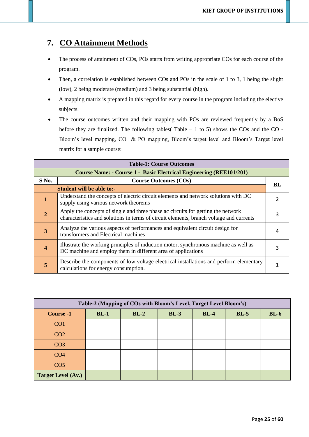# **7. CO Attainment Methods**

- The process of attainment of COs, POs starts from writing appropriate COs for each course of the program.
- Then, a correlation is established between COs and POs in the scale of 1 to 3, 1 being the slight (low), 2 being moderate (medium) and 3 being substantial (high).
- A mapping matrix is prepared in this regard for every course in the program including the elective subjects.
- The course outcomes written and their mapping with POs are reviewed frequently by a BoS before they are finalized. The following tables( $Table - 1$  to 5) shows the COs and the CO -Bloom's level mapping, CO & PO mapping, Bloom's target level and Bloom's Target level matrix for a sample course:

|                         | <b>Table-1: Course Outcomes</b>                                                                                                                                             |     |  |  |  |  |  |  |  |  |  |
|-------------------------|-----------------------------------------------------------------------------------------------------------------------------------------------------------------------------|-----|--|--|--|--|--|--|--|--|--|
|                         | <b>Course Name: - Course 1 - Basic Electrical Engineering (REE101/201)</b>                                                                                                  |     |  |  |  |  |  |  |  |  |  |
| S No.                   | <b>Course Outcomes (COs)</b>                                                                                                                                                | BL. |  |  |  |  |  |  |  |  |  |
|                         | <b>Student will be able to:-</b>                                                                                                                                            |     |  |  |  |  |  |  |  |  |  |
| 1                       | Understand the concepts of electric circuit elements and network solutions with DC<br>supply using various network theorems                                                 |     |  |  |  |  |  |  |  |  |  |
| $\overline{2}$          | Apply the concepts of single and three phase ac circuits for getting the network<br>characteristics and solutions in terms of circuit elements, branch voltage and currents |     |  |  |  |  |  |  |  |  |  |
| $\overline{\mathbf{3}}$ | Analyze the various aspects of performances and equivalent circuit design for<br>transformers and Electrical machines                                                       |     |  |  |  |  |  |  |  |  |  |
| $\overline{\mathbf{4}}$ | Illustrate the working principles of induction motor, synchronous machine as well as<br>DC machine and employ them in different area of applications                        | 3   |  |  |  |  |  |  |  |  |  |
| 5                       | Describe the components of low voltage electrical installations and perform elementary<br>calculations for energy consumption.                                              |     |  |  |  |  |  |  |  |  |  |

| Table-2 (Mapping of COs with Bloom's Level, Target Level Bloom's) |        |        |        |        |        |        |  |  |  |  |  |  |
|-------------------------------------------------------------------|--------|--------|--------|--------|--------|--------|--|--|--|--|--|--|
| Course -1                                                         | $BL-1$ | $BL-2$ | $BL-3$ | $BL-4$ | $BL-5$ | $BL-6$ |  |  |  |  |  |  |
| CO <sub>1</sub>                                                   |        |        |        |        |        |        |  |  |  |  |  |  |
| CO <sub>2</sub>                                                   |        |        |        |        |        |        |  |  |  |  |  |  |
| CO <sub>3</sub>                                                   |        |        |        |        |        |        |  |  |  |  |  |  |
| CO <sub>4</sub>                                                   |        |        |        |        |        |        |  |  |  |  |  |  |
| CO <sub>5</sub>                                                   |        |        |        |        |        |        |  |  |  |  |  |  |
| <b>Target Level (Av.)</b>                                         |        |        |        |        |        |        |  |  |  |  |  |  |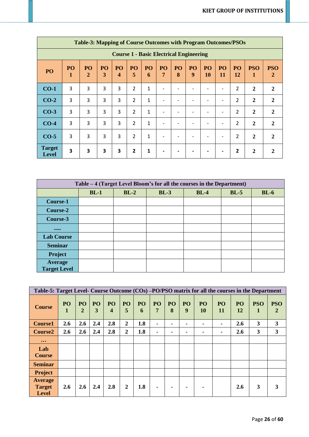|                                                | <b>Table-3: Mapping of Course Outcomes with Program Outcomes/PSOs</b> |                    |                         |                               |                |              |                          |         |         |          |                          |                        |                 |                 |
|------------------------------------------------|-----------------------------------------------------------------------|--------------------|-------------------------|-------------------------------|----------------|--------------|--------------------------|---------|---------|----------|--------------------------|------------------------|-----------------|-----------------|
| <b>Course 1 - Basic Electrical Engineering</b> |                                                                       |                    |                         |                               |                |              |                          |         |         |          |                          |                        |                 |                 |
| PO                                             | <b>PO</b><br>1                                                        | PO<br>$\mathbf{2}$ | <b>PO</b><br>3          | PO<br>$\overline{\mathbf{4}}$ | PO<br>5        | PO<br>6      | PO<br>$\overline{7}$     | PO<br>8 | PO<br>9 | PO<br>10 | PO<br>11                 | <b>PO</b><br><b>12</b> | <b>PSO</b><br>1 | <b>PSO</b><br>2 |
| $CO-1$                                         | 3                                                                     | 3                  | 3                       | 3                             | $\overline{2}$ | $\mathbf{1}$ |                          |         |         |          |                          | 2                      | $\mathbf{2}$    | $\mathbf{2}$    |
| $CO-2$                                         | 3                                                                     | 3                  | 3                       | 3                             | $\overline{2}$ | 1            | ٠                        |         |         |          | ٠                        | 2                      | $\overline{2}$  | 2               |
| $CO-3$                                         | 3                                                                     | 3                  | $\overline{3}$          | 3                             | $\overline{2}$ | $\mathbf{1}$ | ٠                        |         |         |          | $\overline{\phantom{a}}$ | 2                      | $\overline{2}$  | $\mathbf{2}$    |
| $CO-4$                                         | 3                                                                     | 3                  | 3                       | 3                             | $\overline{2}$ | 1            | ٠                        |         |         |          | $\overline{\phantom{a}}$ | $\overline{2}$         | $\overline{2}$  | $\mathbf{2}$    |
| $CO-5$                                         | 3                                                                     | 3                  | 3                       | 3                             | $\overline{2}$ | 1            | $\overline{\phantom{0}}$ |         |         |          | $\overline{\phantom{a}}$ | 2                      | $\overline{2}$  | 2               |
| <b>Target</b><br><b>Level</b>                  | 3                                                                     | 3                  | $\overline{\mathbf{3}}$ | 3                             | $\overline{2}$ | 1            |                          |         |         |          | $\blacksquare$           | 2                      | $\mathbf{2}$    |                 |

| Table - 4 (Target Level Bloom's for all the courses in the Department) |                                                |  |  |  |  |  |  |  |  |  |  |  |
|------------------------------------------------------------------------|------------------------------------------------|--|--|--|--|--|--|--|--|--|--|--|
|                                                                        | $BL-3$<br>$BL-1$<br>$BL-2$<br>$BL-4$<br>$BL-5$ |  |  |  |  |  |  |  |  |  |  |  |
| Course-1                                                               |                                                |  |  |  |  |  |  |  |  |  |  |  |
| Course-2                                                               |                                                |  |  |  |  |  |  |  |  |  |  |  |
| Course-3                                                               |                                                |  |  |  |  |  |  |  |  |  |  |  |
| $\bullet\bullet\bullet\bullet\bullet$                                  |                                                |  |  |  |  |  |  |  |  |  |  |  |
| <b>Lab Course</b>                                                      |                                                |  |  |  |  |  |  |  |  |  |  |  |
| <b>Seminar</b>                                                         |                                                |  |  |  |  |  |  |  |  |  |  |  |
| <b>Project</b>                                                         |                                                |  |  |  |  |  |  |  |  |  |  |  |
| Average<br><b>Target Level</b>                                         |                                                |  |  |  |  |  |  |  |  |  |  |  |

| Table-5: Target Level- Course Outcome (COs) -PO/PSO matrix for all the courses in the Department |                                 |                      |         |         |                     |         |         |                |         |          |                 |                      |                 |                            |
|--------------------------------------------------------------------------------------------------|---------------------------------|----------------------|---------|---------|---------------------|---------|---------|----------------|---------|----------|-----------------|----------------------|-----------------|----------------------------|
| <b>Course</b>                                                                                    | PO <sub>1</sub><br>$\mathbf{1}$ | PO<br>$\overline{2}$ | PO<br>3 | PO<br>4 | P <sub>O</sub><br>5 | PO<br>6 | PO<br>7 | PO<br>8        | PO<br>9 | PO<br>10 | <b>PO</b><br>11 | P <sub>O</sub><br>12 | <b>PSO</b><br>1 | <b>PSO</b><br>$\mathbf{2}$ |
| <b>Course1</b>                                                                                   | 2.6                             | 2.6                  | 2.4     | 2.8     | $\overline{2}$      | 1.8     |         | $\blacksquare$ |         |          | ۰               | 2.6                  | 3               | 3                          |
| Course <sub>2</sub>                                                                              | 2.6                             | 2.6                  | 2.4     | 2.8     | $\overline{2}$      | 1.8     |         | ۰              |         | ٠        |                 | 2.6                  | 3               | 3                          |
| $\bullet\bullet\bullet$                                                                          |                                 |                      |         |         |                     |         |         |                |         |          |                 |                      |                 |                            |
| Lab<br><b>Course</b>                                                                             |                                 |                      |         |         |                     |         |         |                |         |          |                 |                      |                 |                            |
| <b>Seminar</b>                                                                                   |                                 |                      |         |         |                     |         |         |                |         |          |                 |                      |                 |                            |
| Project                                                                                          |                                 |                      |         |         |                     |         |         |                |         |          |                 |                      |                 |                            |
| <b>Average</b><br><b>Target</b><br><b>Level</b>                                                  | 2.6                             | 2.6                  | 2.4     | 2.8     | $\overline{2}$      | 1.8     | ۰       | ۰              |         |          |                 | <b>2.6</b>           | 3               | 3                          |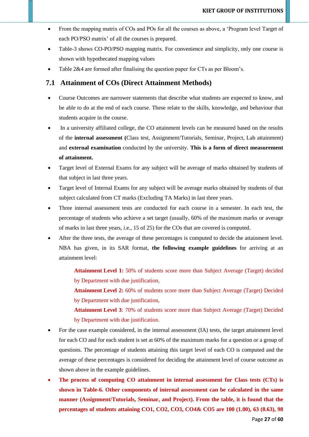- From the mapping matrix of COs and POs for all the courses as above, a 'Program level Target of each PO/PSO matrix' of all the courses is prepared.
- Table-3 shows CO-PO/PSO mapping matrix. For convenience and simplicity, only one course is shown with hypothecated mapping values
- Table 2&4 are formed after finalising the question paper for CTs as per Bloom's.

### **7.1 Attainment of COs (Direct Attainment Methods)**

- Course Outcomes are narrower statements that describe what students are expected to know, and be able to do at the end of each course. These relate to the skills, knowledge, and behaviour that students acquire in the course.
- In a university affiliated college, the CO attainment levels can be measured based on the results of the **internal assessment (**Class test, Assignment/Tutorials, Seminar, Project, Lab attainment) and **external examination** conducted by the university. **This is a form of direct measurement of attainment.**
- Target level of External Exams for any subject will be average of marks obtained by students of that subject in last three years.
- Target level of Internal Exams for any subject will be average marks obtained by students of that subject calculated from CT marks (Excluding TA Marks) in last three years.
- Three internal assessment tests are conducted for each course in a semester. In each test, the percentage of students who achieve a set target (usually, 60% of the maximum marks or average of marks in last three years, i.e., 15 of 25) for the COs that are covered is computed.
- After the three tests, the average of these percentages is computed to decide the attainment level. NBA has given, in its SAR format, **the following example guidelines** for arriving at an attainment level:

**Attainment Level 1:** 50% of students score more than Subject Average (Target) decided by Department with due justification,

**Attainment Level 2:** 60% of students score more than Subject Average (Target) Decided by Department with due justification,

**Attainment Level 3**: 70% of students score more than Subject Average (Target) Decided by Department with due justification.

- For the case example considered, in the internal assessment (IA) tests, the target attainment level for each CO and for each student is set at 60% of the maximum marks for a question or a group of questions. The percentage of students attaining this target level of each CO is computed and the average of these percentages is considered for deciding the attainment level of course outcome as shown above in the example guidelines.
- **The process of computing CO attainment in internal assessment for Class tests (CTs) is shown in Table-6. Other components of internal assessment can be calculated in the same manner (Assignment/Tutorials, Seminar, and Project). From the table, it is found that the percentages of students attaining CO1, CO2, CO3, CO4& CO5 are 100 (1.00), 63 (0.63), 98**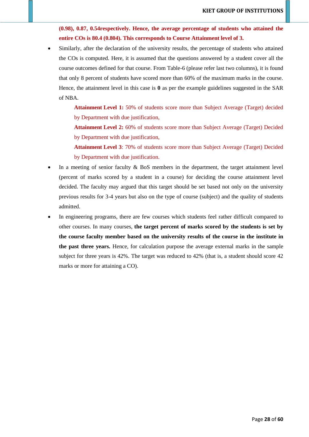**(0.98), 0.87, 0.54respectively. Hence, the average percentage of students who attained the entire COs is 80.4 (0.804). This corresponds to Course Attainment level of 3.** 

Similarly, after the declaration of the university results, the percentage of students who attained the COs is computed. Here, it is assumed that the questions answered by a student cover all the course outcomes defined for that course. From Table-6 (please refer last two columns), it is found that only 8 percent of students have scored more than 60% of the maximum marks in the course. Hence, the attainment level in this case is **0** as per the example guidelines suggested in the SAR of NBA.

> **Attainment Level 1:** 50% of students score more than Subject Average (Target) decided by Department with due justification,

> **Attainment Level 2:** 60% of students score more than Subject Average (Target) Decided by Department with due justification,

> **Attainment Level 3**: 70% of students score more than Subject Average (Target) Decided by Department with due justification.

- In a meeting of senior faculty  $\&$  BoS members in the department, the target attainment level (percent of marks scored by a student in a course) for deciding the course attainment level decided. The faculty may argued that this target should be set based not only on the university previous results for 3-4 years but also on the type of course (subject) and the quality of students admitted.
- In engineering programs, there are few courses which students feel rather difficult compared to other courses. In many courses, **the target percent of marks scored by the students is set by the course faculty member based on the university results of the course in the institute in the past three years.** Hence, for calculation purpose the average external marks in the sample subject for three years is 42%. The target was reduced to 42% (that is, a student should score 42 marks or more for attaining a CO).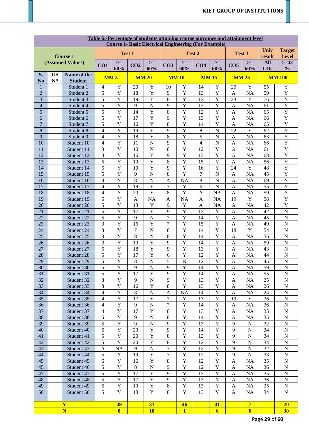|                                  | Table 6:-Percentage of students attaining course outcomes and attainment level<br><b>Course 1- Basic Electrical Engineering (For Example)</b> |                          |                                  |                                  |                                 |                                                    |                     |                                  |                              |                                  |                              |                             |                       |                                  |
|----------------------------------|-----------------------------------------------------------------------------------------------------------------------------------------------|--------------------------|----------------------------------|----------------------------------|---------------------------------|----------------------------------------------------|---------------------|----------------------------------|------------------------------|----------------------------------|------------------------------|-----------------------------|-----------------------|----------------------------------|
|                                  |                                                                                                                                               | <b>Course 1</b>          |                                  | Test 1                           |                                 |                                                    |                     | Test 2                           |                              |                                  | Test 3                       |                             | Univ<br>result        | <b>Target</b><br><b>Level</b>    |
|                                  |                                                                                                                                               | (Assumed Values)         | CO1                              | $>=$                             | CO <sub>2</sub>                 | $>=$<br>$>=$<br>CO <sub>3</sub><br>CO <sub>4</sub> |                     | $>=$                             | $>=$<br>CO <sub>5</sub>      |                                  | <b>All</b>                   | $>=12$                      |                       |                                  |
| S.                               | <b>US</b>                                                                                                                                     | Name of the              |                                  | 60%                              |                                 | 60%                                                |                     | 60%                              |                              | 60%                              |                              | 60%                         | $\cos$                | $\frac{0}{0}$                    |
| N <sub>o</sub>                   | $N^*$                                                                                                                                         | <b>Student</b>           | MM <sub>5</sub>                  |                                  |                                 | <b>MM 20</b>                                       | <b>MM10</b>         |                                  | <b>MM15</b>                  |                                  | <b>MM 25</b>                 |                             |                       | <b>MM 100</b>                    |
| $\mathbf{1}$                     |                                                                                                                                               | Student 1                | $\overline{4}$                   | Y                                | 20                              | $\mathbf Y$                                        | 10                  | Y                                | 14                           | $\mathbf Y$                      | 20                           | $\mathbf Y$                 | 55                    | $\mathbf Y$                      |
| $\overline{2}$<br>$\overline{3}$ |                                                                                                                                               | Student 2                | 5<br>5                           | Y<br>Y                           | 18<br>19                        | $\overline{Y}$<br>Y                                | 9<br>8              | Y<br>Y                           | 13<br>12                     | $\mathbf Y$<br>$\mathbf Y$       | A<br>23                      | <b>NA</b><br>$\mathbf Y$    | 59<br>76              | $\overline{Y}$<br>$\overline{Y}$ |
| $\overline{4}$                   |                                                                                                                                               | Student 3<br>Student 4   | 5                                | Y                                | 9                               | $\mathbf N$                                        | 9                   | Y                                | 12                           | $\mathbf Y$                      | A                            | <b>NA</b>                   | 61                    | $\overline{Y}$                   |
| $\overline{5}$                   |                                                                                                                                               | Student 5                | 5                                | Y                                | 14                              | Y                                                  | 8                   | Y                                | 12                           | $\mathbf Y$                      | $\mathbf{A}$                 | NA                          | 65                    | $\overline{Y}$                   |
| 6                                |                                                                                                                                               | Student 6                | 5                                | Y                                | 17                              | Y                                                  | 9                   | Y                                | 13                           | $\mathbf Y$                      | $\mathbf{A}$                 | NA                          | 66                    | $\overline{Y}$                   |
| $\overline{7}$                   |                                                                                                                                               | Student 7                | 5                                | Y                                | 16                              | Y                                                  | 8                   | Y                                | 14                           | Y                                | $\mathbf{A}$                 | NA                          | 65                    | $\overline{Y}$                   |
| $\,8\,$                          |                                                                                                                                               | Student 8                | $\overline{4}$                   | Y                                | 19                              | Y                                                  | 9                   | Y                                | $8\,$                        | $\overline{N}$                   | 22                           | $\mathbf Y$                 | 62                    | $\overline{Y}$                   |
| 9                                |                                                                                                                                               | Student 9                | $\overline{4}$                   | Y                                | 18                              | Y                                                  | 8                   | Y                                | 5                            | ${\bf N}$                        | $\mathbf{A}$                 | NA                          | 63                    | $\overline{Y}$                   |
| 10<br>11                         |                                                                                                                                               | Student 10<br>Student 11 | $\overline{4}$<br>$\overline{3}$ | Y<br>$\overline{Y}$              | 11<br>10                        | $\mathbf N$<br>$\overline{N}$                      | 9<br>8              | Y<br>$\overline{Y}$              | $\overline{4}$<br>12         | ${\bf N}$<br>$\overline{Y}$      | A<br>$\mathbf{A}$            | NA<br>NA                    | 66<br>61              | $\mathbf Y$<br>$\overline{Y}$    |
| 12                               |                                                                                                                                               | Student 12               | $\overline{3}$                   | $\overline{Y}$                   | 16                              | $\overline{Y}$                                     | 9                   | $\overline{Y}$                   | 13                           | $\overline{Y}$                   | $\mathbf{A}$                 | NA                          | 68                    | $\overline{Y}$                   |
| 13                               |                                                                                                                                               | Student 13               | $\overline{5}$                   | $\overline{Y}$                   | 19                              | $\overline{Y}$                                     | 8                   | $\overline{Y}$                   | 15                           | $\overline{Y}$                   | $\mathbf{A}$                 | <b>NA</b>                   | 56                    | $\overline{Y}$                   |
| 14                               |                                                                                                                                               | Student 14               | $\overline{5}$                   | $\overline{Y}$                   | 10                              | $\overline{Y}$                                     | 9                   | $\overline{Y}$                   | 16                           | $\overline{Y}$                   | 24                           | $\overline{Y}$              | 48                    | $\overline{Y}$                   |
| 15                               |                                                                                                                                               | Student 15               | $\overline{5}$                   | $\overline{Y}$                   | 9                               | $\overline{N}$                                     | 8                   | $\overline{Y}$                   | $\overline{7}$               | $\overline{N}$                   | $\mathbf{A}$                 | <b>NA</b>                   | $\overline{45}$       | $\overline{Y}$                   |
| 16                               |                                                                                                                                               | Student 16               | $\overline{4}$                   | $\overline{Y}$                   | $\overline{8}$                  | $\overline{N}$                                     | $\mathbf{A}$        | <b>NA</b>                        | $\overline{8}$               | $\overline{N}$                   | $\overline{A}$               | <b>NA</b>                   | 69                    | $\overline{Y}$                   |
| 17                               |                                                                                                                                               | Student 17               | $\overline{4}$                   | $\overline{Y}$                   | 19                              | $\overline{Y}$                                     | $\overline{7}$      | $\overline{Y}$                   | 6                            | $\overline{N}$                   | $\overline{A}$               | <b>NA</b>                   | $\overline{55}$       | $\overline{Y}$                   |
| 18                               |                                                                                                                                               | Student 18               | $\overline{4}$<br>$\overline{5}$ | Y<br>$\overline{Y}$              | 20                              | $\overline{Y}$                                     | 8                   | $\overline{Y}$                   | $\mathbf{A}$                 | <b>NA</b>                        | $\overline{A}$               | <b>NA</b><br>$\overline{Y}$ | $\overline{59}$       | $\overline{Y}$<br>$\overline{Y}$ |
| 19<br>20                         |                                                                                                                                               | Student 19<br>Student 20 | $\overline{5}$                   | $\overline{Y}$                   | $\mathbf{A}$<br>$\overline{18}$ | $\overline{NA}$<br>$\overline{Y}$                  | $\mathbf{A}$<br>9   | <b>NA</b><br>$\overline{Y}$      | $\mathbf{A}$<br>$\mathbf{A}$ | <b>NA</b><br><b>NA</b>           | 19<br>$\mathbf{A}$           | <b>NA</b>                   | $\overline{56}$<br>42 | $\overline{Y}$                   |
| 21                               |                                                                                                                                               | Student 21               | $\overline{5}$                   | $\overline{Y}$                   | $\overline{17}$                 | $\overline{Y}$                                     | 9                   | $\overline{Y}$                   | 13                           | $\overline{Y}$                   | $\overline{A}$               | <b>NA</b>                   | 42                    | $\overline{N}$                   |
| 22                               |                                                                                                                                               | Student 22               | $\overline{5}$                   | $\overline{Y}$                   | $\overline{9}$                  | $\overline{N}$                                     | $\overline{7}$      | $\overline{Y}$                   | 14                           | $\overline{Y}$                   | $\overline{A}$               | <b>NA</b>                   | 45                    | $\overline{N}$                   |
| 23                               |                                                                                                                                               | Student 23               | $\overline{3}$                   | $\overline{Y}$                   | 16                              | $\overline{Y}$                                     | $\overline{7}$      | $\overline{Y}$                   | 15                           | $\overline{Y}$                   | $\overline{A}$               | <b>NA</b>                   | 49                    | $\overline{N}$                   |
| 24                               |                                                                                                                                               | Student 24               | $\overline{3}$                   | $\overline{Y}$                   | $\tau$                          | $\overline{N}$                                     | 8                   | $\overline{Y}$                   | 14                           | $\overline{Y}$                   | 18                           | $\overline{Y}$              | 54                    | $\overline{N}$                   |
| 25                               |                                                                                                                                               | Student 25               | $\overline{3}$                   | $\overline{Y}$                   | $\overline{8}$                  | $\overline{N}$                                     | 8                   | $\overline{Y}$                   | 14                           | $\overline{Y}$                   | $\mathbf{A}$                 | <b>NA</b>                   | $\overline{56}$       | $\overline{N}$                   |
| 26                               |                                                                                                                                               | Student 26               | $\overline{3}$                   | $\overline{Y}$                   | 19                              | $\overline{Y}$                                     | 9                   | $\overline{Y}$                   | 14                           | $\overline{Y}$                   | $\mathbf{A}$                 | NA                          | 59                    | $\overline{N}$                   |
| 27                               |                                                                                                                                               | Student 27               | $\overline{5}$<br>$\overline{5}$ | $\overline{Y}$<br>$\overline{Y}$ | 18<br>17                        | $\overline{Y}$<br>$\overline{Y}$                   | 9                   | $\overline{Y}$<br>$\overline{Y}$ | 13<br>12                     | $\overline{Y}$<br>$\overline{Y}$ | $\mathbf{A}$                 | NA                          | 43                    | $\overline{N}$<br>$\mathbf N$    |
| 28<br>29                         |                                                                                                                                               | Student 28<br>Student 29 | $\overline{5}$                   | $\overline{Y}$                   | $\,8\,$                         | $\overline{N}$                                     | 6<br>5              | $\overline{\bf N}$               | 12                           | $\overline{Y}$                   | $\mathbf{A}$<br>$\mathbf{A}$ | NA<br>NA                    | 44<br>45              | $\overline{N}$                   |
| $\overline{30}$                  |                                                                                                                                               | Student 30               | $\overline{5}$                   | $\overline{\mathbf{Y}}$          | $\boldsymbol{9}$                | $\overline{\text{N}}$                              | $\overline{9}$      | $\overline{\mathbf{Y}}$          | $\overline{14}$              | $\overline{\mathbf{Y}}$          | $\boldsymbol{A}$             | NA                          | $\overline{59}$       | $\overline{\text{N}}$            |
| 31                               |                                                                                                                                               | Student 31               | 5                                | $\overline{Y}$                   | 17                              | Y                                                  | $\mathbf Q$         | Y                                | 14                           | $\overline{Y}$                   | A                            | NA                          | 55                    | $\mathbf N$                      |
| 32                               |                                                                                                                                               | Student 32               | 3                                | $\overline{Y}$                   | $\mathbf{Q}$                    | ${\bf N}$                                          | 9                   | $\overline{Y}$                   | 13                           | $\overline{Y}$                   | A                            | NA                          | 25                    | $\mathbf N$                      |
| 33                               |                                                                                                                                               | Student 33               | 3                                | $\overline{Y}$                   | 16                              | $\overline{Y}$                                     | 8                   | $\overline{Y}$                   | 13                           | $\overline{Y}$                   | A                            | NA                          | 26                    | ${\bf N}$                        |
| 34                               |                                                                                                                                               | Student 34               | 4                                | $\overline{Y}$                   | 8                               | $\mathbf N$                                        | $\mathbf{A}$        | <b>NA</b>                        | 14                           | $\overline{Y}$                   | A                            | NA                          | 24                    | ${\bf N}$                        |
| 35                               |                                                                                                                                               | Student 35               | 4                                | $\overline{Y}$                   | $\overline{17}$                 | $\overline{Y}$                                     | $\overline{7}$      | Y                                | 13                           | $\overline{Y}$                   | 19                           | $\mathbf Y$                 | 36                    | ${\bf N}$                        |
| 36<br>37                         |                                                                                                                                               | Student 36               | $\overline{4}$<br>$\overline{4}$ | $\overline{Y}$<br>$\overline{Y}$ | 9<br>$\overline{17}$            | $\mathbf N$<br>$\overline{Y}$                      | $\overline{7}$<br>8 | $\overline{Y}$<br>$\overline{Y}$ | 14<br>13                     | $\overline{Y}$<br>$\overline{Y}$ | A                            | NA<br>NA                    | 36<br>35              | ${\bf N}$<br>${\bf N}$           |
| 38                               |                                                                                                                                               | Student 37<br>Student 38 | 5                                | $\overline{Y}$                   | 9                               | $\overline{N}$                                     | 8                   | $\overline{Y}$                   | 14                           | $\overline{Y}$                   | A<br>A                       | <b>NA</b>                   | 35                    | ${\bf N}$                        |
| 39                               |                                                                                                                                               | Student 39               | 5                                | $\overline{Y}$                   | 9                               | $\overline{N}$                                     | 9                   | $\overline{Y}$                   | 13                           | $\overline{Y}$                   | 9                            | ${\bf N}$                   | 32                    | ${\bf N}$                        |
| 40                               |                                                                                                                                               | Student 40               | 5                                | $\overline{Y}$                   | 20                              | $\overline{Y}$                                     | 9                   | $\overline{Y}$                   | 14                           | $\mathbf Y$                      | 9                            | $\mathbf N$                 | 34                    | ${\bf N}$                        |
| 41                               |                                                                                                                                               | Student 41               | 5                                | $\overline{Y}$                   | 20                              | $\overline{Y}$                                     | 8                   | $\overline{Y}$                   | 13                           | $\mathbf Y$                      | 9                            | $\mathbf N$                 | 34                    | ${\bf N}$                        |
| 42                               |                                                                                                                                               | Student 42               | 5                                | $\overline{Y}$                   | 20                              | $\overline{Y}$                                     | 8                   | $\overline{Y}$                   | 12                           | $\mathbf Y$                      | 9                            | $\mathbf N$                 | 34                    | ${\bf N}$                        |
| 43                               |                                                                                                                                               | Student 43               | $\mathbf{A}$                     | <b>NA</b>                        | 9                               | $\overline{N}$                                     | $\overline{7}$      | Y                                | 12                           | $\mathbf Y$                      | 9                            | $\mathbf N$                 | 32                    | ${\bf N}$                        |
| 44                               |                                                                                                                                               | Student 44               | 5                                | $\mathbf Y$                      | 19                              | Y                                                  | $\overline{7}$      | Y                                | 12                           | $\mathbf Y$                      | 9                            | $\mathbf N$                 | 33                    | ${\bf N}$                        |
| 45<br>45                         |                                                                                                                                               | Student 45               | 5<br>5                           | Y<br>Y                           | 16<br>8                         | Y<br>$\mathbf N$                                   | 8<br>9              | Y<br>Y                           | 12<br>12                     | $\mathbf Y$<br>$\mathbf Y$       | $\mathbf{A}$                 | NA<br>NA                    | 35<br>36              | ${\bf N}$<br>${\bf N}$           |
| 47                               |                                                                                                                                               | Student 46<br>Student 47 | 5                                | Y                                | 17                              | Y                                                  | 9                   | Y                                | 13                           | $\mathbf Y$                      | A<br>A                       | NA                          | 35                    | ${\bf N}$                        |
| 48                               |                                                                                                                                               | Student 48               | 5                                | Y                                | 17                              | Y                                                  | 9                   | Y                                | 13                           | $\mathbf Y$                      | A                            | NA                          | 36                    | ${\bf N}$                        |
| 49                               |                                                                                                                                               | Student 49               | 5                                | Y                                | 19                              | Y                                                  | 8                   | $\mathbf Y$                      | 13                           | $\mathbf Y$                      | A                            | NA                          | 35                    | ${\bf N}$                        |
| 50                               |                                                                                                                                               | Student 50               | 5                                | Y                                | 18                              | Y                                                  | 8                   | Y                                | 13                           | Y                                | A                            | NA                          | 34                    | ${\bf N}$                        |
|                                  |                                                                                                                                               |                          |                                  |                                  |                                 |                                                    |                     |                                  |                              |                                  |                              |                             |                       |                                  |
|                                  |                                                                                                                                               | Y                        |                                  | 49                               |                                 | 31                                                 |                     | 46                               |                              | 41                               |                              | $\overline{7}$              |                       | 20                               |
|                                  |                                                                                                                                               | $\overline{\mathbf{N}}$  |                                  | $\bf{0}$                         |                                 | <b>18</b>                                          |                     | $\mathbf{1}$                     |                              | $\overline{6}$                   |                              | $\overline{6}$              |                       | 30                               |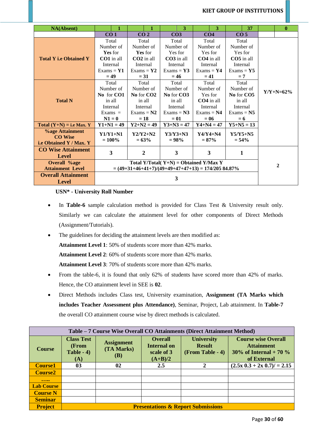| <b>NA(Absent)</b>             | 1                            | 1                                                    | 3                                         | 3               | 37              | $\bf{0}$         |
|-------------------------------|------------------------------|------------------------------------------------------|-------------------------------------------|-----------------|-----------------|------------------|
|                               | CO <sub>1</sub>              | CO <sub>2</sub>                                      | CO <sub>3</sub>                           | CO <sub>4</sub> | CO <sub>5</sub> |                  |
|                               | Total                        | Total                                                | Total                                     | Total           | Total           |                  |
|                               | Number of                    | Number of                                            | Number of                                 | Number of       | Number of       |                  |
|                               | Yes for                      | <b>Yes</b> for                                       | Yes for                                   | Yes for         | Yes for         |                  |
| <b>Total Y i.e Obtained Y</b> | $CO1$ in all                 | $CO2$ in all                                         | $CO3$ in all                              | $CO4$ in all    | CO5 in all      |                  |
|                               | Internal                     | Internal                                             | Internal                                  | Internal        | Internal        |                  |
|                               | $Exams = Y1$<br>Exams = $Y2$ |                                                      | Exams = $Y3$                              | Exams = $Y4$    | Exams = $Y5$    |                  |
|                               | $= 49$                       | $= 31$                                               | $= 46$                                    | $= 41$          | $= 7$           |                  |
|                               | Total                        | Total                                                | Total                                     | Total           | Total           |                  |
|                               | Number of                    | Number of                                            | Number of                                 | Number of       | Number of       | $Y/Y + N = 62\%$ |
|                               | No for CO1                   | No for CO <sub>2</sub>                               | No for CO3                                | Yes for         | No for CO5      |                  |
| <b>Total N</b>                | in all                       | in all                                               | in all                                    | $CO4$ in all    | in all          |                  |
|                               | Internal                     | Internal                                             | Internal                                  | Internal        | Internal        |                  |
|                               | $Exams =$                    | $Exams = N2$                                         | $Exams = N3$                              | $Exams = N4$    | $Exams = N5$    |                  |
|                               | $N1=0$                       | $=18$                                                | $= 01$                                    | $= 06$          | $= 6$           |                  |
| Total $(Y+N) = i.e$ Max. Y    | $Y1+N1=49$                   | $Y2+N2=49$                                           | $Y3 + N3 = 47$                            | $Y4 + N4 = 47$  | $Y5 + N5 = 13$  |                  |
| <b>%age Attainment</b>        | $Y1/Y1+N1$                   | $Y2/Y2+N2$                                           | $Y3/Y3+N3$                                | $Y4/Y4+N4$      | $Y5/Y5+N5$      |                  |
| <b>CO</b> Wise                | $= 100\%$                    | $= 63%$                                              | $= 98%$                                   | $= 87\%$        | $= 54\%$        |                  |
| i.e Obtained Y / Max. Y       |                              |                                                      |                                           |                 |                 |                  |
| <b>CO Wise Attainment</b>     | 3                            | $\boldsymbol{2}$                                     | 3                                         | 3               | 1               |                  |
| <b>Level</b>                  |                              |                                                      |                                           |                 |                 |                  |
| <b>Overall %age</b>           |                              |                                                      | Total Y/Total( $Y+N$ ) = Obtained Y/Max Y |                 |                 | 2                |
| <b>Attainment Level</b>       |                              | $=(49+31+46+41+7)/(49+49+47+47+13) = 174/20584.87\%$ |                                           |                 |                 |                  |
| <b>Overall Attainment</b>     |                              |                                                      |                                           |                 |                 |                  |
| <b>Level</b>                  |                              |                                                      | 3                                         |                 |                 |                  |

**USN\* - University Roll Number**

- In **Table-6** sample calculation method is provided for Class Test & University result only. Similarly we can calculate the attainment level for other components of Direct Methods (Assignment/Tutorials).
- The guidelines for deciding the attainment levels are then modified as:

**Attainment Level 1**: 50% of students score more than 42% marks.

**Attainment Level 2**: 60% of students score more than 42% marks.

**Attainment Level 3**: 70% of students score more than 42% marks.

- From the table-6, it is found that only 62% of students have scored more than 42% of marks. Hence, the CO attainment level in SEE is **02**.
- Direct Methods includes Class test, University examination, **Assignment (TA Marks which includes Teacher Assessment plus Attendance)**, Seminar, Project, Lab attainment. In **Table-7** the overall CO attainment course wise by direct methods is calculated.

|                   | Table – 7 Course Wise Overall CO Attainments (Direct Attainment Method) |                                               |                                                                 |                                                        |                                                                                          |  |  |  |  |  |  |  |  |  |
|-------------------|-------------------------------------------------------------------------|-----------------------------------------------|-----------------------------------------------------------------|--------------------------------------------------------|------------------------------------------------------------------------------------------|--|--|--|--|--|--|--|--|--|
| <b>Course</b>     | <b>Class Test</b><br>(From<br>Table $-4$ )<br>(A)                       | <b>Assignment</b><br>(TA Marks)<br><b>(B)</b> | <b>Overall</b><br><b>Internal on</b><br>scale of 3<br>$(A+B)/2$ | <b>University</b><br><b>Result</b><br>(From Table - 4) | <b>Course wise Overall</b><br><b>Attainment</b><br>30% of Internal + 70 %<br>of External |  |  |  |  |  |  |  |  |  |
| <b>Course1</b>    | 03                                                                      | 02                                            | $2.5\,$                                                         |                                                        | $(2.5x\,0.3 + 2x\,0.7)$ / = 2.15                                                         |  |  |  |  |  |  |  |  |  |
| <b>Course2</b>    |                                                                         |                                               |                                                                 |                                                        |                                                                                          |  |  |  |  |  |  |  |  |  |
|                   |                                                                         |                                               |                                                                 |                                                        |                                                                                          |  |  |  |  |  |  |  |  |  |
| <b>Lab Course</b> |                                                                         |                                               |                                                                 |                                                        |                                                                                          |  |  |  |  |  |  |  |  |  |
| <b>Course N</b>   |                                                                         |                                               |                                                                 |                                                        |                                                                                          |  |  |  |  |  |  |  |  |  |
| <b>Seminar</b>    |                                                                         |                                               |                                                                 |                                                        |                                                                                          |  |  |  |  |  |  |  |  |  |
| <b>Project</b>    |                                                                         |                                               |                                                                 | <b>Presentations &amp; Report Submissions</b>          |                                                                                          |  |  |  |  |  |  |  |  |  |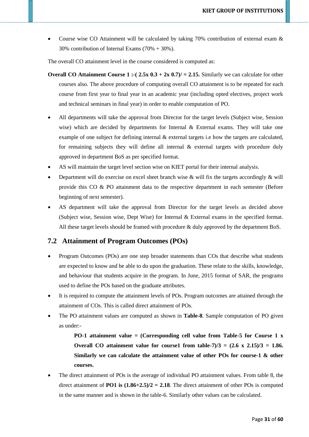• Course wise CO Attainment will be calculated by taking 70% contribution of external exam & 30% contribution of Internal Exams (70% + 30%).

The overall CO attainment level in the course considered is computed as:

- **Overall CO Attainment Course 1 :-(** $2.5x$  **0.3 +**  $2x$  **0.7)/ = 2.15. Similarly we can calculate for other** courses also. The above procedure of computing overall CO attainment is to be repeated for each course from first year to final year in an academic year (including opted electives, project work and technical seminars in final year) in order to enable computation of PO.
- All departments will take the approval from Director for the target levels (Subject wise, Session wise) which are decided by departments for Internal & External exams. They will take one example of one subject for defining internal & external targets i.e how the targets are calculated, for remaining subjects they will define all internal  $\&$  external targets with procedure duly approved in department BoS as per specified format.
- AS will maintain the target level section wise on KIET portal for their internal analysis.
- Department will do exercise on excel sheet branch wise  $\&$  will fix the targets accordingly  $\&$  will provide this CO & PO attainment data to the respective department in each semester (Before beginning of next semester).
- AS department will take the approval from Director for the target levels as decided above (Subject wise, Session wise, Dept Wise) for Internal & External exams in the specified format. All these target levels should be framed with procedure & duly approved by the department BoS.

### **7.2 Attainment of Program Outcomes (POs)**

- Program Outcomes (POs) are one step broader statements than COs that describe what students are expected to know and be able to do upon the graduation. These relate to the skills, knowledge, and behaviour that students acquire in the program. In June, 2015 format of SAR, the programs used to define the POs based on the graduate attributes.
- It is required to compute the attainment levels of POs. Program outcomes are attained through the attainment of COs. This is called direct attainment of POs.
- The PO attainment values are computed as shown in **Table-8**. Sample computation of PO given as under:-

**PO-1 attainment value = (Corresponding cell value from Table-5 for Course 1 x Overall CO attainment value for course1 from table-7** $/3$  **=**  $(2.6 \times 2.15)/3$  **= 1.86. Similarly we can calculate the attainment value of other POs for course-1 & other courses.**

• The direct attainment of POs is the average of individual PO attainment values. From table 8, the direct attainment of **PO1** is  $(1.86+2.5)/2 = 2.18$ . The direct attainment of other POs is computed in the same manner and is shown in the table-6. Similarly other values can be calculated.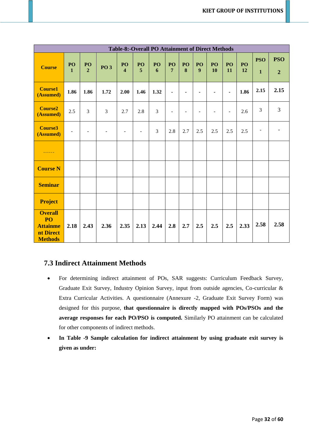|                                                                        | <b>Table-8:-Overall PO Attainment of Direct Methods</b> |                          |                          |                               |                          |         |                |                          |                |                          |                |          |                            |                              |
|------------------------------------------------------------------------|---------------------------------------------------------|--------------------------|--------------------------|-------------------------------|--------------------------|---------|----------------|--------------------------|----------------|--------------------------|----------------|----------|----------------------------|------------------------------|
| <b>Course</b>                                                          | PO<br>$\mathbf{1}$                                      | PO<br>$\overline{2}$     | <b>PO 3</b>              | PO<br>$\overline{\mathbf{4}}$ | PO<br>5                  | PO<br>6 | PO<br>7        | PO<br>8                  | PO<br>9        | PO<br>10                 | PO<br>11       | PO<br>12 | <b>PSO</b><br>$\mathbf{1}$ | <b>PSO</b><br>$\overline{2}$ |
| <b>Course1</b><br>(Assumed)                                            | 1.86                                                    | 1.86                     | 1.72                     | 2.00                          | 1.46                     | 1.32    | $\blacksquare$ | $\blacksquare$           | $\blacksquare$ |                          | $\blacksquare$ | 1.86     | 2.15                       | 2.15                         |
| <b>Course2</b><br>(Assumed)                                            | 2.5                                                     | $\overline{3}$           | $\overline{3}$           | 2.7                           | 2.8                      | 3       | $\blacksquare$ | $\overline{\phantom{a}}$ | $\blacksquare$ | $\overline{\phantom{0}}$ | $\blacksquare$ | 2.6      | 3                          | 3                            |
| <b>Course3</b><br>(Assumed)                                            | $\overline{\phantom{a}}$                                | $\overline{\phantom{a}}$ | $\overline{\phantom{a}}$ | $\overline{\phantom{a}}$      | $\overline{\phantom{a}}$ | 3       | 2.8            | 2.7                      | 2.5            | 2.5                      | 2.5            | 2.5      | $\overline{\phantom{a}}$   |                              |
| $\cdots\cdots\cdots$                                                   |                                                         |                          |                          |                               |                          |         |                |                          |                |                          |                |          |                            |                              |
| <b>Course N</b>                                                        |                                                         |                          |                          |                               |                          |         |                |                          |                |                          |                |          |                            |                              |
| <b>Seminar</b>                                                         |                                                         |                          |                          |                               |                          |         |                |                          |                |                          |                |          |                            |                              |
| <b>Project</b>                                                         |                                                         |                          |                          |                               |                          |         |                |                          |                |                          |                |          |                            |                              |
| <b>Overall</b><br>PO<br><b>Attainme</b><br>nt Direct<br><b>Methods</b> | 2.18                                                    | 2.43                     | 2.36                     | 2.35                          | 2.13                     | 2.44    | 2.8            | 2.7                      | 2.5            | 2.5                      | 2.5            | 2.33     | 2.58                       | 2.58                         |

### **7.3 Indirect Attainment Methods**

- For determining indirect attainment of POs, SAR suggests: Curriculum Feedback Survey, Graduate Exit Survey, Industry Opinion Survey, input from outside agencies, Co-curricular & Extra Curricular Activities. A questionnaire (Annexure -2, Graduate Exit Survey Form) was designed for this purpose, **that questionnaire is directly mapped with POs/PSOs and the average responses for each PO/PSO is computed.** Similarly PO attainment can be calculated for other components of indirect methods.
- **In Table -9 Sample calculation for indirect attainment by using graduate exit survey is given as under:**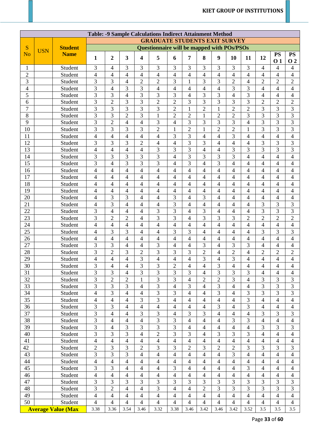|                |            |                           |                          |                                      |                         |                          | <b>Table: -9 Sample Calculations Indirect Attainment Method</b> |                          |                          |                |                          |                          |                          |                          |                |                          |
|----------------|------------|---------------------------|--------------------------|--------------------------------------|-------------------------|--------------------------|-----------------------------------------------------------------|--------------------------|--------------------------|----------------|--------------------------|--------------------------|--------------------------|--------------------------|----------------|--------------------------|
|                |            |                           |                          | <b>GRADUATE STUDENTS EXIT SURVEY</b> |                         |                          |                                                                 |                          |                          |                |                          |                          |                          |                          |                |                          |
| S              |            | <b>Student</b>            |                          |                                      |                         |                          | <b>Questionnaire will be mapped with POs/PSOs</b>               |                          |                          |                |                          |                          |                          |                          |                |                          |
| N <sub>o</sub> | <b>USN</b> | <b>Name</b>               |                          |                                      |                         |                          |                                                                 |                          |                          |                |                          |                          |                          |                          | <b>PS</b>      | <b>PS</b>                |
|                |            |                           | 1                        | $\boldsymbol{2}$                     | $\overline{\mathbf{3}}$ | $\overline{\mathbf{4}}$  | 5                                                               | 6                        | $\overline{7}$           | 8              | 9                        | 10                       | 11                       | 12                       | 0 <sub>1</sub> | 0 <sub>2</sub>           |
| $\mathbf{1}$   |            | Student                   | 3                        | $\overline{4}$                       | 3                       | 3                        | $\overline{3}$                                                  | 3                        | 3                        | 3              | 3                        | 3                        | $\overline{3}$           | $\overline{4}$           | $\overline{4}$ | $\overline{4}$           |
| $\sqrt{2}$     |            | Student                   | $\overline{4}$           | $\overline{4}$                       | $\overline{4}$          | $\overline{4}$           | $\overline{4}$                                                  | $\overline{4}$           | $\overline{4}$           | $\overline{4}$ | $\overline{4}$           | 4                        | 4                        | $\overline{\mathcal{A}}$ | 4              | 4                        |
| $\overline{3}$ |            | Student                   | 3                        | 3                                    | $\overline{4}$          | $\overline{2}$           | $\overline{2}$                                                  | 3                        | 1                        | 3              | 3                        | $\overline{2}$           | 4                        | $\overline{2}$           | $\overline{2}$ | $\overline{2}$           |
| $\overline{4}$ |            | Student                   | 3                        | $\overline{4}$                       | 3                       | 3                        | $\overline{4}$                                                  | 4                        | 4                        | 4              | $\overline{4}$           | 3                        | 3                        | 4                        | 4              | 4                        |
| 5              |            | Student                   | 3                        | 3                                    | $\overline{4}$          | 3                        | $\overline{3}$                                                  | 3                        | $\overline{4}$           | 3              | 3                        | $\overline{4}$           | 3                        | $\overline{4}$           | 4              | $\overline{4}$           |
| 6              |            | Student                   | 3                        | $\overline{2}$                       | 3                       | 3                        | $\overline{2}$                                                  | $\overline{2}$           | 3                        | 3              | 3                        | 3                        | 3                        | $\overline{2}$           | $\overline{2}$ | $\overline{2}$           |
| $\overline{7}$ |            | Student                   | $\overline{3}$           | 3                                    | 3                       | $\overline{3}$           | 3                                                               | $\overline{2}$           | $\mathbf{1}$             | $\overline{2}$ | $\mathbf{1}$             | $\overline{2}$           | $\overline{2}$           | 3                        | 3              | 3                        |
| $\overline{8}$ |            | Student                   | $\overline{3}$           | $\overline{3}$                       | $\overline{c}$          | $\overline{3}$           | $\mathbf{1}$                                                    | $\overline{2}$           | $\overline{2}$           | 1              | $\overline{2}$           | $\overline{2}$           | 3                        | 3                        | 3              | 3                        |
| 9              |            | Student                   | 3                        | $\overline{2}$                       | 4                       | $\overline{4}$           | 3                                                               | 4                        | 3                        | 3              | 3                        | 3                        | 4                        | 3                        | 3              | 3                        |
| 10             |            | Student                   | 3                        | 3                                    | 3                       | 3                        | $\overline{2}$                                                  | 1                        | $\overline{2}$           | $\mathbf{1}$   | $\overline{2}$           | $\overline{2}$           | $\mathbf{1}$             | 3                        | 3              | 3                        |
| 11             |            | Student                   | 4                        | $\overline{4}$                       | $\overline{4}$          | $\overline{4}$           | $\overline{4}$                                                  | 3                        | 3                        | $\overline{4}$ | 4                        | 3                        | $\overline{4}$           | $\overline{\mathcal{A}}$ | 4              | $\overline{4}$           |
| 12             |            | Student                   | $\overline{3}$           | 3                                    | 3                       | $\overline{c}$           | $\overline{4}$                                                  | $\overline{4}$           | $\overline{3}$           | 3              | $\overline{4}$           | $\overline{4}$           | $\overline{4}$           | 3                        | 3              | $\overline{3}$           |
| 13             |            | Student                   | $\overline{4}$           | $\overline{4}$                       | $\overline{4}$          | $\overline{\mathcal{A}}$ | 3                                                               | 3                        | 3                        | 4              | 4                        | 3                        | 3                        | 3                        | 3              | 3                        |
| 14             |            | Student                   | 3                        | 3                                    | 3                       | 3                        | 3                                                               | 4                        | 3                        | 3              | 3                        | 3                        | 4                        | $\overline{4}$           | 4              | $\overline{\mathcal{A}}$ |
| 15             |            | Student                   | 3                        | $\overline{4}$                       | 3                       | 3                        | 3                                                               | $\overline{4}$           | 3                        | $\overline{4}$ | 3                        | 4                        | 4                        | $\overline{4}$           | 4              | $\overline{\mathcal{A}}$ |
| 16             |            | Student                   | $\overline{\mathcal{L}}$ | $\overline{4}$                       | $\overline{4}$          | $\overline{4}$           | $\overline{4}$                                                  | 4                        | $\overline{4}$           | 4              | 4                        | 4                        | 4                        | $\overline{4}$           | 4              | $\overline{4}$           |
| 17             |            | Student                   | $\overline{4}$           | $\overline{4}$                       | 4                       | $\overline{\mathbf{4}}$  | $\overline{4}$                                                  | 4                        | 4                        | $\overline{4}$ | $\overline{4}$           | 4                        | 4                        | $\overline{4}$           | 4              | $\overline{4}$           |
| 18             |            | Student                   | $\overline{\mathcal{L}}$ | $\overline{4}$                       | $\overline{4}$          | $\overline{\mathbf{4}}$  | $\overline{4}$                                                  | 4                        | $\overline{4}$           | 4              | 4                        | 4                        | 4                        | 4                        | 4              | $\overline{4}$           |
| 19             |            | Student                   | $\overline{4}$           | $\overline{4}$                       | $\overline{4}$          | $\overline{4}$           | $\overline{4}$                                                  | 4                        | 4                        | 4              | 4                        | 4                        | 4                        | 4                        | 4              | 4                        |
| 20             |            | Student                   | 4                        | 3                                    | 3                       | 4                        | $\overline{4}$                                                  | 3                        | $\overline{4}$           | 3              | 4                        | 4                        | 4                        | 4                        | 4              | 4                        |
| 21             |            | Student                   | 4                        | 3                                    | $\overline{4}$          | $\overline{4}$           | $\overline{4}$                                                  | 3                        | $\overline{\mathcal{A}}$ | $\overline{4}$ | $\overline{\mathcal{A}}$ | 4                        | 4                        | $\overline{3}$           | 3              | 3                        |
| 22             |            | Student                   | 3                        | $\overline{4}$                       | 4                       | $\overline{4}$           | 3                                                               | 3                        | 4                        | 3              | $\overline{4}$           | 4                        | 4                        | 3                        | 3              | 3                        |
| 23             |            | Student                   | $\overline{3}$           | $\overline{c}$                       | $\overline{2}$          | $\overline{4}$           | 3                                                               | 3                        | $\overline{4}$           | 3              | 3                        | 3                        | $\overline{2}$           | $\overline{2}$           | $\overline{2}$ | $\overline{2}$           |
| 24             |            | Student                   | $\overline{\mathcal{L}}$ | $\overline{4}$                       | $\overline{4}$          | 4                        | $\overline{4}$                                                  | 4                        | 4                        | 4              | 4                        | 4                        | 4                        | $\overline{4}$           | 4              | $\overline{\mathcal{A}}$ |
| 25             |            | Student                   | $\overline{4}$           | 3                                    | 3                       | 4                        | $\overline{4}$                                                  | 3                        | 3                        | $\overline{4}$ | 4                        | 4                        | 4                        | 3                        | 3              | 3                        |
| 26             |            | Student                   | 4                        | $\overline{4}$                       | $\overline{4}$          | $\overline{\mathcal{A}}$ | $\overline{4}$                                                  | 4                        | $\overline{4}$           | 4              | $\overline{4}$           | 4                        | 4                        | $\overline{4}$           | 4              | 4                        |
| 27             |            | Student                   | 3                        | $\mathfrak{Z}$                       | $\overline{4}$          | $\overline{4}$           | 3                                                               | 4                        | $\overline{4}$           | 3              | $\overline{4}$           | 3                        | 3                        | $\overline{4}$           | $\overline{4}$ | $\overline{4}$           |
| 28             |            | Student                   | 3                        | $\overline{c}$                       | 3                       | $\overline{c}$           | 3                                                               | 3                        | 3                        | $\overline{2}$ | 4                        | $\overline{2}$           | 4                        | $\overline{2}$           | $\overline{2}$ | $\overline{c}$           |
| 29             |            | Student                   | $\overline{\mathbf{4}}$  | $\overline{\mathcal{L}}$             | $\overline{4}$          | $\overline{3}$           | $\overline{4}$                                                  | 4                        | $\overline{\mathcal{L}}$ | 3              | $\overline{4}$           | 3                        | 4                        | 4                        | 4              | $\overline{\mathcal{L}}$ |
| 30             |            | Student                   | 3                        | $\overline{4}$                       | 4                       | 3                        | 3                                                               | $\overline{c}$           | 4                        | 4              | 3                        | 4                        | 4                        | 4                        | 4              | 4                        |
| 31             |            | Student                   | 3                        | $\overline{3}$                       | 4                       | 3                        | $\overline{3}$                                                  | 3                        | 3                        | $\overline{4}$ | $\overline{3}$           | 3                        | 3                        | $\overline{4}$           | $\overline{4}$ | $\overline{\mathcal{L}}$ |
| 32             |            | Student                   | 3                        | $\sqrt{2}$                           | $\overline{2}$          | $\mathbf{1}$             | 3                                                               | 3                        | $\overline{4}$           | $\overline{2}$ | $\overline{2}$           | 3                        | $\overline{4}$           | 3                        | 3              | 3                        |
| 33             |            | Student                   | $\overline{3}$           | $\overline{3}$                       | 3                       | $\overline{4}$           | $\overline{3}$                                                  | $\overline{4}$           | 3                        | $\overline{4}$ | 3                        | 4                        | 4                        | 3                        | 3              | 3                        |
| 34             |            | Student                   | $\overline{4}$           | 3                                    | 4                       | $\overline{\mathcal{A}}$ | 3                                                               | 3                        | $\overline{4}$           | 4              | $\overline{3}$           | $\overline{\mathcal{A}}$ | 3                        | 3                        | 3              | 3                        |
| 35             |            | Student                   | $\overline{4}$           | $\overline{4}$                       | 4                       | 3                        | 3                                                               | 4                        | $\overline{\mathcal{A}}$ | $\overline{4}$ | $\overline{4}$           | $\overline{4}$           | 3                        | $\overline{4}$           | 4              | 4                        |
| 36             |            | Student                   | 3                        | 3                                    | 4                       | $\overline{4}$           | $\overline{4}$                                                  | 4                        | 4                        | 4              | $\overline{3}$           | $\overline{4}$           | 3                        | $\overline{4}$           | 4              | 4                        |
| 37             |            | Student                   | 3                        | $\overline{4}$                       | 4                       | 3                        | 3                                                               | 4                        | 3                        | 3              | $\overline{4}$           | 4                        | $\overline{4}$           | 3                        | 3              | 3                        |
| 38             |            | Student                   | 3                        | $\overline{4}$                       | 4                       | $\overline{\mathbf{4}}$  | 3                                                               | 3                        | $\overline{4}$           | $\overline{4}$ | $\overline{4}$           | 3                        | 3                        | $\overline{4}$           | 4              | $\overline{\mathcal{L}}$ |
| 39             |            | Student                   | 3                        | 4                                    | 3                       | 3                        | 3                                                               | 3                        | 4                        | 4              | $\overline{4}$           | $\overline{\mathcal{A}}$ | 4                        | 3                        | 3              | 3                        |
| 40             |            | Student                   | 3                        | 3                                    | 3                       | $\overline{4}$           | $\overline{2}$                                                  | 3                        | 3                        | 4              | $\overline{3}$           | 3                        | 3                        | $\overline{4}$           | 4              | $\overline{\mathcal{A}}$ |
| 41             |            | Student                   | $\overline{4}$           | $\overline{4}$                       | $\overline{4}$          | $\overline{\mathcal{A}}$ | $\overline{4}$                                                  | $\overline{\mathcal{L}}$ | $\overline{4}$           | 4              | $\overline{4}$           | 4                        | 4                        | $\overline{4}$           | 4              | $\overline{\mathcal{A}}$ |
| 42             |            | Student                   | $\overline{2}$           | 3                                    | 3                       | $\overline{2}$           | $\overline{3}$                                                  | 3                        | $\overline{2}$           | 3              | $\overline{2}$           | $\overline{2}$           | $\overline{3}$           | 3                        | 3              | 3                        |
| 43             |            | Student                   | 3                        | 3                                    | 3                       | $\overline{4}$           | $\overline{4}$                                                  | $\overline{4}$           | $\overline{4}$           | $\overline{4}$ | $\overline{4}$           | 3                        | $\overline{4}$           | $\overline{4}$           | 4              | 4                        |
| 44             |            | Student                   | $\overline{4}$           | $\overline{\mathcal{L}}$             | $\overline{4}$          | $\overline{\mathcal{A}}$ | $\overline{4}$                                                  | $\overline{\mathcal{L}}$ | $\overline{4}$           | $\overline{4}$ | $\overline{4}$           | $\overline{\mathcal{L}}$ | $\overline{\mathcal{A}}$ | $\overline{4}$           | 4              | 4                        |
| 45             |            | Student                   | 3                        | 3                                    | 4                       | $\overline{\mathcal{A}}$ | $\overline{4}$                                                  | 3                        | $\overline{4}$           | 4              | $\overline{4}$           | 4                        | 3                        | $\overline{4}$           | 4              | 4                        |
| 46             |            | Student                   | $\overline{4}$           | $\overline{4}$                       | 4                       | $\overline{\mathcal{A}}$ | $\overline{4}$                                                  | $\overline{\mathcal{L}}$ | $\overline{\mathcal{A}}$ | $\overline{4}$ | $\overline{4}$           | $\overline{\mathcal{L}}$ | $\overline{4}$           | $\overline{4}$           | 4              | $\overline{\mathcal{A}}$ |
| 47             |            | Student                   | 3                        | 3                                    | 3                       | 3                        | $\overline{3}$                                                  | 3                        | 3                        | 3              | $\overline{3}$           | 3                        | $\overline{3}$           | 3                        | 3              | 3                        |
| 48             |            | Student                   | 3                        | $\overline{2}$                       | 4                       | $\overline{4}$           | 3                                                               | $\overline{4}$           | $\overline{4}$           | $\overline{2}$ | 3                        | 3                        | 3                        | 3                        | 3              | 3                        |
| 49             |            | Student                   | $\overline{4}$           | $\overline{4}$                       | 4                       | $\overline{4}$           | $\overline{4}$                                                  | 4                        | $\overline{\mathcal{A}}$ | $\overline{4}$ | $\overline{4}$           | $\overline{\mathcal{L}}$ | $\overline{4}$           | $\overline{4}$           | $\overline{4}$ | $\overline{\mathcal{L}}$ |
| 50             |            | Student                   | 4                        | $\overline{4}$                       | 4                       | $\overline{4}$           | $\overline{4}$                                                  | 4                        | 4                        | 4              | $\overline{4}$           | 4                        | 4                        | $\overline{4}$           | 4              | 4                        |
|                |            | <b>Average Value (Max</b> | 3.38                     | 3.36                                 | 3.54                    | 3.46                     | 3.32                                                            | 3.38                     | 3.46                     | 3.42           | 3.46                     | 3.42                     | 3.52                     | 3.5                      | 3.5            | 3.5                      |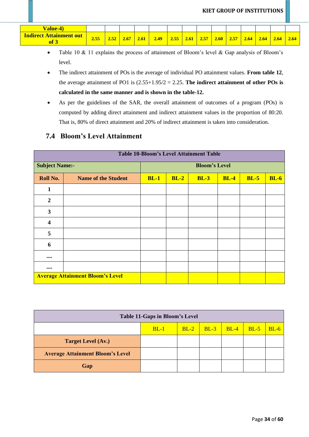| Value-4)                                      |      |      |      |      |      |      |      |      |      |      |      |      |      |      |
|-----------------------------------------------|------|------|------|------|------|------|------|------|------|------|------|------|------|------|
| <b>Indirect Attainment out</b><br><b>of</b> 3 | 2.55 | 2.52 | 2.67 | 2.61 | 2.49 | 2.55 | 2.61 | 2.57 | 2.60 | 2.57 | 2.64 | 2.64 | 2.64 | 2.64 |

- Table 10 & 11 explains the process of attainment of Bloom's level & Gap analysis of Bloom's level.
- The indirect attainment of POs is the average of individual PO attainment values. **From table 12**, the average attainment of PO1 is (2.55+1.95/2 = 2.25. **The indirect attainment of other POs is calculated in the same manner and is shown in the table-12.**
- As per the guidelines of the SAR, the overall attainment of outcomes of a program (POs) is computed by adding direct attainment and indirect attainment values in the proportion of 80:20. That is, 80% of direct attainment and 20% of indirect attainment is taken into consideration.

# **7.4 Bloom's Level Attainment**

|                                | <b>Table 10-Bloom's Level Attainment Table</b> |        |        |                      |        |        |             |  |  |  |  |  |  |  |
|--------------------------------|------------------------------------------------|--------|--------|----------------------|--------|--------|-------------|--|--|--|--|--|--|--|
| <b>Subject Name:-</b>          |                                                |        |        | <b>Bloom's Level</b> |        |        |             |  |  |  |  |  |  |  |
| Roll No.                       | <b>Name of the Student</b>                     | $BL-1$ | $BL-2$ | $BL-3$               | $BL-4$ | $BL-5$ | <b>BL-6</b> |  |  |  |  |  |  |  |
| $\mathbf{1}$                   |                                                |        |        |                      |        |        |             |  |  |  |  |  |  |  |
| $\boldsymbol{2}$               |                                                |        |        |                      |        |        |             |  |  |  |  |  |  |  |
| 3                              |                                                |        |        |                      |        |        |             |  |  |  |  |  |  |  |
| 4                              |                                                |        |        |                      |        |        |             |  |  |  |  |  |  |  |
| 5                              |                                                |        |        |                      |        |        |             |  |  |  |  |  |  |  |
| 6                              |                                                |        |        |                      |        |        |             |  |  |  |  |  |  |  |
| $\bullet\bullet\bullet\bullet$ |                                                |        |        |                      |        |        |             |  |  |  |  |  |  |  |
| $\bullet\bullet\bullet\bullet$ |                                                |        |        |                      |        |        |             |  |  |  |  |  |  |  |
|                                | <b>Average Attainment Bloom's Level</b>        |        |        |                      |        |        |             |  |  |  |  |  |  |  |

|                                         | Table 11-Gaps in Bloom's Level<br>$BL-2$   $BL-3$   $BL-4$   $BL-5$<br>$BL-1$ |  |  |  |  |        |  |  |  |
|-----------------------------------------|-------------------------------------------------------------------------------|--|--|--|--|--------|--|--|--|
|                                         |                                                                               |  |  |  |  | $BL-6$ |  |  |  |
| <b>Target Level (Av.)</b>               |                                                                               |  |  |  |  |        |  |  |  |
| <b>Average Attainment Bloom's Level</b> |                                                                               |  |  |  |  |        |  |  |  |
| Gap                                     |                                                                               |  |  |  |  |        |  |  |  |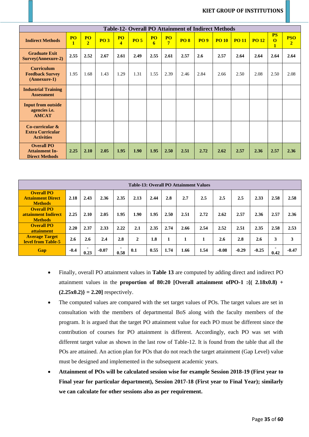| <b>Table-12- Overall PO Attainment of Indirect Methods</b>          |                           |                      |            |                                      |             |         |                                  |             |            |              |             |              |                                             |                              |
|---------------------------------------------------------------------|---------------------------|----------------------|------------|--------------------------------------|-------------|---------|----------------------------------|-------------|------------|--------------|-------------|--------------|---------------------------------------------|------------------------------|
| <b>Indirect Methods</b>                                             | <b>PO</b><br>$\mathbf{1}$ | PO<br>$\overline{2}$ | <b>PO3</b> | <b>PO</b><br>$\overline{\mathbf{4}}$ | <b>PO 5</b> | PO<br>6 | P <sub>O</sub><br>$\overline{7}$ | <b>PO 8</b> | <b>PO9</b> | <b>PO 10</b> | <b>PO11</b> | <b>PO 12</b> | <b>PS</b><br>$\overline{O}$<br>$\mathbf{1}$ | <b>PSO</b><br>$\overline{2}$ |
| <b>Graduate Exit</b><br><b>Survey</b> (Annexure-2)                  | 2.55                      | 2.52                 | 2.67       | 2.61                                 | 2.49        | 2.55    | 2.61                             | 2.57        | 2.6        | 2.57         | 2.64        | 2.64         | 2.64                                        | 2.64                         |
| <b>Curriculum</b><br><b>Feedback Survey</b><br>$(Annexure-1)$       | 1.95                      | 1.68                 | 1.43       | 1.29                                 | 1.31        | 1.55    | 2.39                             | 2.46        | 2.84       | 2.66         | 2.50        | 2.08         | 2.50                                        | 2.08                         |
| <b>Industrial Training</b><br><b>Assessment</b>                     |                           |                      |            |                                      |             |         |                                  |             |            |              |             |              |                                             |                              |
| <b>Input from outside</b><br>agencies <i>i.e.</i><br><b>AMCAT</b>   |                           |                      |            |                                      |             |         |                                  |             |            |              |             |              |                                             |                              |
| Co-curricular $\&$<br><b>Extra Curricular</b><br><b>Activities</b>  |                           |                      |            |                                      |             |         |                                  |             |            |              |             |              |                                             |                              |
| <b>Overall PO</b><br><b>Attainment In-</b><br><b>Direct Methods</b> | 2.25                      | 2.10                 | 2.05       | 1.95                                 | 1.90        | 1.95    | 2.50                             | 2.51        | 2.72       | 2.62         | 2.57        | 2.36         | 2.57                                        | 2.36                         |

| <b>Table-13: Overall PO Attainment Values</b>                   |        |           |         |           |              |      |      |      |      |         |         |         |      |         |
|-----------------------------------------------------------------|--------|-----------|---------|-----------|--------------|------|------|------|------|---------|---------|---------|------|---------|
| <b>Overall PO</b><br><b>Attainment Direct</b><br><b>Methods</b> | 2.18   | 2.43      | 2.36    | 2.35      | 2.13         | 2.44 | 2.8  | 2.7  | 2.5  | $2.5\,$ | 2.5     | 2.33    | 2.58 | 2.58    |
| <b>Overall PO</b><br>attainment Indirect<br><b>Methods</b>      | 2.25   | 2.10      | 2.05    | 1.95      | 1.90         | 1.95 | 2.50 | 2.51 | 2.72 | 2.62    | 2.57    | 2.36    | 2.57 | 2.36    |
| <b>Overall PO</b><br>attainment                                 | 2.20   | 2.37      | 2.33    | 2.22      | 2.1          | 2.35 | 2.74 | 2.66 | 2.54 | 2.52    | 2.51    | 2.35    | 2.58 | 2.53    |
| <b>Average Target</b><br><b>level from Table-5</b>              | 2.6    | 2.6       | 2.4     | 2.8       | $\mathbf{2}$ | 1.8  |      | 1    |      | 2.6     | 2.8     | 2.6     | 3    | 3       |
| Gap                                                             | $-0.4$ | ۰<br>0.23 | $-0.07$ | ۰<br>0.58 | 0.1          | 0.55 | 1.74 | 1.66 | 1.54 | $-0.08$ | $-0.29$ | $-0.25$ | 0.42 | $-0.47$ |

- Finally, overall PO attainment values in **Table 13** are computed by adding direct and indirect PO attainment values in the **proportion of 80:20 [Overall attainment ofPO-1 :{( 2.18x0.8) +**   $(2.25x0.2)$  = 2.20] respectively.
- The computed values are compared with the set target values of POs. The target values are set in consultation with the members of departmental BoS along with the faculty members of the program. It is argued that the target PO attainment value for each PO must be different since the contribution of courses for PO attainment is different. Accordingly, each PO was set with different target value as shown in the last row of Table-12. It is found from the table that all the POs are attained. An action plan for POs that do not reach the target attainment (Gap Level) value must be designed and implemented in the subsequent academic years.
- **Attainment of POs will be calculated session wise for example Session 2018-19 (First year to Final year for particular department), Session 2017-18 (First year to Final Year); similarly we can calculate for other sessions also as per requirement.**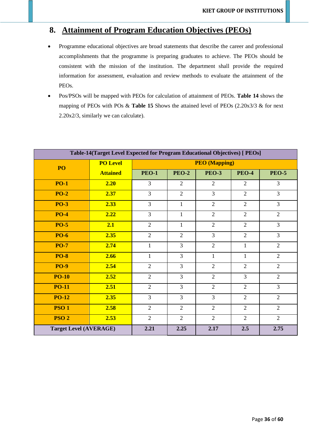# **8. Attainment of Program Education Objectives (PEOs)**

- Programme educational objectives are broad statements that describe the career and professional accomplishments that the programme is preparing graduates to achieve. The PEOs should be consistent with the mission of the institution. The department shall provide the required information for assessment, evaluation and review methods to evaluate the attainment of the PEOs.
- Pos/PSOs will be mapped with PEOs for calculation of attainment of PEOs. **Table 14** shows the mapping of PEOs with POs & **Table 15** Shows the attained level of PEOs (2.20x3/3 & for next 2.20x2/3, similarly we can calculate).

| Table-14(Target Level Expected for Program Educational Objectives) [ PEOs] |                 |                                                                    |                |                      |                |                |  |  |  |  |  |  |
|----------------------------------------------------------------------------|-----------------|--------------------------------------------------------------------|----------------|----------------------|----------------|----------------|--|--|--|--|--|--|
| PO                                                                         | <b>PO Level</b> |                                                                    |                | <b>PEO</b> (Mapping) |                |                |  |  |  |  |  |  |
|                                                                            | <b>Attained</b> | <b>PEO-1</b>                                                       | <b>PEO-2</b>   | <b>PEO-3</b>         | <b>PEO-4</b>   | <b>PEO-5</b>   |  |  |  |  |  |  |
| <b>PO-1</b>                                                                | 2.20            | $\overline{3}$                                                     | $\overline{2}$ | $\overline{2}$       | $\overline{2}$ | $\overline{3}$ |  |  |  |  |  |  |
| <b>PO-2</b>                                                                | 2.37            | $\overline{3}$                                                     | $\overline{2}$ | $\overline{3}$       | $\overline{2}$ | $\overline{3}$ |  |  |  |  |  |  |
| <b>PO-3</b>                                                                | 2.33            | $\overline{3}$                                                     | $\mathbf{1}$   | $\overline{2}$       | $\overline{2}$ | $\overline{3}$ |  |  |  |  |  |  |
| <b>PO-4</b>                                                                | 2.22            | $\overline{3}$<br>$\overline{2}$<br>$\overline{2}$<br>$\mathbf{1}$ |                |                      |                |                |  |  |  |  |  |  |
| <b>PO-5</b>                                                                | 2.1             | $\overline{2}$                                                     | $\mathbf{1}$   | $\overline{2}$       | $\overline{2}$ | $\overline{3}$ |  |  |  |  |  |  |
| <b>PO-6</b>                                                                | 2.35            | $\overline{2}$                                                     | $\overline{2}$ | $\overline{3}$       | $\overline{2}$ | $\overline{3}$ |  |  |  |  |  |  |
| <b>PO-7</b>                                                                | 2.74            | $\mathbf{1}$                                                       | $\overline{3}$ | $\overline{2}$       | $\mathbf{1}$   | $\overline{2}$ |  |  |  |  |  |  |
| <b>PO-8</b>                                                                | 2.66            | $\mathbf{1}$                                                       | $\overline{3}$ | $\mathbf{1}$         | $\mathbf{1}$   | $\overline{2}$ |  |  |  |  |  |  |
| <b>PO-9</b>                                                                | 2.54            | $\overline{2}$                                                     | $\overline{3}$ | $\overline{2}$       | $\overline{2}$ | $\overline{2}$ |  |  |  |  |  |  |
| <b>PO-10</b>                                                               | 2.52            | $\overline{2}$                                                     | $\overline{3}$ | $\overline{2}$       | $\overline{3}$ | $\overline{2}$ |  |  |  |  |  |  |
| <b>PO-11</b>                                                               | 2.51            | $\overline{2}$                                                     | $\overline{3}$ | $\overline{2}$       | $\overline{2}$ | $\overline{3}$ |  |  |  |  |  |  |
| <b>PO-12</b>                                                               | 2.35            | $\overline{3}$                                                     | $\overline{3}$ | $\overline{3}$       | $\overline{2}$ | $\overline{2}$ |  |  |  |  |  |  |
| <b>PSO1</b>                                                                | 2.58            | $\overline{2}$                                                     | $\overline{2}$ | $\overline{2}$       | $\overline{2}$ | $\overline{2}$ |  |  |  |  |  |  |
| <b>PSO 2</b><br>2.53                                                       |                 | $\overline{2}$                                                     | $\overline{2}$ | $\overline{2}$       | $\overline{2}$ | $\overline{2}$ |  |  |  |  |  |  |
| <b>Target Level (AVERAGE)</b>                                              |                 | 2.21                                                               | 2.25           | 2.17                 | 2.5            | 2.75           |  |  |  |  |  |  |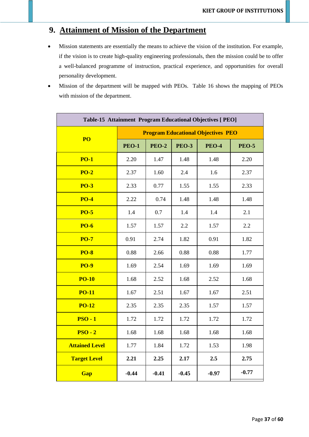# **9. Attainment of Mission of the Department**

- Mission statements are essentially the means to achieve the vision of the institution. For example, if the vision is to create high-quality engineering professionals, then the mission could be to offer a well-balanced programme of instruction, practical experience, and opportunities for overall personality development.
- Mission of the department will be mapped with PEOs. Table 16 shows the mapping of PEOs with mission of the department.

| Table-15 Attainment Program Educational Objectives [ PEO] |              |              |              |                                           |              |  |  |  |  |  |  |  |
|-----------------------------------------------------------|--------------|--------------|--------------|-------------------------------------------|--------------|--|--|--|--|--|--|--|
| PO                                                        |              |              |              | <b>Program Educational Objectives PEO</b> |              |  |  |  |  |  |  |  |
|                                                           | <b>PEO-1</b> | <b>PEO-2</b> | <b>PEO-3</b> | <b>PEO-4</b>                              | <b>PEO-5</b> |  |  |  |  |  |  |  |
| <b>PO-1</b>                                               | 2.20         | 1.47         | 1.48         | 1.48                                      | 2.20         |  |  |  |  |  |  |  |
| <b>PO-2</b>                                               | 2.37         | 1.60         | 2.4          | 1.6                                       | 2.37         |  |  |  |  |  |  |  |
| <b>PO-3</b>                                               | 2.33         | 0.77         | 1.55         | 1.55                                      | 2.33         |  |  |  |  |  |  |  |
| <b>PO-4</b>                                               | 2.22         | 0.74         | 1.48         | 1.48                                      | 1.48         |  |  |  |  |  |  |  |
| <b>PO-5</b>                                               | 1.4          | 0.7          | 1.4          | 1.4                                       | 2.1          |  |  |  |  |  |  |  |
| <b>PO-6</b>                                               | 1.57         | 1.57         | 2.2          | 1.57                                      | 2.2          |  |  |  |  |  |  |  |
| <b>PO-7</b>                                               | 0.91         | 2.74         | 1.82         | 0.91                                      | 1.82         |  |  |  |  |  |  |  |
| <b>PO-8</b>                                               | 0.88         | 2.66         | 0.88         | 0.88                                      | 1.77         |  |  |  |  |  |  |  |
| <b>PO-9</b>                                               | 1.69         | 2.54         | 1.69         | 1.69                                      | 1.69         |  |  |  |  |  |  |  |
| <b>PO-10</b>                                              | 1.68         | 2.52         | 1.68         | 2.52                                      | 1.68         |  |  |  |  |  |  |  |
| <b>PO-11</b>                                              | 1.67         | 2.51         | 1.67         | 1.67                                      | 2.51         |  |  |  |  |  |  |  |
| <b>PO-12</b>                                              | 2.35         | 2.35         | 2.35         | 1.57                                      | 1.57         |  |  |  |  |  |  |  |
| $PSO - 1$                                                 | 1.72         | 1.72         | 1.72         | 1.72                                      | 1.72         |  |  |  |  |  |  |  |
| $PSO - 2$                                                 | 1.68         | 1.68         | 1.68         | 1.68                                      | 1.68         |  |  |  |  |  |  |  |
| <b>Attained Level</b>                                     | 1.77         | 1.84         | 1.72         | 1.53                                      | 1.98         |  |  |  |  |  |  |  |
| <b>Target Level</b>                                       | 2.21         | 2.25         | 2.17         | 2.5                                       | 2.75         |  |  |  |  |  |  |  |
| Gap                                                       | $-0.44$      | $-0.41$      | $-0.45$      | $-0.97$                                   | $-0.77$      |  |  |  |  |  |  |  |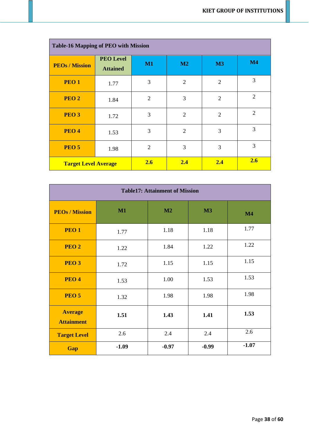|                             | <b>Table-16 Mapping of PEO with Mission</b> |                |                |                |                |  |  |  |  |  |  |  |  |
|-----------------------------|---------------------------------------------|----------------|----------------|----------------|----------------|--|--|--|--|--|--|--|--|
| <b>PEOs / Mission</b>       | <b>PEO Level</b><br><b>Attained</b>         | M1             | M2             | M3             | M4             |  |  |  |  |  |  |  |  |
| PEO <sub>1</sub>            | 1.77                                        | 3              | $\overline{2}$ | $\overline{2}$ | 3              |  |  |  |  |  |  |  |  |
| PEO <sub>2</sub>            | 1.84                                        | $\overline{2}$ | 3              | $\overline{2}$ | $\overline{2}$ |  |  |  |  |  |  |  |  |
| PEO <sub>3</sub>            | 1.72                                        | 3              | $\overline{2}$ | $\overline{2}$ | 2              |  |  |  |  |  |  |  |  |
| PEO <sub>4</sub>            | 1.53                                        | 3              | $\overline{2}$ | 3              | 3              |  |  |  |  |  |  |  |  |
| PEO <sub>5</sub>            | 1.98                                        | $\overline{2}$ | 3              | 3              | 3              |  |  |  |  |  |  |  |  |
| <b>Target Level Average</b> |                                             | 2.6            | 2.4            | 2.4            | 2.6            |  |  |  |  |  |  |  |  |

|                                     | <b>Table17: Attainment of Mission</b> |         |         |         |  |
|-------------------------------------|---------------------------------------|---------|---------|---------|--|
| <b>PEOs / Mission</b>               | M1                                    | M2      | M3      | M4      |  |
| PEO <sub>1</sub>                    | 1.77                                  | 1.18    | 1.18    | 1.77    |  |
| PEO <sub>2</sub>                    | 1.22                                  | 1.84    | 1.22    | 1.22    |  |
| PEO <sub>3</sub>                    | 1.72                                  | 1.15    | 1.15    | 1.15    |  |
| PEO <sub>4</sub>                    | 1.53                                  | 1.00    | 1.53    | 1.53    |  |
| PEO <sub>5</sub>                    | 1.32                                  | 1.98    | 1.98    | 1.98    |  |
| <b>Average</b><br><b>Attainment</b> | 1.51                                  | 1.43    | 1.41    | 1.53    |  |
| <b>Target Level</b>                 | 2.6                                   | 2.4     | 2.4     | 2.6     |  |
| Gap                                 | $-1.09$                               | $-0.97$ | $-0.99$ | $-1.07$ |  |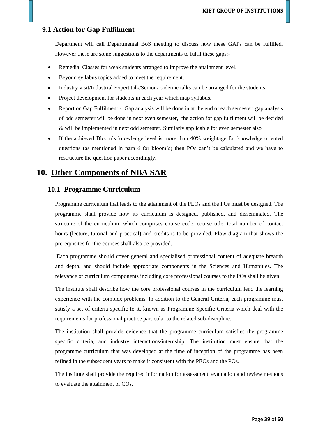### **9.1 Action for Gap Fulfilment**

Department will call Departmental BoS meeting to discuss how these GAPs can be fulfilled. However these are some suggestions to the departments to fulfil these gaps:-

- Remedial Classes for weak students arranged to improve the attainment level.
- Beyond syllabus topics added to meet the requirement.
- Industry visit/Industrial Expert talk/Senior academic talks can be arranged for the students.
- Project development for students in each year which map syllabus.
- Report on Gap Fulfilment:- Gap analysis will be done in at the end of each semester, gap analysis of odd semester will be done in next even semester, the action for gap fulfilment will be decided & will be implemented in next odd semester. Similarly applicable for even semester also
- If the achieved Bloom's knowledge level is more than 40% weightage for knowledge oriented questions (as mentioned in para 6 for bloom's) then POs can't be calculated and we have to restructure the question paper accordingly.

# **10. Other Components of NBA SAR**

### **10.1 Programme Curriculum**

Programme curriculum that leads to the attainment of the PEOs and the POs must be designed. The programme shall provide how its curriculum is designed, published, and disseminated. The structure of the curriculum, which comprises course code, course title, total number of contact hours (lecture, tutorial and practical) and credits is to be provided. Flow diagram that shows the prerequisites for the courses shall also be provided.

Each programme should cover general and specialised professional content of adequate breadth and depth, and should include appropriate components in the Sciences and Humanities. The relevance of curriculum components including core professional courses to the POs shall be given.

The institute shall describe how the core professional courses in the curriculum lend the learning experience with the complex problems. In addition to the General Criteria, each programme must satisfy a set of criteria specific to it, known as Programme Specific Criteria which deal with the requirements for professional practice particular to the related sub-discipline.

The institution shall provide evidence that the programme curriculum satisfies the programme specific criteria, and industry interactions/internship. The institution must ensure that the programme curriculum that was developed at the time of inception of the programme has been refined in the subsequent years to make it consistent with the PEOs and the POs.

The institute shall provide the required information for assessment, evaluation and review methods to evaluate the attainment of COs.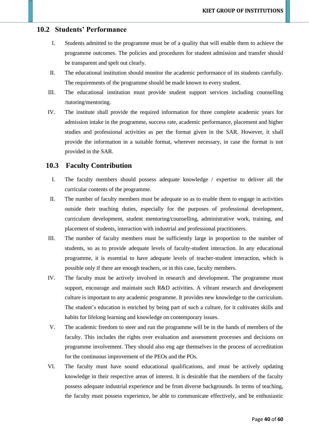### **10.2 Students' Performance**

- I. Students admitted to the programme must be of a quality that will enable them to achieve the programme outcomes. The policies and procedures for student admission and transfer should be transparent and spelt out clearly.
- II. The educational institution should monitor the academic performance of its students carefully. The requirements of the programme should be made known to every student.
- III. The educational institution must provide student support services including counselling /tutoring/mentoring.
- IV. The institute shall provide the required information for three complete academic years for admission intake in the programme, success rate, academic performance, placement and higher studies and professional activities as per the format given in the SAR. However, it shall provide the information in a suitable format, wherever necessary, in case the format is not provided in the SAR.

### **10.3 Faculty Contribution**

- I. The faculty members should possess adequate knowledge / expertise to deliver all the curricular contents of the programme.
- II. The number of faculty members must be adequate so as to enable them to engage in activities outside their teaching duties, especially for the purposes of professional development, curriculum development, student mentoring/counselling, administrative work, training, and placement of students, interaction with industrial and professional practitioners.
- III. The number of faculty members must be sufficiently large in proportion to the number of students, so as to provide adequate levels of faculty-student interaction. In any educational programme, it is essential to have adequate levels of teacher-student interaction, which is possible only if there are enough teachers, or in this case, faculty members.
- IV. The faculty must be actively involved in research and development. The programme must support, encourage and maintain such R&D activities. A vibrant research and development culture is important to any academic programme. It provides new knowledge to the curriculum. The student's education is enriched by being part of such a culture, for it cultivates skills and habits for lifelong learning and knowledge on contemporary issues.
- V. The academic freedom to steer and run the programme will be in the hands of members of the faculty. This includes the rights over evaluation and assessment processes and decisions on programme involvement. They should also eng age themselves in the process of accreditation for the continuous improvement of the PEOs and the POs.
- VI. The faculty must have sound educational qualifications, and must be actively updating knowledge in their respective areas of interest. It is desirable that the members of the faculty possess adequate industrial experience and be from diverse backgrounds. In terms of teaching, the faculty must possess experience, be able to communicate effectively, and be enthusiastic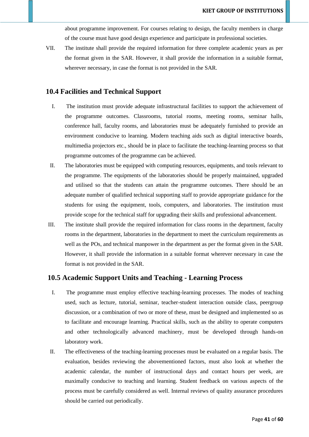about programme improvement. For courses relating to design, the faculty members in charge of the course must have good design experience and participate in professional societies.

VII. The institute shall provide the required information for three complete academic years as per the format given in the SAR. However, it shall provide the information in a suitable format, wherever necessary, in case the format is not provided in the SAR.

### **10.4 Facilities and Technical Support**

- I. The institution must provide adequate infrastructural facilities to support the achievement of the programme outcomes. Classrooms, tutorial rooms, meeting rooms, seminar halls, conference hall, faculty rooms, and laboratories must be adequately furnished to provide an environment conducive to learning. Modern teaching aids such as digital interactive boards, multimedia projectors etc., should be in place to facilitate the teaching-learning process so that programme outcomes of the programme can be achieved.
- II. The laboratories must be equipped with computing resources, equipments, and tools relevant to the programme. The equipments of the laboratories should be properly maintained, upgraded and utilised so that the students can attain the programme outcomes. There should be an adequate number of qualified technical supporting staff to provide appropriate guidance for the students for using the equipment, tools, computers, and laboratories. The institution must provide scope for the technical staff for upgrading their skills and professional advancement.
- III. The institute shall provide the required information for class rooms in the department, faculty rooms in the department, laboratories in the department to meet the curriculum requirements as well as the POs, and technical manpower in the department as per the format given in the SAR. However, it shall provide the information in a suitable format wherever necessary in case the format is not provided in the SAR.

### **10.5 Academic Support Units and Teaching - Learning Process**

- I. The programme must employ effective teaching-learning processes. The modes of teaching used, such as lecture, tutorial, seminar, teacher-student interaction outside class, peergroup discussion, or a combination of two or more of these, must be designed and implemented so as to facilitate and encourage learning. Practical skills, such as the ability to operate computers and other technologically advanced machinery, must be developed through hands-on laboratory work.
- II. The effectiveness of the teaching-learning processes must be evaluated on a regular basis. The evaluation, besides reviewing the abovementioned factors, must also look at whether the academic calendar, the number of instructional days and contact hours per week, are maximally conducive to teaching and learning. Student feedback on various aspects of the process must be carefully considered as well. Internal reviews of quality assurance procedures should be carried out periodically.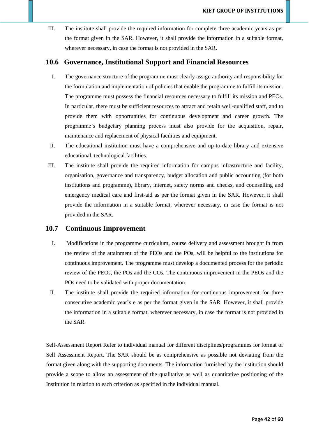III. The institute shall provide the required information for complete three academic years as per the format given in the SAR. However, it shall provide the information in a suitable format, wherever necessary, in case the format is not provided in the SAR.

### **10.6 Governance, Institutional Support and Financial Resources**

- I. The governance structure of the programme must clearly assign authority and responsibility for the formulation and implementation of policies that enable the programme to fulfill its mission. The programme must possess the financial resources necessary to fulfill its mission and PEOs. In particular, there must be sufficient resources to attract and retain well-qualified staff, and to provide them with opportunities for continuous development and career growth. The programme's budgetary planning process must also provide for the acquisition, repair, maintenance and replacement of physical facilities and equipment.
- II. The educational institution must have a comprehensive and up-to-date library and extensive educational, technological facilities.
- III. The institute shall provide the required information for campus infrastructure and facility, organisation, governance and transparency, budget allocation and public accounting (for both institutions and programme), library, internet, safety norms and checks, and counselling and emergency medical care and first-aid as per the format given in the SAR. However, it shall provide the information in a suitable format, wherever necessary, in case the format is not provided in the SAR.

### **10.7 Continuous Improvement**

- I. Modifications in the programme curriculum, course delivery and assessment brought in from the review of the attainment of the PEOs and the POs, will be helpful to the institutions for continuous improvement. The programme must develop a documented process for the periodic review of the PEOs, the POs and the COs. The continuous improvement in the PEOs and the POs need to be validated with proper documentation.
- II. The institute shall provide the required information for continuous improvement for three consecutive academic year's e as per the format given in the SAR. However, it shall provide the information in a suitable format, wherever necessary, in case the format is not provided in the SAR.

Self-Assessment Report Refer to individual manual for different disciplines/programmes for format of Self Assessment Report. The SAR should be as comprehensive as possible not deviating from the format given along with the supporting documents. The information furnished by the institution should provide a scope to allow an assessment of the qualitative as well as quantitative positioning of the Institution in relation to each criterion as specified in the individual manual.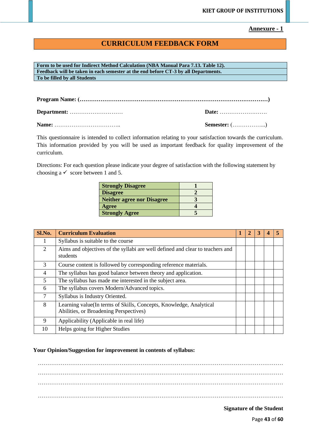### **Annexure - 1**

# **CURRICULUM FEEDBACK FORM**

**Form to be used for Indirect Method Calculation (NBA Manual Para 7.13. Table 12). Feedback will be taken in each semester at the end before CT-3 by all Departments. To be filled by all Students**

**Program Name: (………………………………………………………………………………………)**

**Department:** ………………….…… **Date:** ……………………. **Name:** …………………………….. **Semester:** (……………...)

This questionnaire is intended to collect information relating to your satisfaction towards the curriculum. This information provided by you will be used as important feedback for quality improvement of the curriculum.

Directions: For each question please indicate your degree of satisfaction with the following statement by choosing a  $\checkmark$  score between 1 and 5.

| <b>Strongly Disagree</b>          |  |
|-----------------------------------|--|
| <b>Disagree</b>                   |  |
| <b>Neither agree nor Disagree</b> |  |
| Agree                             |  |
| <b>Strongly Agree</b>             |  |

| Sl.No.         | <b>Curriculum Evaluation</b>                                                                                 |  |  |  |
|----------------|--------------------------------------------------------------------------------------------------------------|--|--|--|
| л.             | Syllabus is suitable to the course                                                                           |  |  |  |
| 2              | Aims and objectives of the syllabi are well defined and clear to teachers and<br>students                    |  |  |  |
| 3              | Course content is followed by corresponding reference materials.                                             |  |  |  |
| $\overline{4}$ | The syllabus has good balance between theory and application.                                                |  |  |  |
| 5              | The syllabus has made me interested in the subject area.                                                     |  |  |  |
| 6              | The syllabus covers Modern/Advanced topics.                                                                  |  |  |  |
| $\overline{7}$ | Syllabus is Industry Oriented.                                                                               |  |  |  |
| 8              | Learning value(In terms of Skills, Concepts, Knowledge, Analytical<br>Abilities, or Broadening Perspectives) |  |  |  |
| 9              | Applicability (Applicable in real life)                                                                      |  |  |  |
| 10             | Helps going for Higher Studies                                                                               |  |  |  |

### **Your Opinion/Suggestion for improvement in contents of syllabus:**

………………………………………………………………………………………………………………… ………………………………………………………………………………………………………………… ………………………………………………………………………………………………………………… …………………………………………………………………………………………………………………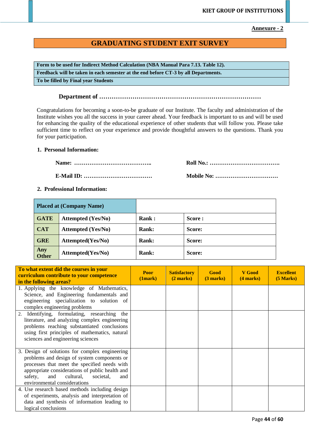**Annexure - 2**

### **GRADUATING STUDENT EXIT SURVEY**

**Form to be used for Indirect Method Calculation (NBA Manual Para 7.13. Table 12). Feedback will be taken in each semester at the end before CT-3 by all Departments. To be filled by Final year Students**

**Department of ……………………………………………………………………**

Congratulations for becoming a soon-to-be graduate of our Institute. The faculty and administration of the Institute wishes you all the success in your career ahead. Your feedback is important to us and will be used for enhancing the quality of the educational experience of other students that will follow you. Please take sufficient time to reflect on your experience and provide thoughtful answers to the questions. Thank you for your participation.

### **1. Personal Information:**

**Name: ………………………………….. Roll No.: ………………………………. E-Mail ID: ……………………………… Mobile No: ……………………………**

### **2. Professional Information:**

|                     | <b>Placed at (Company Name)</b> |              |        |
|---------------------|---------------------------------|--------------|--------|
| <b>GATE</b>         | <b>Attempted (Yes/No)</b>       | <b>Rank:</b> | Score: |
| <b>CAT</b>          | <b>Attempted (Yes/No)</b>       | <b>Rank:</b> | Score: |
| <b>GRE</b>          | Attempted(Yes/No)               | <b>Rank:</b> | Score: |
| Any<br><b>Other</b> | Attempted(Yes/No)               | <b>Rank:</b> | Score: |

| To what extent did the courses in your<br>curriculum contribute to your competence<br>in the following areas? | <b>Poor</b><br>(1mark) | <b>Satisfactory</b><br>$(2 \text{ marks})$ | Good<br>(3 marks) | V Good<br>$(4$ marks) | <b>Excellent</b><br>(5 Marks) |
|---------------------------------------------------------------------------------------------------------------|------------------------|--------------------------------------------|-------------------|-----------------------|-------------------------------|
| 1. Applying the knowledge of Mathematics,                                                                     |                        |                                            |                   |                       |                               |
| Science, and Engineering fundamentals and                                                                     |                        |                                            |                   |                       |                               |
| engineering specialization to solution of                                                                     |                        |                                            |                   |                       |                               |
| complex engineering problems                                                                                  |                        |                                            |                   |                       |                               |
| Identifying, formulating, researching the<br>2.                                                               |                        |                                            |                   |                       |                               |
| literature, and analyzing complex engineering                                                                 |                        |                                            |                   |                       |                               |
| problems reaching substantiated conclusions                                                                   |                        |                                            |                   |                       |                               |
| using first principles of mathematics, natural                                                                |                        |                                            |                   |                       |                               |
| sciences and engineering sciences                                                                             |                        |                                            |                   |                       |                               |
| 3. Design of solutions for complex engineering                                                                |                        |                                            |                   |                       |                               |
| problems and design of system components or                                                                   |                        |                                            |                   |                       |                               |
| processes that meet the specified needs with                                                                  |                        |                                            |                   |                       |                               |
| appropriate considerations of public health and                                                               |                        |                                            |                   |                       |                               |
| cultural,<br>and<br>societal,<br>safety,<br>and                                                               |                        |                                            |                   |                       |                               |
| environmental considerations                                                                                  |                        |                                            |                   |                       |                               |
| 4. Use research based methods including design                                                                |                        |                                            |                   |                       |                               |
| of experiments, analysis and interpretation of                                                                |                        |                                            |                   |                       |                               |
| data and synthesis of information leading to                                                                  |                        |                                            |                   |                       |                               |
| logical conclusions                                                                                           |                        |                                            |                   |                       |                               |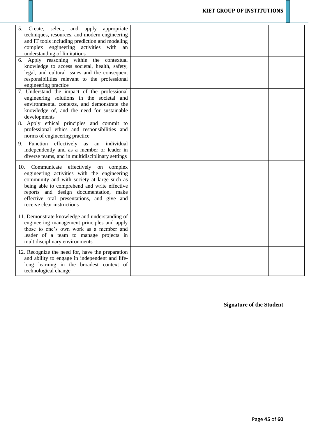| select,<br>and apply<br>5.<br>Create,<br>appropriate<br>techniques, resources, and modern engineering<br>and IT tools including prediction and modeling<br>complex engineering activities with<br>an<br>understanding of limitations                                                                       |  |  |  |
|------------------------------------------------------------------------------------------------------------------------------------------------------------------------------------------------------------------------------------------------------------------------------------------------------------|--|--|--|
| 6. Apply reasoning within the contextual<br>knowledge to access societal, health, safety,<br>legal, and cultural issues and the consequent<br>responsibilities relevant to the professional<br>engineering practice                                                                                        |  |  |  |
| 7. Understand the impact of the professional<br>engineering solutions in the societal and<br>environmental contexts, and demonstrate the<br>knowledge of, and the need for sustainable<br>developments                                                                                                     |  |  |  |
| 8. Apply ethical principles and commit to<br>professional ethics and responsibilities and<br>norms of engineering practice                                                                                                                                                                                 |  |  |  |
| 9. Function effectively<br>individual<br>as<br>an<br>independently and as a member or leader in<br>diverse teams, and in multidisciplinary settings                                                                                                                                                        |  |  |  |
| 10. Communicate effectively on complex<br>engineering activities with the engineering<br>community and with society at large such as<br>being able to comprehend and write effective<br>reports and design documentation, make<br>effective oral presentations, and give and<br>receive clear instructions |  |  |  |
| 11. Demonstrate knowledge and understanding of<br>engineering management principles and apply<br>those to one's own work as a member and<br>leader of a team to manage projects in<br>multidisciplinary environments                                                                                       |  |  |  |
| 12. Recognize the need for, have the preparation<br>and ability to engage in independent and life-<br>long learning in the broadest context of<br>technological change                                                                                                                                     |  |  |  |

**Signature of the Student**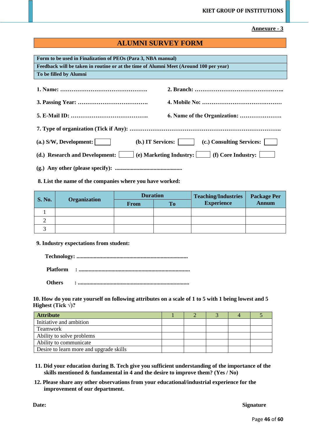### **Annexure - 3**

### **ALUMNI SURVEY FORM**

| Form to be used in Finalization of PEOs (Para 3, NBA manual)<br>Feedback will be taken in routine or at the time of Alumni Meet (Around 100 per year) |                                                             |  |  |  |
|-------------------------------------------------------------------------------------------------------------------------------------------------------|-------------------------------------------------------------|--|--|--|
| To be filled by Alumni                                                                                                                                |                                                             |  |  |  |
|                                                                                                                                                       |                                                             |  |  |  |
|                                                                                                                                                       |                                                             |  |  |  |
|                                                                                                                                                       |                                                             |  |  |  |
|                                                                                                                                                       |                                                             |  |  |  |
| $(a.)$ S/W, Development:                                                                                                                              | (c.) Consulting Services:<br>(b.) IT Services:              |  |  |  |
| (d.) Research and Development:                                                                                                                        | (e) Marketing Industry: $\boxed{\qquad}$ (f) Core Industry: |  |  |  |
|                                                                                                                                                       |                                                             |  |  |  |

### **8. List the name of the companies where you have worked:**

| <b>S. No.</b> |                     | <b>Duration</b> |           | <b>Teaching/Industries</b> | <b>Package Per</b> |
|---------------|---------------------|-----------------|-----------|----------------------------|--------------------|
|               | <b>Organization</b> | <b>From</b>     | <b>To</b> | <b>Experience</b>          | <b>Annum</b>       |
|               |                     |                 |           |                            |                    |
|               |                     |                 |           |                            |                    |
|               |                     |                 |           |                            |                    |

### **9. Industry expectations from student:**

 **Technology: ..............................................................................**

 **Platform : ..............................................................................**

 **Others : ..............................................................................**

### **10. How do you rate yourself on following attributes on a scale of 1 to 5 with 1 being lowest and 5 Highest** (Tick  $\sqrt{2}$ )?

| <b>Attribute</b>                        |  |  |  |
|-----------------------------------------|--|--|--|
| Initiative and ambition                 |  |  |  |
| <b>Teamwork</b>                         |  |  |  |
| Ability to solve problems               |  |  |  |
| Ability to communicate                  |  |  |  |
| Desire to learn more and upgrade skills |  |  |  |

- **11. Did your education during B. Tech give you sufficient understanding of the importance of the skills mentioned & fundamental in 4 and the desire to improve them? (Yes / No)**
- **12. Please share any other observations from your educational/industrial experience for the improvement of our department.**

**Date:** Signature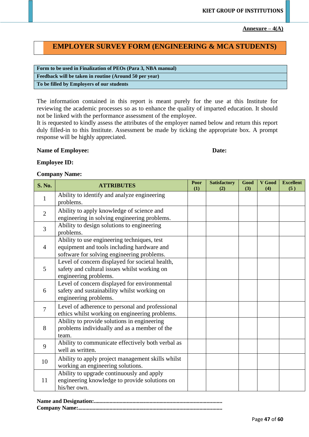Annexure  $-4(A)$ 

## **EMPLOYER SURVEY FORM (ENGINEERING & MCA STUDENTS)**

| Form to be used in Finalization of PEOs (Para 3, NBA manual) |
|--------------------------------------------------------------|
| Feedback will be taken in routine (Around 50 per year)       |
| To be filled by Employers of our students                    |

The information contained in this report is meant purely for the use at this Institute for reviewing the academic processes so as to enhance the quality of imparted education. It should not be linked with the performance assessment of the employee.

It is requested to kindly assess the attributes of the employer named below and return this report duly filled-in to this Institute. Assessment be made by ticking the appropriate box. A prompt response will be highly appreciated.

### **Name of Employee:** Date:

### **Employee ID:**

### **Company Name:**

| <b>S. No.</b>  | <b>ATTRIBUTES</b>                                                                                                                       | Poor<br>(1) | <b>Satisfactory</b><br>(2) | Good<br>(3) | V Good<br>(4) | <b>Excellent</b><br>(5) |
|----------------|-----------------------------------------------------------------------------------------------------------------------------------------|-------------|----------------------------|-------------|---------------|-------------------------|
| $\mathbf{1}$   | Ability to identify and analyze engineering<br>problems.                                                                                |             |                            |             |               |                         |
| $\overline{2}$ | Ability to apply knowledge of science and<br>engineering in solving engineering problems.                                               |             |                            |             |               |                         |
| 3              | Ability to design solutions to engineering<br>problems.                                                                                 |             |                            |             |               |                         |
| $\overline{4}$ | Ability to use engineering techniques, test<br>equipment and tools including hardware and<br>software for solving engineering problems. |             |                            |             |               |                         |
| 5              | Level of concern displayed for societal health,<br>safety and cultural issues whilst working on<br>engineering problems.                |             |                            |             |               |                         |
| 6              | Level of concern displayed for environmental<br>safety and sustainability whilst working on<br>engineering problems.                    |             |                            |             |               |                         |
| $\overline{7}$ | Level of adherence to personal and professional<br>ethics whilst working on engineering problems.                                       |             |                            |             |               |                         |
| 8              | Ability to provide solutions in engineering<br>problems individually and as a member of the<br>team.                                    |             |                            |             |               |                         |
| 9              | Ability to communicate effectively both verbal as<br>well as written.                                                                   |             |                            |             |               |                         |
| 10             | Ability to apply project management skills whilst<br>working an engineering solutions.                                                  |             |                            |             |               |                         |
| 11             | Ability to upgrade continuously and apply<br>engineering knowledge to provide solutions on<br>his/her own.                              |             |                            |             |               |                         |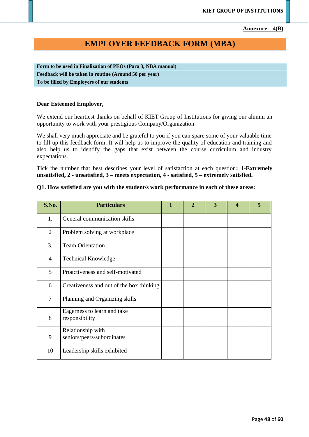Annexure  $-4(B)$ 

# **EMPLOYER FEEDBACK FORM (MBA)**

**Form to be used in Finalization of PEOs (Para 3, NBA manual) Feedback will be taken in routine (Around 50 per year) To be filled by Employers of our students**

### **Dear Esteemed Employer,**

We extend our heartiest thanks on behalf of KIET Group of Institutions for giving our alumni an opportunity to work with your prestigious Company/Organization.

We shall very much appreciate and be grateful to you if you can spare some of your valuable time to fill up this feedback form. It will help us to improve the quality of education and training and also help us to identify the gaps that exist between the course curriculum and industry expectations.

Tick the number that best describes your level of satisfaction at each question**: 1-Extremely unsatisfied, 2 - unsatisfied, 3 – meets expectation, 4 - satisfied, 5 – extremely satisfied.**

### **Q1. How satisfied are you with the student/s work performance in each of these areas:**

| S.No.          | <b>Particulars</b>                              | 1 | $\overline{2}$ | 3 | 4 | 5 |
|----------------|-------------------------------------------------|---|----------------|---|---|---|
| 1.             | General communication skills                    |   |                |   |   |   |
| 2              | Problem solving at workplace                    |   |                |   |   |   |
| 3.             | <b>Team Orientation</b>                         |   |                |   |   |   |
| $\overline{4}$ | <b>Technical Knowledge</b>                      |   |                |   |   |   |
| 5              | Proactiveness and self-motivated                |   |                |   |   |   |
| 6              | Creativeness and out of the box thinking        |   |                |   |   |   |
| $\overline{7}$ | Planning and Organizing skills                  |   |                |   |   |   |
| 8              | Eagerness to learn and take<br>responsibility   |   |                |   |   |   |
| 9              | Relationship with<br>seniors/peers/subordinates |   |                |   |   |   |
| 10             | Leadership skills exhibited                     |   |                |   |   |   |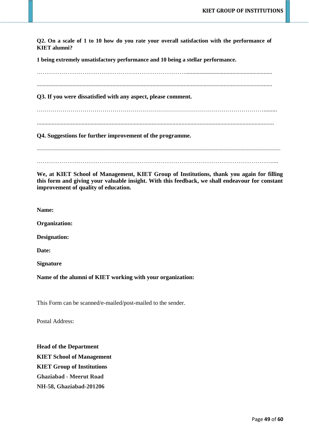**Q2. On a scale of 1 to 10 how do you rate your overall satisfaction with the performance of KIET alumni?**

**1 being extremely unsatisfactory performance and 10 being a stellar performance.**

……………………………………………………………………............................................................. ..................................................................................................................................................................... **Q3. If you were dissatisfied with any aspect, please comment.** ……………………………………………………………………………………………………......... ............................................................................................................................................................... **Q4. Suggestions for further improvement of the programme.** ............................................................................................................................................................................................ …………………………………………………………………………………………………………….....

**We, at KIET School of Management, KIET Group of Institutions, thank you again for filling this form and giving your valuable insight. With this feedback, we shall endeavour for constant improvement of quality of education.**

**Name:**

**Organization:**

**Designation:**

**Date:**

**Signature**

**Name of the alumni of KIET working with your organization:**

This Form can be scanned/e-mailed/post-mailed to the sender.

Postal Address:

**Head of the Department KIET School of Management KIET Group of Institutions Ghaziabad - Meerut Road NH-58, Ghaziabad-201206**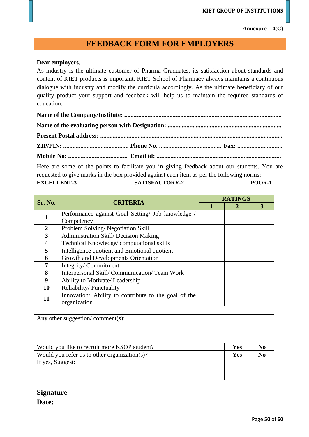### Annexure  $-4(C)$

# **FEEDBACK FORM FOR EMPLOYERS**

### **Dear employers,**

As industry is the ultimate customer of Pharma Graduates, its satisfaction about standards and content of KIET products is important. KIET School of Pharmacy always maintains a continuous dialogue with industry and modify the curricula accordingly. As the ultimate beneficiary of our quality product your support and feedback will help us to maintain the required standards of education.

Here are some of the points to facilitate you in giving feedback about our students. You are requested to give marks in the box provided against each item as per the following norms: **EXCELLENT-3 SATISFACTORY-2 POOR-1**

| Sr. No.          | <b>CRITERIA</b>                                      | <b>RATINGS</b> |  |  |  |  |  |  |  |  |
|------------------|------------------------------------------------------|----------------|--|--|--|--|--|--|--|--|
|                  |                                                      |                |  |  |  |  |  |  |  |  |
|                  | Performance against Goal Setting/ Job knowledge      |                |  |  |  |  |  |  |  |  |
|                  | Competency                                           |                |  |  |  |  |  |  |  |  |
| 2                | Problem Solving/Negotiation Skill                    |                |  |  |  |  |  |  |  |  |
| 3                | Administration Skill/ Decision Making                |                |  |  |  |  |  |  |  |  |
|                  | Technical Knowledge/computational skills             |                |  |  |  |  |  |  |  |  |
| 5                | Intelligence quotient and Emotional quotient         |                |  |  |  |  |  |  |  |  |
| 6                | Growth and Developments Orientation                  |                |  |  |  |  |  |  |  |  |
|                  | Integrity/Commitment                                 |                |  |  |  |  |  |  |  |  |
| 8                | Interpersonal Skill/Communication/Team Work          |                |  |  |  |  |  |  |  |  |
| $\boldsymbol{9}$ | Ability to Motivate/Leadership                       |                |  |  |  |  |  |  |  |  |
| 10               | Reliability/Punctuality                              |                |  |  |  |  |  |  |  |  |
| 11               | Innovation/ Ability to contribute to the goal of the |                |  |  |  |  |  |  |  |  |
|                  | organization                                         |                |  |  |  |  |  |  |  |  |

| Any other suggestion/comment(s):             |            |                |
|----------------------------------------------|------------|----------------|
|                                              |            |                |
|                                              |            |                |
| Would you like to recruit more KSOP student? | <b>Yes</b> | N <sub>0</sub> |
| Would you refer us to other organization(s)? | <b>Yes</b> | N <sub>0</sub> |
| If yes, Suggest:                             |            |                |
|                                              |            |                |
|                                              |            |                |

# **Signature Date:**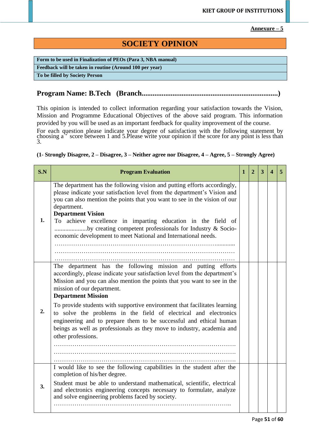**Annexure – 5**

# **SOCIETY OPINION**

**Form to be used in Finalization of PEOs (Para 3, NBA manual) Feedback will be taken in routine (Around 100 per year)**

**To be filled by Society Person**

# **Program Name: B.Tech (Branch...........................................................................)**

This opinion is intended to collect information regarding your satisfaction towards the Vision, Mission and Programme Educational Objectives of the above said program. This information provided by you will be used as an important feedback for quality improvement of the course.

For each question please indicate your degree of satisfaction with the following statement by choosing  $a^{\prime\prime}$  score between 1 and 5. Please write your opinion if the score for any point is less than 3.

### **(1- Strongly Disagree, 2 – Disagree, 3 – Neither agree nor Disagree, 4 – Agree, 5 – Strongly Agree)**

| S.N | <b>Program Evaluation</b>                                                                                                                                                                                                                                                                                                                                                                                                                                                                                                                                                                               | 1 | 2 | 3 |  |
|-----|---------------------------------------------------------------------------------------------------------------------------------------------------------------------------------------------------------------------------------------------------------------------------------------------------------------------------------------------------------------------------------------------------------------------------------------------------------------------------------------------------------------------------------------------------------------------------------------------------------|---|---|---|--|
| 1.  | The department has the following vision and putting efforts accordingly,<br>please indicate your satisfaction level from the department's Vision and<br>you can also mention the points that you want to see in the vision of our<br>department.<br><b>Department Vision</b><br>To achieve excellence in imparting education in the field of<br>by creating competent professionals for Industry & Socio-<br>economic development to meet National and International needs.                                                                                                                             |   |   |   |  |
| 2.  | The department has the following mission and putting efforts<br>accordingly, please indicate your satisfaction level from the department's<br>Mission and you can also mention the points that you want to see in the<br>mission of our department.<br><b>Department Mission</b><br>To provide students with supportive environment that facilitates learning<br>to solve the problems in the field of electrical and electronics<br>engineering and to prepare them to be successful and ethical human<br>beings as well as professionals as they move to industry, academia and<br>other professions. |   |   |   |  |
| 3.  | I would like to see the following capabilities in the student after the<br>completion of his/her degree.<br>Student must be able to understand mathematical, scientific, electrical<br>and electronics engineering concepts necessary to formulate, analyze<br>and solve engineering problems faced by society.                                                                                                                                                                                                                                                                                         |   |   |   |  |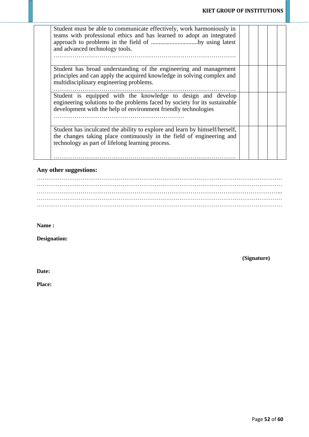| Student must be able to communicate effectively, work harmoniously in<br>teams with professional ethics and has learned to adopt an integrated<br>approach to problems in the field of by using latest<br>and advanced technology tools. |  |  |  |
|------------------------------------------------------------------------------------------------------------------------------------------------------------------------------------------------------------------------------------------|--|--|--|
| Student has broad understanding of the engineering and management<br>principles and can apply the acquired knowledge in solving complex and<br>multidisciplinary engineering problems.                                                   |  |  |  |
| Student is equipped with the knowledge to design and develop<br>engineering solutions to the problems faced by society for its sustainable<br>development with the help of environment friendly technologies                             |  |  |  |
| Student has inculcated the ability to explore and learn by himself/herself,<br>the changes taking place continuously in the field of engineering and<br>technology as part of lifelong learning process.                                 |  |  |  |

### **Any other suggestions:**

**Name :**

**Designation:**

**(Signature)**

**Date:**

**Place:**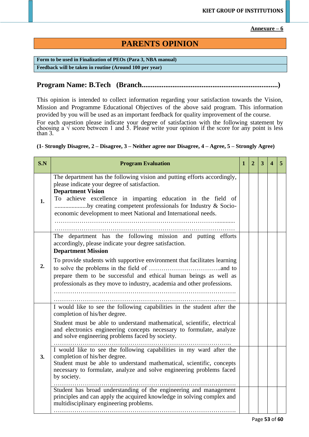**Annexure – 6**

# **PARENTS OPINION**

**Form to be used in Finalization of PEOs (Para 3, NBA manual) Feedback will be taken in routine (Around 100 per year)**

# **Program Name: B.Tech (Branch...........................................................................)**

This opinion is intended to collect information regarding your satisfaction towards the Vision, Mission and Programme Educational Objectives of the above said program. This information provided by you will be used as an important feedback for quality improvement of the course.

For each question please indicate your degree of satisfaction with the following statement by choosing a  $\sqrt{ }$  score between 1 and 5. Please write your opinion if the score for any point is less than 3.

**(1- Strongly Disagree, 2 – Disagree, 3 – Neither agree nor Disagree, 4 – Agree, 5 – Strongly Agree)**

| S.N | <b>Program Evaluation</b>                                                                                                                                                                                                                                                                                                                                                                                                                                                                                                                                                                                                                                                                                                                                                         | $\mathbf{1}$ | $\mathbf{2}$ | 3 | 4 | 5 |
|-----|-----------------------------------------------------------------------------------------------------------------------------------------------------------------------------------------------------------------------------------------------------------------------------------------------------------------------------------------------------------------------------------------------------------------------------------------------------------------------------------------------------------------------------------------------------------------------------------------------------------------------------------------------------------------------------------------------------------------------------------------------------------------------------------|--------------|--------------|---|---|---|
| 1.  | The department has the following vision and putting efforts accordingly,<br>please indicate your degree of satisfaction.<br><b>Department Vision</b><br>To achieve excellence in imparting education in the field of<br>by creating competent professionals for Industry & Socio-<br>economic development to meet National and International needs.                                                                                                                                                                                                                                                                                                                                                                                                                               |              |              |   |   |   |
| 2.  | The department has the following mission and putting efforts<br>accordingly, please indicate your degree satisfaction.<br><b>Department Mission</b><br>To provide students with supportive environment that facilitates learning<br>prepare them to be successful and ethical human beings as well as<br>professionals as they move to industry, academia and other professions.                                                                                                                                                                                                                                                                                                                                                                                                  |              |              |   |   |   |
| 3.  | I would like to see the following capabilities in the student after the<br>completion of his/her degree.<br>Student must be able to understand mathematical, scientific, electrical<br>and electronics engineering concepts necessary to formulate, analyze<br>and solve engineering problems faced by society.<br>I would like to see the following capabilities in my ward after the<br>completion of his/her degree.<br>Student must be able to understand mathematical, scientific, concepts<br>necessary to formulate, analyze and solve engineering problems faced<br>by society.<br>Student has broad understanding of the engineering and management<br>principles and can apply the acquired knowledge in solving complex and<br>multidisciplinary engineering problems. |              |              |   |   |   |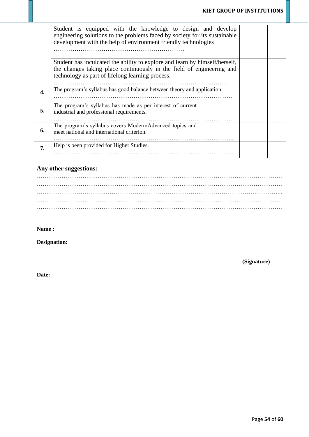|    | Student is equipped with the knowledge to design and develop<br>engineering solutions to the problems faced by society for its sustainable<br>development with the help of environment friendly technologies |  |  |  |
|----|--------------------------------------------------------------------------------------------------------------------------------------------------------------------------------------------------------------|--|--|--|
|    | Student has inculcated the ability to explore and learn by himself/herself,<br>the changes taking place continuously in the field of engineering and<br>technology as part of lifelong learning process.     |  |  |  |
|    | The program's syllabus has good balance between theory and application.                                                                                                                                      |  |  |  |
| 5. | The program's syllabus has made as per interest of current<br>industrial and professional requirements.                                                                                                      |  |  |  |
| 6. | The program's syllabus covers Modern/Advanced topics and<br>meet national and international criterion.                                                                                                       |  |  |  |
| 7. | Help is been provided for Higher Studies.                                                                                                                                                                    |  |  |  |

# **Any other suggestions:**

**Name :**

**Designation:**

**(Signature)**

**Date:**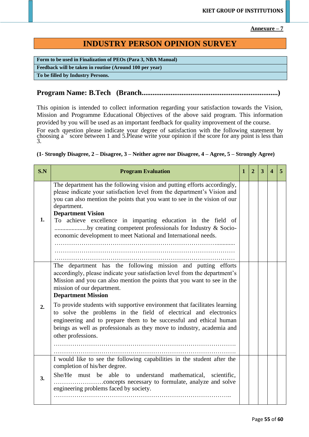**Annexure – 7**

# **INDUSTRY PERSON OPINION SURVEY**

**Form to be used in Finalization of PEOs (Para 3, NBA Manual) Feedback will be taken in routine (Around 100 per year) To be filled by Industry Persons.**

## **Program Name: B.Tech (Branch...........................................................................)**

This opinion is intended to collect information regarding your satisfaction towards the Vision, Mission and Programme Educational Objectives of the above said program. This information provided by you will be used as an important feedback for quality improvement of the course.

For each question please indicate your degree of satisfaction with the following statement by choosing  $a^{\prime}$  score between 1 and 5. Please write your opinion if the score for any point is less than 3.

### **(1- Strongly Disagree, 2 – Disagree, 3 – Neither agree nor Disagree, 4 – Agree, 5 – Strongly Agree)**

| S.N | <b>Program Evaluation</b>                                                                                                                                                                                                                                                                                                                                                                                                                                                   | 1 | $\overline{2}$ | 3 |  |
|-----|-----------------------------------------------------------------------------------------------------------------------------------------------------------------------------------------------------------------------------------------------------------------------------------------------------------------------------------------------------------------------------------------------------------------------------------------------------------------------------|---|----------------|---|--|
| 1.  | The department has the following vision and putting efforts accordingly,<br>please indicate your satisfaction level from the department's Vision and<br>you can also mention the points that you want to see in the vision of our<br>department.<br><b>Department Vision</b><br>To achieve excellence in imparting education in the field of<br>by creating competent professionals for Industry & Socio-<br>economic development to meet National and International needs. |   |                |   |  |
| 2.  | The department has the following mission and putting efforts<br>accordingly, please indicate your satisfaction level from the department's<br>Mission and you can also mention the points that you want to see in the<br>mission of our department.<br><b>Department Mission</b><br>To provide students with supportive environment that facilitates learning<br>to solve the problems in the field of electrical and electronics                                           |   |                |   |  |
|     | engineering and to prepare them to be successful and ethical human<br>beings as well as professionals as they move to industry, academia and<br>other professions.                                                                                                                                                                                                                                                                                                          |   |                |   |  |
|     | I would like to see the following capabilities in the student after the<br>completion of his/her degree.                                                                                                                                                                                                                                                                                                                                                                    |   |                |   |  |
| 3.  | She/He must be able to understand mathematical, scientific,<br>engineering problems faced by society.                                                                                                                                                                                                                                                                                                                                                                       |   |                |   |  |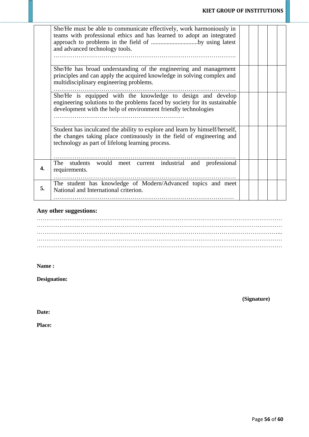|    | She/He must be able to communicate effectively, work harmoniously in<br>teams with professional ethics and has learned to adopt an integrated<br>approach to problems in the field of by using latest<br>and advanced technology tools. |  |  |  |
|----|-----------------------------------------------------------------------------------------------------------------------------------------------------------------------------------------------------------------------------------------|--|--|--|
|    | She/He has broad understanding of the engineering and management<br>principles and can apply the acquired knowledge in solving complex and<br>multidisciplinary engineering problems.                                                   |  |  |  |
|    | She/He is equipped with the knowledge to design and develop<br>engineering solutions to the problems faced by society for its sustainable<br>development with the help of environment friendly technologies                             |  |  |  |
|    | Student has inculcated the ability to explore and learn by himself/herself,<br>the changes taking place continuously in the field of engineering and<br>technology as part of lifelong learning process.                                |  |  |  |
| 4. | The students would meet current industrial and professional<br>requirements.                                                                                                                                                            |  |  |  |
| 5. | The student has knowledge of Modern/Advanced topics and meet<br>National and International criterion.                                                                                                                                   |  |  |  |

# **Any other suggestions:**

### **Name :**

**Designation:**

**(Signature)**

**Date:**

**Place:**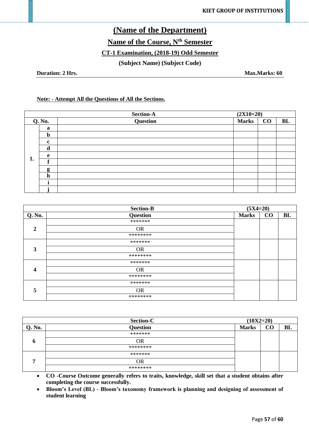# **(Name of the Department)**

**Name of the Course, Nth Semester** 

## **CT-1 Examination, (2018-19) Odd Semester**

**(Subject Name) (Subject Code)**

**Duration: 2 Hrs.** Max.Marks: 60

### **Note: - Attempt All the Questions of All the Sections.**

| <b>Section-A</b> |             |          | $(2X10=20)$  |          |    |
|------------------|-------------|----------|--------------|----------|----|
| <b>Q. No.</b>    |             | Question | <b>Marks</b> | $\bf CO$ | BL |
|                  | a           |          |              |          |    |
|                  | $\mathbf b$ |          |              |          |    |
|                  | $\mathbf c$ |          |              |          |    |
|                  | d           |          |              |          |    |
| 1.               | e           |          |              |          |    |
|                  |             |          |              |          |    |
|                  | g           |          |              |          |    |
|                  | $\mathbf h$ |          |              |          |    |
|                  |             |          |              |          |    |
|                  |             |          |              |          |    |

|              | <b>Section-B</b> | $(5X4=20)$   |    |    |  |
|--------------|------------------|--------------|----|----|--|
| Q. No.       | <b>Question</b>  | <b>Marks</b> | CO | BL |  |
|              | *******          |              |    |    |  |
| $\mathbf{2}$ | <b>OR</b>        |              |    |    |  |
|              | ********         |              |    |    |  |
|              | *******          |              |    |    |  |
| 3            | <b>OR</b>        |              |    |    |  |
|              | ********         |              |    |    |  |
|              | *******          |              |    |    |  |
| 4            | <b>OR</b>        |              |    |    |  |
|              | ********         |              |    |    |  |
| 5            | *******          |              |    |    |  |
|              | <b>OR</b>        |              |    |    |  |
|              | ********         |              |    |    |  |

| <b>Section-C</b> |                 | $(10X2=20)$  |     |    |
|------------------|-----------------|--------------|-----|----|
| Q. No.           | <b>Question</b> | <b>Marks</b> | - U | BL |
|                  | *******         |              |     |    |
| O                | ЭR              |              |     |    |
|                  | ********        |              |     |    |
| ┍                | *******         |              |     |    |
|                  | ЭR              |              |     |    |
|                  | ********        |              |     |    |

• **CO -Course Outcome generally refers to traits, knowledge, skill set that a student obtains after completing the course successfully.**

• **Bloom's Level (BL) - Bloom's taxonomy framework is planning and designing of assessment of student learning**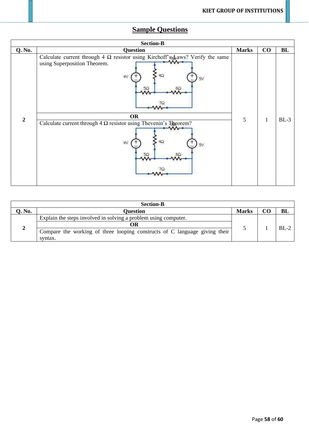# **Sample Questions**

| <b>Section-B</b>                                                                                                                                                                                                                                                                                                                                            |        |  |  |  |  |  |  |
|-------------------------------------------------------------------------------------------------------------------------------------------------------------------------------------------------------------------------------------------------------------------------------------------------------------------------------------------------------------|--------|--|--|--|--|--|--|
| CO<br><b>Q. No.</b><br><b>Question</b><br><b>Marks</b>                                                                                                                                                                                                                                                                                                      | BL     |  |  |  |  |  |  |
| Calculate current through 4 $\Omega$ resistor using Kirchoff's a was? Verify the same<br>$M -$<br>using Superposition Theorem.<br>4V<br>4Ω<br>5V<br>$5\Omega$<br>бΩ<br>7Ω<br><b>OR</b><br>$\overline{2}$<br>5<br>$\mathbf{1}$<br>Calculate current through $4 \Omega$ resistor using Thevenin's Theorem?<br>4V<br>$4\Omega$<br>5V<br>$5\Omega$<br>$6\Omega$ | $BL-3$ |  |  |  |  |  |  |

| <b>Section-B</b> |                                                                            |              |  |        |  |  |
|------------------|----------------------------------------------------------------------------|--------------|--|--------|--|--|
| Q. No.           | <b>Ouestion</b>                                                            | <b>Marks</b> |  |        |  |  |
|                  | Explain the steps involved in solving a problem using computer.            |              |  | $BL-2$ |  |  |
|                  | OR                                                                         |              |  |        |  |  |
|                  | Compare the working of three looping constructs of C language giving their |              |  |        |  |  |
|                  | syntax.                                                                    |              |  |        |  |  |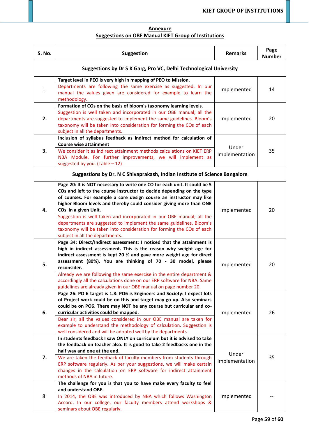### **Annexure Suggestions on OBE Manual KIET Group of Institutions**

| S. No. | <b>Suggestion</b>                                                                                                                                                                                                                                       | <b>Remarks</b> | Page<br><b>Number</b> |
|--------|---------------------------------------------------------------------------------------------------------------------------------------------------------------------------------------------------------------------------------------------------------|----------------|-----------------------|
|        | Suggestions by Dr S K Garg, Pro VC, Delhi Technological University                                                                                                                                                                                      |                |                       |
|        | Target level in PEO is very high in mapping of PEO to Mission.                                                                                                                                                                                          |                |                       |
| 1.     | Departments are following the same exercise as suggested. In our<br>manual the values given are considered for example to learn the<br>methodology.                                                                                                     | Implemented    | 14                    |
|        | Formation of COs on the basis of bloom's taxonomy learning levels.                                                                                                                                                                                      |                |                       |
| 2.     | Suggestion is well taken and incorporated in our OBE manual; all the<br>departments are suggested to implement the same guidelines. Bloom's<br>taxonomy will be taken into consideration for forming the COs of each<br>subject in all the departments. | Implemented    | 20                    |
|        | Inclusion of syllabus feedback as indirect method for calculation of                                                                                                                                                                                    |                |                       |
|        | <b>Course wise attainment</b>                                                                                                                                                                                                                           | Under          |                       |
| 3.     | We consider it as indirect attainment methods calculations on KIET ERP<br>NBA Module. For further improvements, we will implement as<br>suggested by you. (Table $-12$ )                                                                                | Implementation | 35                    |
|        | Suggestions by Dr. N C Shivaprakash, Indian Institute of Science Bangalore                                                                                                                                                                              |                |                       |
|        | Page 20: It is NOT necessary to write one CO for each unit. It could be 5                                                                                                                                                                               |                |                       |
|        | COs and left to the course instructor to decide depending on the type                                                                                                                                                                                   |                |                       |
|        | of courses. For example a core design course an instructor may like                                                                                                                                                                                     |                |                       |
|        | higher Bloom levels and thereby could consider giving more than ONE                                                                                                                                                                                     |                |                       |
| 4.     | COs in a given Unit.<br>Suggestion is well taken and incorporated in our OBE manual; all the                                                                                                                                                            | Implemented    | 20                    |
|        | departments are suggested to implement the same guidelines. Bloom's                                                                                                                                                                                     |                |                       |
|        | taxonomy will be taken into consideration for forming the COs of each                                                                                                                                                                                   |                |                       |
|        | subject in all the departments.                                                                                                                                                                                                                         |                |                       |
|        | Page 34: Direct/Indirect assessment: I noticed that the attainment is                                                                                                                                                                                   |                |                       |
|        | high in indirect assessment. This is the reason why weight age for                                                                                                                                                                                      |                |                       |
|        | indirect assessment is kept 20 % and gave more weight age for direct                                                                                                                                                                                    |                |                       |
|        | assessment (80%). You are thinking of 70 - 30 model, please                                                                                                                                                                                             |                | 20                    |
| 5.     | reconsider.                                                                                                                                                                                                                                             | Implemented    |                       |
|        | Already we are following the same exercise in the entire department &                                                                                                                                                                                   |                |                       |
|        | accordingly all the calculations done on our ERP software for NBA. Same                                                                                                                                                                                 |                |                       |
|        | guidelines are already given in our OBE manual on page number 20.                                                                                                                                                                                       |                |                       |
|        | Page 26: PO 6 target is 1.8: PO6 is Engineers and Society: I expect lots                                                                                                                                                                                |                |                       |
|        | of Project work could be on this and target may go up. Also seminars                                                                                                                                                                                    | Implemented    |                       |
|        | could be on PO6. There may NOT be any course but curricular and co-                                                                                                                                                                                     |                | 26                    |
| 6.     | curricular activities could be mapped.                                                                                                                                                                                                                  |                |                       |
|        | Dear sir, all the values considered in our OBE manual are taken for                                                                                                                                                                                     |                |                       |
|        | example to understand the methodology of calculation. Suggestion is                                                                                                                                                                                     |                |                       |
|        | well considered and will be adopted well by the departments.<br>In students feedback I saw ONLY on curriculum but it is advised to take                                                                                                                 |                |                       |
|        | the feedback on teacher also. It is good to take 2 feedbacks one in the                                                                                                                                                                                 |                |                       |
| 7.     | half way and one at the end.                                                                                                                                                                                                                            |                |                       |
|        | We are taken the feedback of faculty members from students through                                                                                                                                                                                      | Under          | 35                    |
|        | ERP software regularly. As per your suggestions, we will make certain                                                                                                                                                                                   | Implementation |                       |
|        | changes in the calculation on ERP software for indirect attainment                                                                                                                                                                                      |                |                       |
|        | methods of NBA in future.                                                                                                                                                                                                                               |                |                       |
|        | The challenge for you is that you to have make every faculty to feel                                                                                                                                                                                    |                |                       |
|        | and understand OBE.                                                                                                                                                                                                                                     |                |                       |
| 8.     | In 2014, the OBE was introduced by NBA which follows Washington                                                                                                                                                                                         | Implemented    |                       |
|        | Accord. In our college, our faculty members attend workshops &                                                                                                                                                                                          |                |                       |
|        | seminars about OBE regularly.                                                                                                                                                                                                                           |                |                       |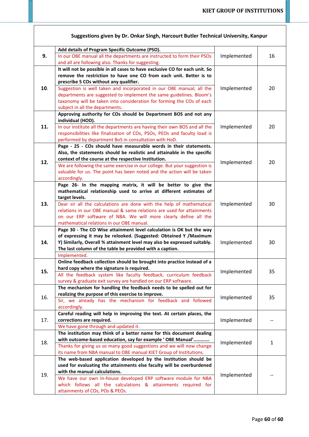| 9.  | Add details of Program Specific Outcome (PSO).                                                                                               |             |    |
|-----|----------------------------------------------------------------------------------------------------------------------------------------------|-------------|----|
|     | In our OBE manual all the departments are instructed to form their PSOs                                                                      | Implemented | 16 |
|     | and all are following also. Thanks for suggesting.                                                                                           |             |    |
|     | It will not be possible in all cases to have exclusive CO for each unit. So                                                                  |             |    |
|     | remove the restriction to have one CO from each unit. Better is to                                                                           |             |    |
|     | prescribe 5 COs without any qualifier.                                                                                                       |             |    |
| 10. | Suggestion is well taken and incorporated in our OBE manual; all the                                                                         | Implemented | 20 |
|     | departments are suggested to implement the same guidelines. Bloom's                                                                          |             |    |
|     | taxonomy will be taken into consideration for forming the COs of each                                                                        |             |    |
|     | subject in all the departments.                                                                                                              |             |    |
|     | Approving authority for COs should be Department BOS and not any                                                                             |             |    |
|     | individual (HOD).                                                                                                                            | Implemented |    |
| 11. | In our institute all the departments are having their own BOS and all the                                                                    |             | 20 |
|     | responsibilities like finalization of COs, PSOs, PEOs and faculty load is                                                                    |             |    |
|     | performed by department BoS in consultation with HoD.                                                                                        |             |    |
|     | Page - 25 - COs should have measurable words in their statements.<br>Also, the statements should be realistic and attainable in the specific |             |    |
|     | context of the course at the respective Institution.                                                                                         |             |    |
| 12. | We are following the same exercise in our college. But your suggestion is                                                                    | Implemented | 20 |
|     | valuable for us. The point has been noted and the action will be taken                                                                       |             |    |
|     | accordingly.                                                                                                                                 |             |    |
|     | Page 26- In the mapping matrix, it will be better to give the                                                                                |             |    |
|     | mathematical relationship used to arrive at different estimates of                                                                           |             |    |
|     | target levels.                                                                                                                               |             |    |
| 13. | Dear sir all the calculations are done with the help of mathematical                                                                         | Implemented | 30 |
|     | relations in our OBE manual & same relations are used for attainments                                                                        |             |    |
|     | on our ERP software of NBA. We will more clearly define all the                                                                              |             |    |
|     | mathematical relations in our OBE manual.                                                                                                    |             |    |
|     | Page 30 - The CO Wise attainment level calculation is OK but the way                                                                         | Implemented |    |
|     | of expressing it may be relooked. (Suggested: Obtained Y /Maximum                                                                            |             |    |
| 14. | Y) Similarly, Overall % attainment level may also be expressed suitably.                                                                     |             | 30 |
|     | The last column of the table be provided with a caption.                                                                                     |             |    |
|     | Implemented.<br>Online feedback collection should be brought into practice instead of a                                                      |             |    |
|     | hard copy where the signature is required.                                                                                                   | Implemented |    |
| 15. | All the feedback system like faculty feedback, curriculum feedback                                                                           |             | 35 |
|     | survey & graduate exit survey are handled on our ERP software.                                                                               |             |    |
|     | The mechanism for handling the feedback needs to be spelled out for                                                                          |             |    |
|     | realizing the purpose of this exercise to improve.                                                                                           | Implemented |    |
| 16. | Sir, we already has the mechanism for feedback and followed                                                                                  |             | 35 |
|     | accordingly.                                                                                                                                 |             |    |
|     | Careful reading will help in improving the text. At certain places, the                                                                      |             |    |
| 17. | corrections are required.                                                                                                                    | Implemented |    |
|     | We have gone through and updated it.                                                                                                         |             |    |
| 18. | The institution may think of a better name for this document dealing                                                                         |             |    |
|     | with outcome-based education, say for example ' OBE Manual'                                                                                  | Implemented | 1  |
|     | Thanks for giving us so many good suggestions and we will now change                                                                         |             |    |
|     | its name from NBA manual to OBE manual KIET Group of Institutions.                                                                           |             |    |
| 19. | The web-based application developed by the Institution should be                                                                             |             |    |
|     | used for evaluating the attainments else faculty will be overburdened                                                                        | Implemented |    |
|     | with the manual calculations.                                                                                                                |             |    |
|     | We have our own In-house developed ERP software module for NBA<br>which follows all the calculations & attainments required for              |             |    |
|     | attainments of COs, POs & PEOs.                                                                                                              |             |    |
|     |                                                                                                                                              |             |    |

### **Suggestions given by Dr. Onkar Singh, Harcourt Butler Technical University, Kanpur**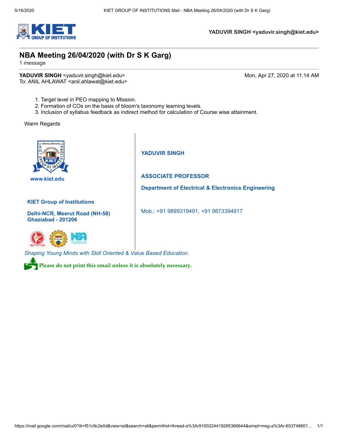

**YADUVIR SINGH <yaduvir.singh@kiet.edu>**

## **NBA Meeting 26/04/2020 (with Dr S K Garg)**

1 message

**YADUVIR SINGH** <yaduvir.singh@kiet.edu> Mon, Apr 27, 2020 at 11:14 AM To: ANIL AHLAWAT <anil.ahlawat@kiet.edu>

- 1. Target level in PEO mapping to Mission.
- 2. Formation of COs on the basis of bloom's taxonomy learning levels.
- 3. Inclusion of syllabus feedback as indirect method for calculation of Course wise attainment.

Warm Regards



 **[www.kiet.edu](http://www.kiet.edu/)** 

#### **KIET Group of Institutions**

**Delhi-NCR, Meerut Road (NH-58) Ghaziabad - 201206** 



**YADUVIR SINGH**

### **ASSOCIATE PROFESSOR**

**Department of Electrical & Electronics Engineering**

Mob.: +91 9899319491, +91 9873394917

*Shaping Young Minds with Skill Oriented & Value Based Education.*

Please do not print this email unless it is absolutely necessary.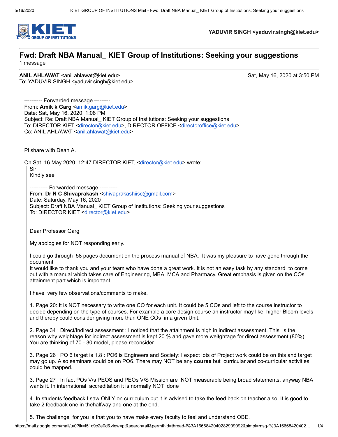

**YADUVIR SINGH <yaduvir.singh@kiet.edu>**

# **Fwd: Draft NBA Manual\_ KIET Group of Institutions: Seeking your suggestions**

1 message

**ANIL AHLAWAT** <anil.ahlawat@kiet.edu> Sat, May 16, 2020 at 3:50 PM To: YADUVIR SINGH <yaduvir.singh@kiet.edu>

---------- Forwarded message --------- From: **Amik k Garg** <[amik.garg@kiet.edu>](mailto:amik.garg@kiet.edu) Date: Sat, May 16, 2020, 1:08 PM Subject: Re: Draft NBA Manual\_ KIET Group of Institutions: Seeking your suggestions To: DIRECTOR KIET [<director@kiet.edu>](mailto:director@kiet.edu), DIRECTOR OFFICE [<directoroffice@kiet.edu](mailto:directoroffice@kiet.edu)> Cc: ANIL AHLAWAT <[anil.ahlawat@kiet.edu](mailto:anil.ahlawat@kiet.edu)>

Pl share with Dean A.

On Sat, 16 May 2020, 12:47 DIRECTOR KIET, <[director@kiet.edu](mailto:director@kiet.edu)> wrote:

Sir

Kindly see

---------- Forwarded message ---------- From: **Dr N C Shivaprakash** [<shivaprakashiisc@gmail.com](mailto:shivaprakashiisc@gmail.com)> Date: Saturday, May 16, 2020 Subject: Draft NBA Manual\_ KIET Group of Institutions: Seeking your suggestions To: DIRECTOR KIET [<director@kiet.edu>](mailto:director@kiet.edu)

Dear Professor Garg

My apologies for NOT responding early.

I could go through 58 pages document on the process manual of NBA. It was my pleasure to have gone through the document

It would like to thank you and your team who have done a great work. It is not an easy task by any standard to come out with a manual which takes care of Engineering, MBA, MCA and Pharmacy. Great emphasis is given on the COs attainment part which is important..

I have very few observations/comments to make.

1. Page 20: It is NOT necessary to write one CO for each unit. It could be 5 COs and left to the course instructor to decide depending on the type of courses. For example a core design course an instructor may like higher Bloom levels and thereby could consider giving more than ONE COs in a given Unit.

2. Page 34 : Direct/Indirect assessment : I noticed that the attainment is high in indirect assessment. This is the reason why weightage for indirect assessment is kept 20 % and gave more weitghtage for direct assessment.(80%). You are thinking of 70 - 30 model, please reconsider.

3. Page 26 : PO 6 target is 1.8 : PO6 is Engineers and Society: I expect lots of Project work could be on this and target may go up. Also seminars could be on PO6. There may NOT be any **course** but curricular and co-curricular activities could be mapped.

3. Page 27 : In fact POs V/s PEOS and PEOs V/S Mission are NOT measurable being broad statements, anyway NBA wants it. In international accreditation it is normally NOT done

4. In students feedback I saw ONLY on curriculum but it is advised to take the feed back on teacher also. It is good to take 2 feedback one in thehalfway and one at the end.

5. The challenge for you is that you to have make every faculty to feel and understand OBE.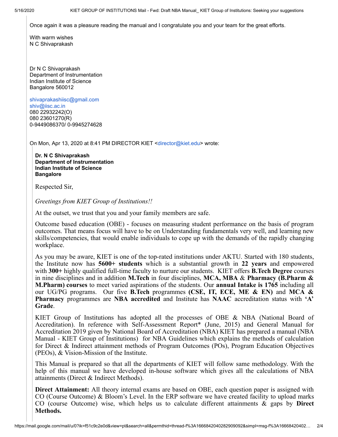Once again it was a pleasure reading the manual and I congratulate you and your team for the great efforts.

With warm wishes N C Shivaprakash

Dr N C Shivaprakash Department of Instrumentation Indian Institute of Science Bangalore 560012

[shivaprakashiisc@gmail.com](mailto:shivaprakashiisc@gmail.com) [shiv@i](mailto:shiv@iap.iisc.ernet.in)[isc.ac.in](http://isc.ac.in/) 080 22932242(O) 080 23601270(R) 0-9449086370/ 0-9945274628

On Mon, Apr 13, 2020 at 8:41 PM DIRECTOR KIET <[director@kiet.edu>](mailto:director@kiet.edu) wrote:

**Dr. N C Shivaprakash Department of Instrumentation Indian Institute of Science Bangalore** 

Respected Sir,

*Greetings from KIET Group of Institutions!!*

At the outset, we trust that you and your family members are safe.

Outcome based education (OBE) - focuses on measuring student performance on the basis of program outcomes. That means focus will have to be on Understanding fundamentals very well, and learning new skills/competencies, that would enable individuals to cope up with the demands of the rapidly changing workplace.

As you may be aware, KIET is one of the top-rated institutions under AKTU. Started with 180 students, the Institute now has **5600+ students** which is a substantial growth in **22 years** and empowered with **300+** highly qualified full-time faculty to nurture our students. KIET offers **B.Tech Degree** courses in nine disciplines and in addition **M.Tech** in four disciplines, **MCA, MBA** & **Pharmacy (B.Pharm & M.Pharm) courses** to meet varied aspirations of the students. Our **annual Intake is 1765** including all our UG/PG programs. Our five **B.Tech** programmes **(CSE, IT, ECE, ME & EN)** and **MCA & Pharmacy** programmes are **NBA accredited** and Institute has **NAAC** accreditation status with **'A' Grade**.

KIET Group of Institutions has adopted all the processes of OBE  $\&$  NBA (National Board of Accreditation). In reference with [Self-Assessment Report\\* \(June, 2015\)](https://www.nbaind.org/Files/sar-ug-t-ii-final-ver-06.pdf) and General Manual for Accreditation 2019 given by National Board of Accreditation (NBA) KIET has prepared a manual (NBA Manual - KIET Group of Institutions) for NBA Guidelines which explains the methods of calculation for Direct & Indirect attainment methods of Program Outcomes (POs), Program Education Objectives (PEOs), & Vision-Mission of the Institute.

This Manual is prepared so that all the departments of KIET will follow same methodology. With the help of this manual we have developed in-house software which gives all the calculations of NBA attainments (Direct & Indirect Methods).

**Direct Attainment:** All theory internal exams are based on OBE, each question paper is assigned with CO (Course Outcome) & Bloom's Level. In the ERP software we have created facility to upload marks CO (course Outcome) wise, which helps us to calculate different attainments & gaps by **Direct Methods.**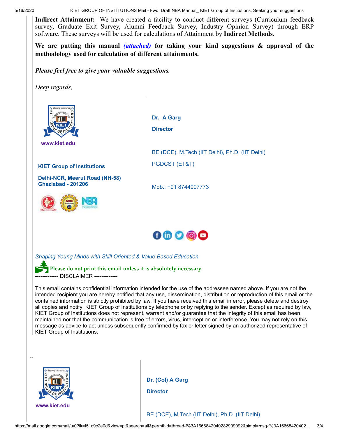**Indirect Attainment:** We have created a facility to conduct different surveys (Curriculum feedback survey, Graduate Exit Survey, Alumni Feedback Survey, Industry Opinion Survey) through ERP software. These surveys will be used for calculations of Attainment by **Indirect Methods.**

**We are putting this manual** *(attached)* **for taking your kind suggestions & approval of the methodology used for calculation of different attainments.** 

*Please feel free to give your valuable suggestions.*

*Deep regards,*



 **[www.kiet.edu](http://www.kiet.edu/)** 

**KIET Group of Institutions**

**Delhi-NCR, Meerut Road (NH-58) Ghaziabad - 201206** 



**Dr. A Garg Director** BE (DCE), M.Tech (IIT Delhi), Ph.D. (IIT Delhi) PGDCST (ET&T) Mob.: +91 8744097773

*Shaping Young Minds with Skill Oriented & Value Based Education.*

Please do not print this email unless it is absolutely necessary. -- DISCLAIMER ----------

This email contains confidential information intended for the use of the addressee named above. If you are not the intended recipient you are hereby notified that any use, dissemination, distribution or reproduction of this email or the contained information is strictly prohibited by law. If you have received this email in error, please delete and destroy all copies and notify KIET Group of Institutions by telephone or by replying to the sender. Except as required by law, KIET Group of Institutions does not represent, warrant and/or guarantee that the integrity of this email has been maintained nor that the communication is free of errors, virus, interception or interference. You may not rely on this message as advice to act unless subsequently confirmed by fax or letter signed by an authorized representative of KIET Group of Institutions.

 $0 0 0 0 0$ 



**Dr. (Col) A Garg**

**Director**

BE (DCE), M.Tech (IIT Delhi), Ph.D. (IIT Delhi)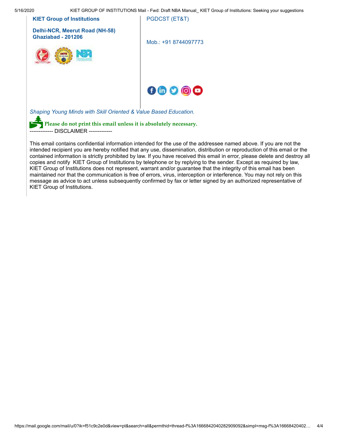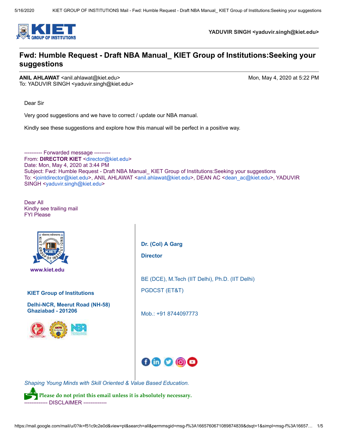

**YADUVIR SINGH <yaduvir.singh@kiet.edu>**

### **Fwd: Humble Request - Draft NBA Manual\_ KIET Group of Institutions:Seeking your suggestions**

**ANIL AHLAWAT** <anil.ahlawat@kiet.edu> Mon, May 4, 2020 at 5:22 PM To: YADUVIR SINGH <yaduvir.singh@kiet.edu>

Dear Sir

Very good suggestions and we have to correct / update our NBA manual.

Kindly see these suggestions and explore how this manual will be perfect in a positive way.

---------- Forwarded message --------- From: **DIRECTOR KIET** [<director@kiet.edu>](mailto:director@kiet.edu) Date: Mon, May 4, 2020 at 3:44 PM Subject: Fwd: Humble Request - Draft NBA Manual\_ KIET Group of Institutions:Seeking your suggestions To: <[jointdirector@kiet.edu>](mailto:jointdirector@kiet.edu), ANIL AHLAWAT <[anil.ahlawat@kiet.edu>](mailto:anil.ahlawat@kiet.edu), DEAN AC <[dean\\_ac@kiet.edu>](mailto:dean_ac@kiet.edu), YADUVIR SINGH [<yaduvir.singh@kiet.edu](mailto:yaduvir.singh@kiet.edu)>

Dear All Kindly see trailing mail FYI Please



 **[www.kiet.edu](http://www.kiet.edu/)** 

**KIET Group of Institutions**

**Delhi-NCR, Meerut Road (NH-58) Ghaziabad - 201206** 



**Dr. (Col) A Garg Director** BE (DCE), M.Tech (IIT Delhi), Ph.D. (IIT Delhi) PGDCST (ET&T)

Mob.: +91 8744097773



*Shaping Young Minds with Skill Oriented & Value Based Education.*

P **Please do not print this email unless it is absolutely necessary.** ------------- DISCLAIMER -------------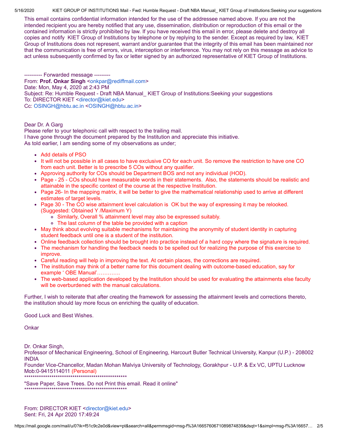This email contains confidential information intended for the use of the addressee named above. If you are not the intended recipient you are hereby notified that any use, dissemination, distribution or reproduction of this email or the contained information is strictly prohibited by law. If you have received this email in error, please delete and destroy all copies and notify KIET Group of Institutions by telephone or by replying to the sender. Except as required by law, KIET Group of Institutions does not represent, warrant and/or guarantee that the integrity of this email has been maintained nor that the communication is free of errors, virus, interception or interference. You may not rely on this message as advice to act unless subsequently confirmed by fax or letter signed by an authorized representative of KIET Group of Institutions.

---------- Forwarded message --------- From: Prof. Onkar Singh [<onkpar@rediffmail.com>](mailto:onkpar@rediffmail.com) Date: Mon, May 4, 2020 at 2:43 PM Subject: Re: Humble Request - Draft NBA Manual\_ KIET Group of Institutions:Seeking your suggestions To: DIRECTOR KIET [<director@kiet.edu>](mailto:director@kiet.edu) Cc: [OSINGH@hbtu.ac.in <OSINGH@hbtu.ac.in>](mailto:OSINGH@hbtu.ac.in)

Dear Dr. A Garg

Please refer to your telephonic call with respect to the trailing mail. I have gone through the document prepared by the Institution and appreciate this initiative. As told earlier, I am sending some of my observations as under;

- Add details of PSO
- It will not be possible in all cases to have exclusive CO for each unit. So remove the restriction to have one CO from each unit. Better is to prescribe 5 COs without any qualifier.
- Approving authority for COs should be Department BOS and not any individual (HOD).
- Page 25 COs should have measurable words in their statements. Also, the statements should be realistic and attainable in the specific context of the course at the respective Institution.
- Page 26- In the mapping matrix, it will be better to give the mathematical relationship used to arrive at different estimates of target levels.
- Page 30 The CO wise attainment level calculation is OK but the way of expressing it may be relooked. (Suggested: Obtained Y /Maximum Y)
	- Similarly, Overall % attainment level may also be expressed suitably.
	- The last column of the table be provided with a caption
- May think about evolving suitable mechanisms for maintaining the anonymity of student identity in capturing student feedback until one is a student of the institution.
- Online feedback collection should be brought into practice instead of a hard copy where the signature is required.
- The mechanism for handling the feedback needs to be spelled out for realizing the purpose of this exercise to improve.
- Careful reading will help in improving the text. At certain places, the corrections are required.
- The institution may think of a better name for this document dealing with outcome-based education, say for example ' OBE Manual'………….
- The web-based application developed by the Institution should be used for evaluating the attainments else faculty  $\bullet$ will be overburdened with the manual calculations.

Further, I wish to reiterate that after creating the framework for assessing the attainment levels and corrections thereto, the institution should lay more focus on enriching the quality of education.

Good Luck and Best Wishes.

**Onkar** 

Dr. Onkar Singh,

Professor of Mechanical Engineering, School of Engineering, Harcourt Butler Technical University, Kanpur (U.P.) - 208002 INDIA

Founder Vice-Chancellor, Madan Mohan Malviya University of Technology, Gorakhpur - U.P. & Ex VC, UPTU Lucknow Mob:0-9415114011 (Personal) \*\*\*\*\*\*\*\*\*\*\*\*\*\*\*\*\*\*\*\*\*\*\*\*\*\*\*\*\*\*\*\*\*\*\*\*\*\*\*\*\*\*\*\*\*\*\*\*\*

"Save Paper, Save Trees. Do not Print this email. Read it online" \*\*\*\*\*\*\*\*\*\*\*\*\*\*\*\*\*\*\*\*\*\*\*\*\*\*\*\*\*\*\*\*\*\*\*\*\*\*\*\*\*\*\*\*\*\*\*\*\*

From: DIRECTOR KIET <[director@kiet.edu](mailto:director@kiet.edu)> Sent: Fri, 24 Apr 2020 17:49:24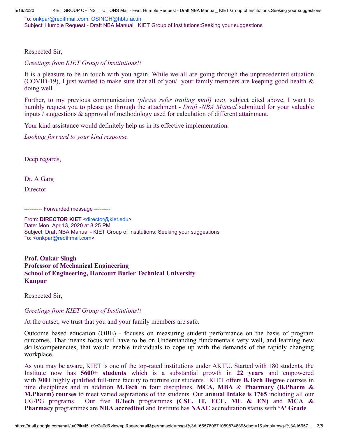To: [onkpar@rediffmail.com,](mailto:onkpar@rediffmail.com) [OSINGH@hbtu.ac.in](mailto:OSINGH@hbtu.ac.in) Subject: Humble Request - Draft NBA Manual\_ KIET Group of Institutions:Seeking your suggestions

Respected Sir,

*Greetings from KIET Group of Institutions!!*

It is a pleasure to be in touch with you again. While we all are going through the unprecedented situation (COVID-19), I just wanted to make sure that all of you/ your family members are keeping good health & doing well.

Further, to my previous communication *(please refer trailing mail) w.r.t.* subject cited above, I want to humbly request you to please go through the attachment - *Draft -NBA Manual* submitted for your valuable inputs / suggestions & approval of methodology used for calculation of different attainment.

Your kind assistance would definitely help us in its effective implementation.

*Looking forward to your kind response.*

Deep regards,

Dr. A Garg

**Director** 

---------- Forwarded message ---------

From: **DIRECTOR KIET** [<director@kiet.edu>](mailto:director@kiet.edu) Date: Mon, Apr 13, 2020 at 8:25 PM Subject: Draft NBA Manual - KIET Group of Institutions: Seeking your suggestions To: <[onkpar@rediffmail.com>](mailto:onkpar@rediffmail.com)

**Prof. Onkar Singh Professor of Mechanical Engineering School of Engineering, Harcourt Butler Technical University Kanpur**

Respected Sir,

*Greetings from KIET Group of Institutions!!*

At the outset, we trust that you and your family members are safe.

Outcome based education (OBE) - focuses on measuring student performance on the basis of program outcomes. That means focus will have to be on Understanding fundamentals very well, and learning new skills/competencies, that would enable individuals to cope up with the demands of the rapidly changing workplace.

As you may be aware, KIET is one of the top-rated institutions under AKTU. Started with 180 students, the Institute now has **5600+ students** which is a substantial growth in **22 years** and empowered with **300+** highly qualified full-time faculty to nurture our students. KIET offers **B.Tech Degree** courses in nine disciplines and in addition **M.Tech** in four disciplines, **MCA, MBA** & **Pharmacy (B.Pharm & M.Pharm) courses** to meet varied aspirations of the students. Our **annual Intake is 1765** including all our UG/PG programs. Our five **B.Tech** programmes **(CSE, IT, ECE, ME & EN)** and **MCA & Pharmacy** programmes are **NBA accredited** and Institute has **NAAC** accreditation status with **'A' Grade**.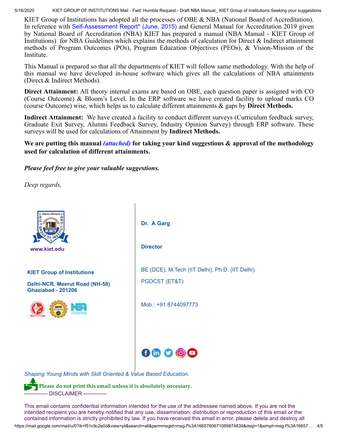KIET Group of Institutions has adopted all the processes of OBE & NBA (National Board of Accreditation). In reference with [Self-Assessment](https://www.nbaind.org/Files/sar-ug-t-ii-final-ver-06.pdf) Report\* (June, 2015) and General Manual for Accreditation 2019 given by National Board of Accreditation (NBA) KIET has prepared a manual (NBA Manual - KIET Group of Institutions) for NBA Guidelines which explains the methods of calculation for Direct & Indirect attainment methods of Program Outcomes (POs), Program Education Objectives (PEOs), & Vision-Mission of the Institute.

This Manual is prepared so that all the departments of KIET will follow same methodology. With the help of this manual we have developed in-house software which gives all the calculations of NBA attainments (Direct & Indirect Methods).

**Direct Attainment:** All theory internal exams are based on OBE, each question paper is assigned with CO (Course Outcome) & Bloom's Level. In the ERP software we have created facility to upload marks CO (course Outcome) wise, which helps us to calculate different attainments & gaps by **Direct Methods.**

**Indirect Attainment:** We have created a facility to conduct different surveys (Curriculum feedback survey, Graduate Exit Survey, Alumni Feedback Survey, Industry Opinion Survey) through ERP software. These surveys will be used for calculations of Attainment by **Indirect Methods.**

**We are putting this manual** *(attached)* **for taking your kind suggestions & approval of the methodology used for calculation of different attainments.** 

*Please feel free to give your valuable suggestions.*

*Deep regards,*



------------- DISCLAIMER -------------

https://mail.google.com/mail/u/0?ik=f51c9c2e0d&view=pt&search=all&permmsgid=msg-f%3A1665760671089874839&dsqt=1&simpl=msg-f%3A16657… 4/5 This email contains confidential information intended for the use of the addressee named above. If you are not the intended recipient you are hereby notified that any use, dissemination, distribution or reproduction of this email or the contained information is strictly prohibited by law. If you have received this email in error, please delete and destroy all